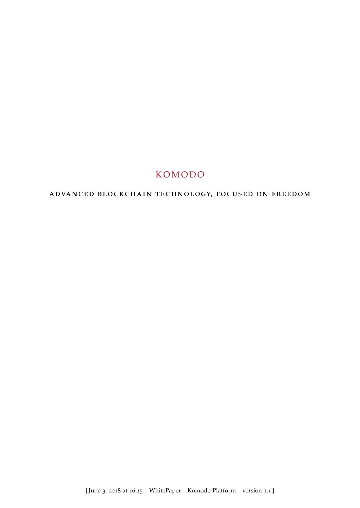# **KOMODO**

# advanced blockchain technology, focused on freedom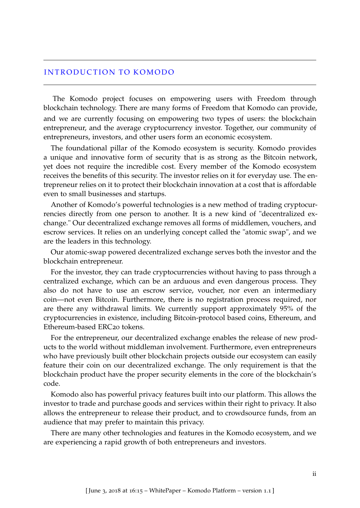### INTRODUCTION TO KOMODO

The Komodo project focuses on empowering users with Freedom through blockchain technology. There are many forms of Freedom that Komodo can provide, and we are currently focusing on empowering two types of users: the blockchain entrepreneur, and the average cryptocurrency investor. Together, our community of entrepreneurs, investors, and other users form an economic ecosystem.

The foundational pillar of the Komodo ecosystem is security. Komodo provides a unique and innovative form of security that is as strong as the Bitcoin network, yet does not require the incredible cost. Every member of the Komodo ecosystem receives the benefits of this security. The investor relies on it for everyday use. The entrepreneur relies on it to protect their blockchain innovation at a cost that is affordable even to small businesses and startups.

Another of Komodo's powerful technologies is a new method of trading cryptocurrencies directly from one person to another. It is a new kind of "decentralized exchange." Our decentralized exchange removes all forms of middlemen, vouchers, and escrow services. It relies on an underlying concept called the "atomic swap", and we are the leaders in this technology.

Our atomic-swap powered decentralized exchange serves both the investor and the blockchain entrepreneur.

For the investor, they can trade cryptocurrencies without having to pass through a centralized exchange, which can be an arduous and even dangerous process. They also do not have to use an escrow service, voucher, nor even an intermediary coin—not even Bitcoin. Furthermore, there is no registration process required, nor are there any withdrawal limits. We currently support approximately 95% of the cryptocurrencies in existence, including Bitcoin-protocol based coins, Ethereum, and Ethereum-based ERC<sub>20</sub> tokens.

For the entrepreneur, our decentralized exchange enables the release of new products to the world without middleman involvement. Furthermore, even entrepreneurs who have previously built other blockchain projects outside our ecosystem can easily feature their coin on our decentralized exchange. The only requirement is that the blockchain product have the proper security elements in the core of the blockchain's code.

Komodo also has powerful privacy features built into our platform. This allows the investor to trade and purchase goods and services within their right to privacy. It also allows the entrepreneur to release their product, and to crowdsource funds, from an audience that may prefer to maintain this privacy.

There are many other technologies and features in the Komodo ecosystem, and we are experiencing a rapid growth of both entrepreneurs and investors.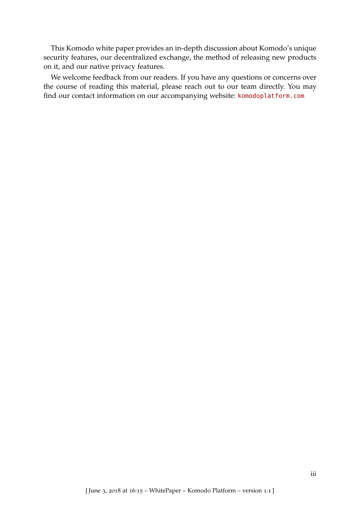This Komodo white paper provides an in-depth discussion about Komodo's unique security features, our decentralized exchange, the method of releasing new products on it, and our native privacy features.

We welcome feedback from our readers. If you have any questions or concerns over the course of reading this material, please reach out to our team directly. You may find our contact information on our accompanying website: <komodoplatform.com>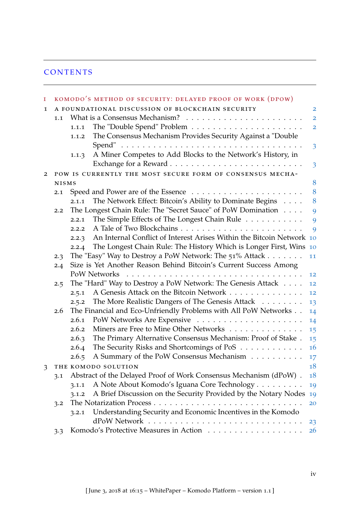# **CONTENTS**

| $\mathbf I$ |                                                                             |                                                                 | KOMODO'S METHOD OF SECURITY: DELAYED PROOF OF WORK (DPOW)             |                         |  |  |  |
|-------------|-----------------------------------------------------------------------------|-----------------------------------------------------------------|-----------------------------------------------------------------------|-------------------------|--|--|--|
| $\mathbf 1$ | A FOUNDATIONAL DISCUSSION OF BLOCKCHAIN SECURITY<br>$\overline{\mathbf{2}}$ |                                                                 |                                                                       |                         |  |  |  |
|             | 1.1                                                                         |                                                                 |                                                                       | $\overline{2}$          |  |  |  |
|             |                                                                             | 1.1.1                                                           |                                                                       | $\overline{\mathbf{2}}$ |  |  |  |
|             |                                                                             | 1.1.2                                                           | The Consensus Mechanism Provides Security Against a "Double           |                         |  |  |  |
|             |                                                                             |                                                                 |                                                                       | $\overline{3}$          |  |  |  |
|             |                                                                             | 1.1.3                                                           | A Miner Competes to Add Blocks to the Network's History, in           |                         |  |  |  |
|             |                                                                             |                                                                 |                                                                       | $\overline{3}$          |  |  |  |
| 2           | POW IS CURRENTLY THE MOST SECURE FORM OF CONSENSUS MECHA-                   |                                                                 |                                                                       |                         |  |  |  |
|             | <b>NISMS</b>                                                                |                                                                 |                                                                       | 8                       |  |  |  |
|             | 2.1                                                                         |                                                                 |                                                                       | 8                       |  |  |  |
|             |                                                                             | 2.1.1                                                           | The Network Effect: Bitcoin's Ability to Dominate Begins              | 8                       |  |  |  |
|             | 2.2                                                                         |                                                                 | The Longest Chain Rule: The "Secret Sauce" of PoW Domination          | 9                       |  |  |  |
|             |                                                                             | 2.2.1                                                           | The Simple Effects of The Longest Chain Rule                          | 9                       |  |  |  |
|             |                                                                             | 2.2.2                                                           |                                                                       | 9                       |  |  |  |
|             |                                                                             | 2.2.3                                                           | An Internal Conflict of Interest Arises Within the Bitcoin Network 10 |                         |  |  |  |
|             |                                                                             | 2.2.4                                                           | The Longest Chain Rule: The History Which is Longer First, Wins       | 10                      |  |  |  |
|             | 2.3                                                                         |                                                                 | The "Easy" Way to Destroy a PoW Network: The 51% Attack               | 11                      |  |  |  |
|             | 2.4                                                                         |                                                                 | Size is Yet Another Reason Behind Bitcoin's Current Success Among     |                         |  |  |  |
|             |                                                                             | 12                                                              |                                                                       |                         |  |  |  |
|             | 2.5                                                                         |                                                                 | The "Hard" Way to Destroy a PoW Network: The Genesis Attack           | 12                      |  |  |  |
|             |                                                                             | 2.5.1                                                           | A Genesis Attack on the Bitcoin Network                               | 12                      |  |  |  |
|             |                                                                             | 2.5.2                                                           | The More Realistic Dangers of The Genesis Attack                      | 13                      |  |  |  |
|             | 2.6                                                                         | The Financial and Eco-Unfriendly Problems with All PoW Networks |                                                                       | 14                      |  |  |  |
|             |                                                                             | 2.6.1                                                           |                                                                       | 14                      |  |  |  |
|             |                                                                             | 2.6.2                                                           | Miners are Free to Mine Other Networks                                | 15                      |  |  |  |
|             |                                                                             | 2.6.3                                                           | The Primary Alternative Consensus Mechanism: Proof of Stake.          | 15                      |  |  |  |
|             |                                                                             | 2.6.4                                                           | The Security Risks and Shortcomings of PoS                            | 16                      |  |  |  |
|             |                                                                             | 2.6.5                                                           | A Summary of the PoW Consensus Mechanism                              | 17                      |  |  |  |
| 3           | THE KOMODO SOLUTION                                                         |                                                                 |                                                                       | 18                      |  |  |  |
|             | 3.1                                                                         |                                                                 | Abstract of the Delayed Proof of Work Consensus Mechanism (dPoW).     | 18                      |  |  |  |
|             |                                                                             | 3.1.1                                                           | A Note About Komodo's Iguana Core Technology                          | 19                      |  |  |  |
|             |                                                                             | 3.1.2                                                           | A Brief Discussion on the Security Provided by the Notary Nodes       | 19                      |  |  |  |
|             | 3.2                                                                         |                                                                 |                                                                       | 20                      |  |  |  |
|             |                                                                             | 3.2.1                                                           | Understanding Security and Economic Incentives in the Komodo          |                         |  |  |  |
|             |                                                                             |                                                                 |                                                                       | 23                      |  |  |  |
|             | 3.3                                                                         |                                                                 |                                                                       | <b>26</b>               |  |  |  |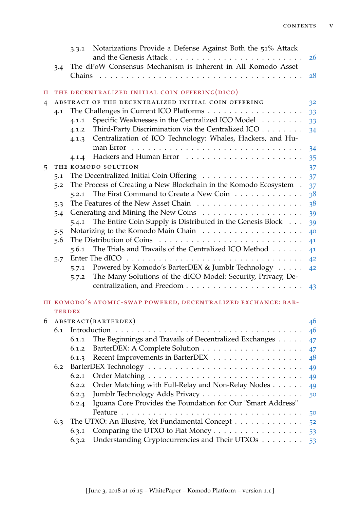|   |               | 3.3.1                                                        | Notarizations Provide a Defense Against Both the 51% Attack       | <b>26</b> |  |  |  |
|---|---------------|--------------------------------------------------------------|-------------------------------------------------------------------|-----------|--|--|--|
|   | 3.4           | The dPoW Consensus Mechanism is Inherent in All Komodo Asset |                                                                   |           |  |  |  |
|   |               | Chains                                                       |                                                                   | 28        |  |  |  |
| п |               |                                                              | THE DECENTRALIZED INITIAL COIN OFFERING(DICO)                     |           |  |  |  |
| 4 |               | ABSTRACT OF THE DECENTRALIZED INITIAL COIN OFFERING<br>32    |                                                                   |           |  |  |  |
|   | 4.1           |                                                              |                                                                   | 33        |  |  |  |
|   |               | 4.1.1                                                        | Specific Weaknesses in the Centralized ICO Model                  | 33        |  |  |  |
|   |               | 4.1.2                                                        | Third-Party Discrimination via the Centralized ICO                | 34        |  |  |  |
|   |               | 4.1.3                                                        | Centralization of ICO Technology: Whales, Hackers, and Hu-        |           |  |  |  |
|   |               |                                                              |                                                                   | 34        |  |  |  |
|   |               | 4.1.4                                                        |                                                                   | 35        |  |  |  |
| 5 |               |                                                              | THE KOMODO SOLUTION                                               | 37        |  |  |  |
|   | 5.1           |                                                              |                                                                   | 37        |  |  |  |
|   | 5.2           |                                                              | The Process of Creating a New Blockchain in the Komodo Ecosystem. | 37        |  |  |  |
|   |               | 5.2.1                                                        | The First Command to Create a New Coin                            | 38        |  |  |  |
|   | 5.3           |                                                              |                                                                   | 38        |  |  |  |
|   | 5.4           |                                                              |                                                                   | 39        |  |  |  |
|   |               | 5.4.1                                                        | The Entire Coin Supply is Distributed in the Genesis Block        | 39        |  |  |  |
|   | 5.5           |                                                              |                                                                   | 40        |  |  |  |
|   | 5.6           |                                                              |                                                                   | 41        |  |  |  |
|   |               | 5.6.1                                                        | The Trials and Travails of the Centralized ICO Method             | 41        |  |  |  |
|   | 5.7           |                                                              |                                                                   | 42        |  |  |  |
|   |               | 5.7.1                                                        | Powered by Komodo's BarterDEX & Jumblr Technology                 | 42        |  |  |  |
|   |               | 5.7.2                                                        | The Many Solutions of the dICO Model: Security, Privacy, De-      |           |  |  |  |
|   |               |                                                              |                                                                   | 43        |  |  |  |
|   |               |                                                              | III KOMODO'S ATOMIC-SWAP POWERED, DECENTRALIZED EXCHANGE: BAR-    |           |  |  |  |
|   | <b>TERDEX</b> |                                                              |                                                                   |           |  |  |  |
| 6 | 6.1           |                                                              | ABSTRACT(BARTERDEX)                                               | 46        |  |  |  |
|   |               |                                                              |                                                                   | 46        |  |  |  |
|   |               | 6.1.1                                                        | The Beginnings and Travails of Decentralized Exchanges            | 47        |  |  |  |
|   |               | 6.1.2                                                        |                                                                   | 47        |  |  |  |
|   | 6.2           | 6.1.3                                                        | Recent Improvements in BarterDEX                                  | 48        |  |  |  |
|   |               | 6.2.1                                                        |                                                                   | 49        |  |  |  |
|   |               | 6.2.2                                                        | Order Matching with Full-Relay and Non-Relay Nodes                | 49        |  |  |  |
|   |               | 6.2.3                                                        |                                                                   | 49        |  |  |  |
|   |               | 6.2.4                                                        | Iguana Core Provides the Foundation for Our "Smart Address"       | 50        |  |  |  |
|   |               |                                                              |                                                                   | 50        |  |  |  |
|   | 6.3           |                                                              | The UTXO: An Elusive, Yet Fundamental Concept                     | 52        |  |  |  |
|   |               | 6.3.1                                                        | Comparing the UTXO to Fiat Money                                  | 53        |  |  |  |
|   |               | 6.3.2                                                        | Understanding Cryptocurrencies and Their UTXOs                    | 53        |  |  |  |
|   |               |                                                              |                                                                   |           |  |  |  |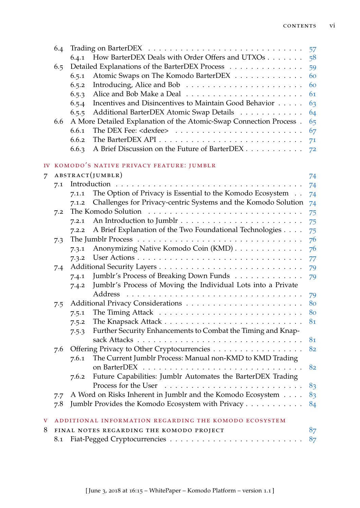|                                                   | 6.4 |                                                |                                                                    | 57 |  |  |
|---------------------------------------------------|-----|------------------------------------------------|--------------------------------------------------------------------|----|--|--|
|                                                   |     | 6.4.1                                          | How BarterDEX Deals with Order Offers and UTXOs                    | 58 |  |  |
|                                                   | 6.5 |                                                | Detailed Explanations of the BarterDEX Process                     | 59 |  |  |
|                                                   |     | 6.5.1                                          | Atomic Swaps on The Komodo BarterDEX                               | 60 |  |  |
|                                                   |     | 6.5.2                                          |                                                                    | 60 |  |  |
|                                                   |     | 6.5.3                                          |                                                                    | 61 |  |  |
|                                                   |     | 6.5.4                                          | Incentives and Disincentives to Maintain Good Behavior             | 63 |  |  |
|                                                   |     | 6.5.5                                          | Additional BarterDEX Atomic Swap Details                           | 64 |  |  |
|                                                   | 6.6 |                                                | A More Detailed Explanation of the Atomic-Swap Connection Process. | 65 |  |  |
|                                                   |     | 6.6.1                                          |                                                                    | 67 |  |  |
|                                                   |     | 6.6.2                                          |                                                                    | 71 |  |  |
|                                                   |     | 6.6.3                                          | A Brief Discussion on the Future of BarterDEX                      | 72 |  |  |
| IV                                                |     |                                                | KOMODO'S NATIVE PRIVACY FEATURE: JUMBLR                            |    |  |  |
| $\overline{7}$                                    |     |                                                | ABSTRACT(JUMBLR)                                                   | 74 |  |  |
|                                                   | 7.1 |                                                |                                                                    | 74 |  |  |
|                                                   |     | 7.1.1                                          | The Option of Privacy is Essential to the Komodo Ecosystem         | 74 |  |  |
|                                                   |     | 7.1.2                                          | Challenges for Privacy-centric Systems and the Komodo Solution     | 74 |  |  |
|                                                   | 7.2 |                                                |                                                                    | 75 |  |  |
|                                                   |     | 7.2.1                                          |                                                                    | 75 |  |  |
|                                                   |     | 7.2.2                                          | A Brief Explanation of the Two Foundational Technologies           | 75 |  |  |
|                                                   | 7.3 |                                                |                                                                    | 76 |  |  |
|                                                   |     | 7.3.1                                          | Anonymizing Native Komodo Coin (KMD)                               | 76 |  |  |
|                                                   |     | 7.3.2                                          |                                                                    | 77 |  |  |
|                                                   | 7.4 |                                                |                                                                    | 79 |  |  |
|                                                   |     | 7.4.1                                          | Jumblr's Process of Breaking Down Funds                            | 79 |  |  |
|                                                   |     | 7.4.2                                          | Jumblr's Process of Moving the Individual Lots into a Private      |    |  |  |
|                                                   |     |                                                | Address                                                            | 79 |  |  |
|                                                   | 7.5 |                                                |                                                                    | 80 |  |  |
|                                                   |     |                                                |                                                                    | 80 |  |  |
|                                                   |     | 7.5.2                                          | Further Security Enhancements to Combat the Timing and Knap-       | 81 |  |  |
|                                                   |     | 7.5.3                                          |                                                                    | 81 |  |  |
| Offering Privacy to Other Cryptocurrencies<br>7.6 |     |                                                |                                                                    |    |  |  |
|                                                   |     | 7.6.1                                          | The Current Jumblr Process: Manual non-KMD to KMD Trading          | 82 |  |  |
|                                                   |     |                                                |                                                                    | 82 |  |  |
|                                                   |     | 7.6.2                                          | Future Capabilities: Jumblr Automates the BarterDEX Trading        |    |  |  |
|                                                   |     |                                                |                                                                    | 83 |  |  |
|                                                   | 7.7 |                                                | A Word on Risks Inherent in Jumblr and the Komodo Ecosystem        | 83 |  |  |
|                                                   | 7.8 |                                                | Jumblr Provides the Komodo Ecosystem with Privacy                  | 84 |  |  |
| V                                                 |     |                                                | ADDITIONAL INFORMATION REGARDING THE KOMODO ECOSYSTEM              |    |  |  |
| 8                                                 |     | 87<br>FINAL NOTES REGARDING THE KOMODO PROJECT |                                                                    |    |  |  |
|                                                   | 8.1 |                                                |                                                                    | 87 |  |  |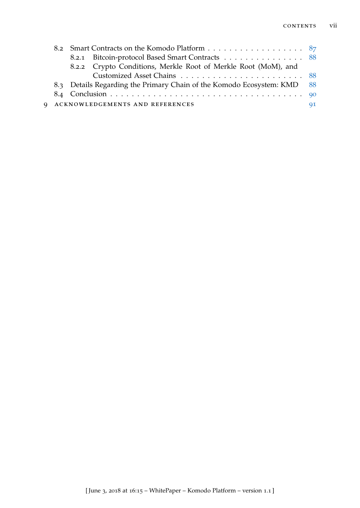|  |  | 8.2.1 Bitcoin-protocol Based Smart Contracts 88                         |  |
|--|--|-------------------------------------------------------------------------|--|
|  |  | 8.2.2 Crypto Conditions, Merkle Root of Merkle Root (MoM), and          |  |
|  |  |                                                                         |  |
|  |  | 8.3 Details Regarding the Primary Chain of the Komodo Ecosystem: KMD 88 |  |
|  |  |                                                                         |  |
|  |  | 9 ACKNOWLEDGEMENTS AND REFERENCES                                       |  |
|  |  |                                                                         |  |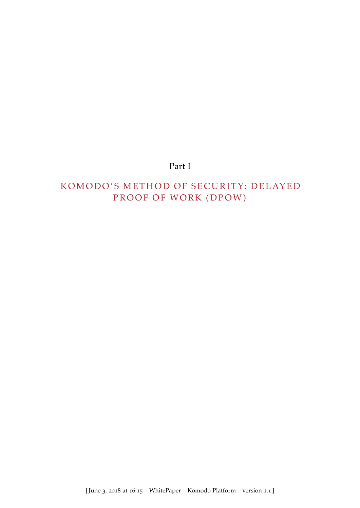# Part I

# KOMODO'S METHOD OF SECURITY: DELAYED PROOF OF WORK (DPOW)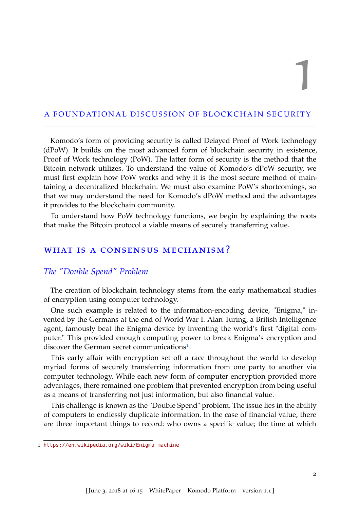1

### <span id="page-8-0"></span>A FOUNDATIONAL DISCUSSION OF BLOCKCHAIN SECURITY

Komodo's form of providing security is called Delayed Proof of Work technology (dPoW). It builds on the most advanced form of blockchain security in existence, Proof of Work technology (PoW). The latter form of security is the method that the Bitcoin network utilizes. To understand the value of Komodo's dPoW security, we must first explain how PoW works and why it is the most secure method of maintaining a decentralized blockchain. We must also examine PoW's shortcomings, so that we may understand the need for Komodo's dPoW method and the advantages it provides to the blockchain community.

<span id="page-8-1"></span>To understand how PoW technology functions, we begin by explaining the roots that make the Bitcoin protocol a viable means of securely transferring value.

# WHAT IS A CONSENSUS MECHANISM?

### <span id="page-8-2"></span>*The "Double Spend" Problem*

The creation of blockchain technology stems from the early mathematical studies of encryption using computer technology.

One such example is related to the information-encoding device, "Enigma," invented by the Germans at the end of World War I. Alan Turing, a British Intelligence agent, famously beat the Enigma device by inventing the world's first "digital computer." This provided enough computing power to break Enigma's encryption and discover the German secret communications<sup>[1](#page-8-3)</sup>.

This early affair with encryption set off a race throughout the world to develop myriad forms of securely transferring information from one party to another via computer technology. While each new form of computer encryption provided more advantages, there remained one problem that prevented encryption from being useful as a means of transferring not just information, but also financial value.

This challenge is known as the "Double Spend" problem. The issue lies in the ability of computers to endlessly duplicate information. In the case of financial value, there are three important things to record: who owns a specific value; the time at which

<span id="page-8-3"></span><sup>1</sup> [https://en.wikipedia.org/wiki/Enigma\\_machine](https://en.wikipedia.org/wiki/Enigma_machine)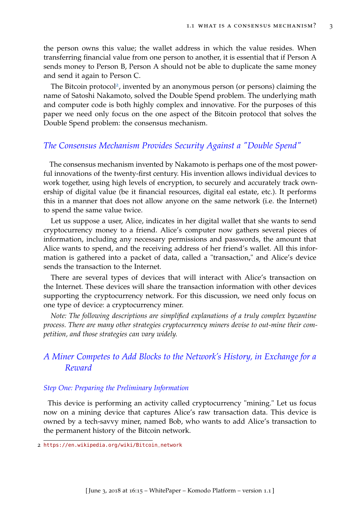the person owns this value; the wallet address in which the value resides. When transferring financial value from one person to another, it is essential that if Person A sends money to Person B, Person A should not be able to duplicate the same money and send it again to Person C.

The Bitcoin protocol<sup>[2](#page-9-2)</sup>, invented by an anonymous person (or persons) claiming the name of Satoshi Nakamoto, solved the Double Spend problem. The underlying math and computer code is both highly complex and innovative. For the purposes of this paper we need only focus on the one aspect of the Bitcoin protocol that solves the Double Spend problem: the consensus mechanism.

### <span id="page-9-0"></span>*The Consensus Mechanism Provides Security Against a "Double Spend"*

The consensus mechanism invented by Nakamoto is perhaps one of the most powerful innovations of the twenty-first century. His invention allows individual devices to work together, using high levels of encryption, to securely and accurately track ownership of digital value (be it financial resources, digital eal estate, etc.). It performs this in a manner that does not allow anyone on the same network (i.e. the Internet) to spend the same value twice.

Let us suppose a user, Alice, indicates in her digital wallet that she wants to send cryptocurrency money to a friend. Alice's computer now gathers several pieces of information, including any necessary permissions and passwords, the amount that Alice wants to spend, and the receiving address of her friend's wallet. All this information is gathered into a packet of data, called a "transaction," and Alice's device sends the transaction to the Internet.

There are several types of devices that will interact with Alice's transaction on the Internet. These devices will share the transaction information with other devices supporting the cryptocurrency network. For this discussion, we need only focus on one type of device: a cryptocurrency miner.

*Note: The following descriptions are simplified explanations of a truly complex byzantine process. There are many other strategies cryptocurrency miners devise to out-mine their competition, and those strategies can vary widely.*

# <span id="page-9-1"></span>*A Miner Competes to Add Blocks to the Network's History, in Exchange for a Reward*

#### *Step One: Preparing the Preliminary Information*

This device is performing an activity called cryptocurrency "mining." Let us focus now on a mining device that captures Alice's raw transaction data. This device is owned by a tech-savvy miner, named Bob, who wants to add Alice's transaction to the permanent history of the Bitcoin network.

<span id="page-9-2"></span><sup>2</sup> [https://en.wikipedia.org/wiki/Bitcoin\\_network](https://en.wikipedia.org/wiki/Bitcoin_network)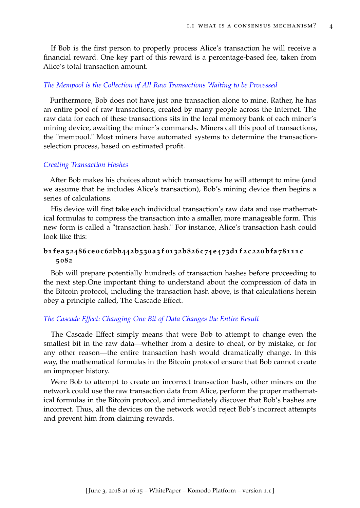If Bob is the first person to properly process Alice's transaction he will receive a financial reward. One key part of this reward is a percentage-based fee, taken from Alice's total transaction amount.

### *The Mempool is the Collection of All Raw Transactions Waiting to be Processed*

Furthermore, Bob does not have just one transaction alone to mine. Rather, he has an entire pool of raw transactions, created by many people across the Internet. The raw data for each of these transactions sits in the local memory bank of each miner's mining device, awaiting the miner's commands. Miners call this pool of transactions, the "mempool." Most miners have automated systems to determine the transactionselection process, based on estimated profit.

#### *Creating Transaction Hashes*

After Bob makes his choices about which transactions he will attempt to mine (and we assume that he includes Alice's transaction), Bob's mining device then begins a series of calculations.

His device will first take each individual transaction's raw data and use mathematical formulas to compress the transaction into a smaller, more manageable form. This new form is called a "transaction hash." For instance, Alice's transaction hash could look like this:

### b1fea52486ceoc62bb442b530a3f0132b826c74e473d1f2c220bfa78111c **5082**

Bob will prepare potentially hundreds of transaction hashes before proceeding to the next step.One important thing to understand about the compression of data in the Bitcoin protocol, including the transaction hash above, is that calculations herein obey a principle called, The Cascade Effect.

#### *The Cascade Effect: Changing One Bit of Data Changes the Entire Result*

The Cascade Effect simply means that were Bob to attempt to change even the smallest bit in the raw data—whether from a desire to cheat, or by mistake, or for any other reason—the entire transaction hash would dramatically change. In this way, the mathematical formulas in the Bitcoin protocol ensure that Bob cannot create an improper history.

Were Bob to attempt to create an incorrect transaction hash, other miners on the network could use the raw transaction data from Alice, perform the proper mathematical formulas in the Bitcoin protocol, and immediately discover that Bob's hashes are incorrect. Thus, all the devices on the network would reject Bob's incorrect attempts and prevent him from claiming rewards.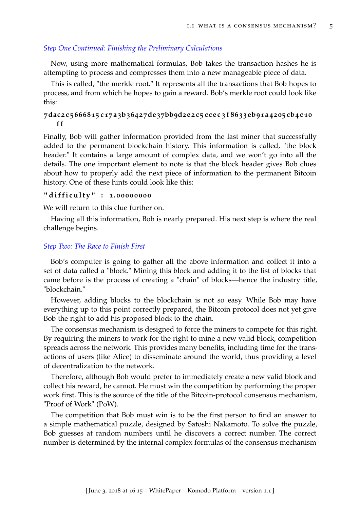### *Step One Continued: Finishing the Preliminary Calculations*

Now, using more mathematical formulas, Bob takes the transaction hashes he is attempting to process and compresses them into a new manageable piece of data.

This is called, "the merkle root." It represents all the transactions that Bob hopes to process, and from which he hopes to gain a reward. Bob's merkle root could look like this:

### 7dac2c5666815c17a3b36427de37bb9d2e2c5ccec3f8633eb91a4205cb4c10 **f f**

Finally, Bob will gather information provided from the last miner that successfully added to the permanent blockchain history. This information is called, "the block header." It contains a large amount of complex data, and we won't go into all the details. The one important element to note is that the block header gives Bob clues about how to properly add the next piece of information to the permanent Bitcoin history. One of these hints could look like this:

### **" d i f f i c u l t y " : 1.0 0 0 0 0 0 0 0**

We will return to this clue further on.

Having all this information, Bob is nearly prepared. His next step is where the real challenge begins.

#### *Step Two: The Race to Finish First*

Bob's computer is going to gather all the above information and collect it into a set of data called a "block." Mining this block and adding it to the list of blocks that came before is the process of creating a "chain" of blocks—hence the industry title, "blockchain."

However, adding blocks to the blockchain is not so easy. While Bob may have everything up to this point correctly prepared, the Bitcoin protocol does not yet give Bob the right to add his proposed block to the chain.

The consensus mechanism is designed to force the miners to compete for this right. By requiring the miners to work for the right to mine a new valid block, competition spreads across the network. This provides many benefits, including time for the transactions of users (like Alice) to disseminate around the world, thus providing a level of decentralization to the network.

Therefore, although Bob would prefer to immediately create a new valid block and collect his reward, he cannot. He must win the competition by performing the proper work first. This is the source of the title of the Bitcoin-protocol consensus mechanism, "Proof of Work" (PoW).

The competition that Bob must win is to be the first person to find an answer to a simple mathematical puzzle, designed by Satoshi Nakamoto. To solve the puzzle, Bob guesses at random numbers until he discovers a correct number. The correct number is determined by the internal complex formulas of the consensus mechanism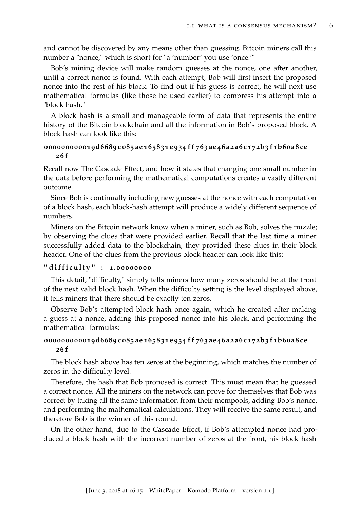and cannot be discovered by any means other than guessing. Bitcoin miners call this number a "nonce," which is short for "a 'number' you use 'once.'"

Bob's mining device will make random guesses at the nonce, one after another, until a correct nonce is found. With each attempt, Bob will first insert the proposed nonce into the rest of his block. To find out if his guess is correct, he will next use mathematical formulas (like those he used earlier) to compress his attempt into a "block hash."

A block hash is a small and manageable form of data that represents the entire history of the Bitcoin blockchain and all the information in Bob's proposed block. A block hash can look like this:

### 000000000019d6689c085ae165831e934ff763ae46a2a6c172b3f1b60a8ce **26 f**

Recall now The Cascade Effect, and how it states that changing one small number in the data before performing the mathematical computations creates a vastly different outcome.

Since Bob is continually including new guesses at the nonce with each computation of a block hash, each block-hash attempt will produce a widely different sequence of numbers.

Miners on the Bitcoin network know when a miner, such as Bob, solves the puzzle; by observing the clues that were provided earlier. Recall that the last time a miner successfully added data to the blockchain, they provided these clues in their block header. One of the clues from the previous block header can look like this:

### **" d i f f i c u l t y " : 1.0 0 0 0 0 0 0 0**

This detail, "difficulty," simply tells miners how many zeros should be at the front of the next valid block hash. When the difficulty setting is the level displayed above, it tells miners that there should be exactly ten zeros.

Observe Bob's attempted block hash once again, which he created after making a guess at a nonce, adding this proposed nonce into his block, and performing the mathematical formulas:

### 000000000019d6689c085ae165831e934ff763ae46a2a6c172b3f1b60a8ce **26 f**

The block hash above has ten zeros at the beginning, which matches the number of zeros in the difficulty level.

Therefore, the hash that Bob proposed is correct. This must mean that he guessed a correct nonce. All the miners on the network can prove for themselves that Bob was correct by taking all the same information from their mempools, adding Bob's nonce, and performing the mathematical calculations. They will receive the same result, and therefore Bob is the winner of this round.

On the other hand, due to the Cascade Effect, if Bob's attempted nonce had produced a block hash with the incorrect number of zeros at the front, his block hash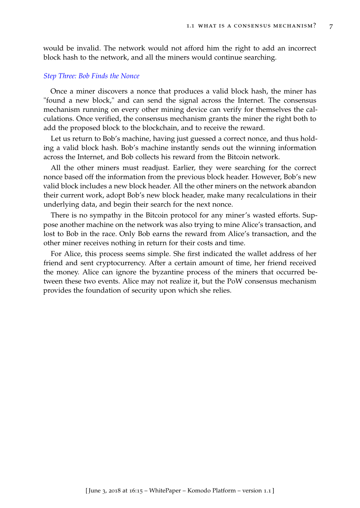would be invalid. The network would not afford him the right to add an incorrect block hash to the network, and all the miners would continue searching.

#### *Step Three: Bob Finds the Nonce*

Once a miner discovers a nonce that produces a valid block hash, the miner has "found a new block," and can send the signal across the Internet. The consensus mechanism running on every other mining device can verify for themselves the calculations. Once verified, the consensus mechanism grants the miner the right both to add the proposed block to the blockchain, and to receive the reward.

Let us return to Bob's machine, having just guessed a correct nonce, and thus holding a valid block hash. Bob's machine instantly sends out the winning information across the Internet, and Bob collects his reward from the Bitcoin network.

All the other miners must readjust. Earlier, they were searching for the correct nonce based off the information from the previous block header. However, Bob's new valid block includes a new block header. All the other miners on the network abandon their current work, adopt Bob's new block header, make many recalculations in their underlying data, and begin their search for the next nonce.

There is no sympathy in the Bitcoin protocol for any miner's wasted efforts. Suppose another machine on the network was also trying to mine Alice's transaction, and lost to Bob in the race. Only Bob earns the reward from Alice's transaction, and the other miner receives nothing in return for their costs and time.

For Alice, this process seems simple. She first indicated the wallet address of her friend and sent cryptocurrency. After a certain amount of time, her friend received the money. Alice can ignore the byzantine process of the miners that occurred between these two events. Alice may not realize it, but the PoW consensus mechanism provides the foundation of security upon which she relies.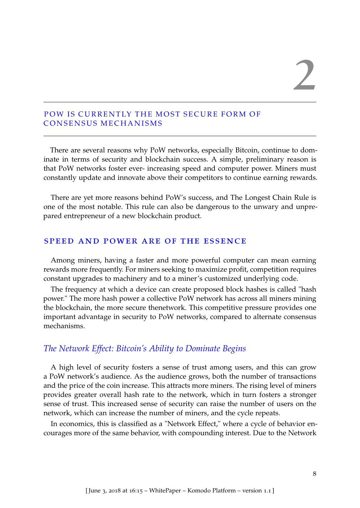## <span id="page-14-0"></span>POW IS CURRENTLY THE MOST SECURE FORM OF CONSENSUS MECHANISMS

There are several reasons why PoW networks, especially Bitcoin, continue to dominate in terms of security and blockchain success. A simple, preliminary reason is that PoW networks foster ever- increasing speed and computer power. Miners must constantly update and innovate above their competitors to continue earning rewards.

There are yet more reasons behind PoW's success, and The Longest Chain Rule is one of the most notable. This rule can also be dangerous to the unwary and unprepared entrepreneur of a new blockchain product.

### <span id="page-14-1"></span>speed and power are of the essence

Among miners, having a faster and more powerful computer can mean earning rewards more frequently. For miners seeking to maximize profit, competition requires constant upgrades to machinery and to a miner's customized underlying code.

The frequency at which a device can create proposed block hashes is called "hash power." The more hash power a collective PoW network has across all miners mining the blockchain, the more secure thenetwork. This competitive pressure provides one important advantage in security to PoW networks, compared to alternate consensus mechanisms.

# <span id="page-14-2"></span>*The Network Effect: Bitcoin's Ability to Dominate Begins*

A high level of security fosters a sense of trust among users, and this can grow a PoW network's audience. As the audience grows, both the number of transactions and the price of the coin increase. This attracts more miners. The rising level of miners provides greater overall hash rate to the network, which in turn fosters a stronger sense of trust. This increased sense of security can raise the number of users on the network, which can increase the number of miners, and the cycle repeats.

In economics, this is classified as a "Network Effect," where a cycle of behavior encourages more of the same behavior, with compounding interest. Due to the Network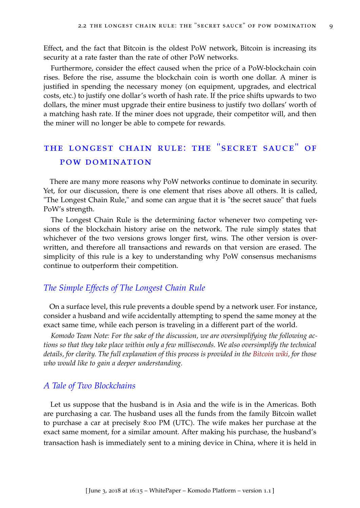Effect, and the fact that Bitcoin is the oldest PoW network, Bitcoin is increasing its security at a rate faster than the rate of other PoW networks.

Furthermore, consider the effect caused when the price of a PoW-blockchain coin rises. Before the rise, assume the blockchain coin is worth one dollar. A miner is justified in spending the necessary money (on equipment, upgrades, and electrical costs, etc.) to justify one dollar's worth of hash rate. If the price shifts upwards to two dollars, the miner must upgrade their entire business to justify two dollars' worth of a matching hash rate. If the miner does not upgrade, their competitor will, and then the miner will no longer be able to compete for rewards.

# <span id="page-15-0"></span>the longest chain rule: the "secret sauce" of pow domination

There are many more reasons why PoW networks continue to dominate in security. Yet, for our discussion, there is one element that rises above all others. It is called, "The Longest Chain Rule," and some can argue that it is "the secret sauce" that fuels PoW's strength.

The Longest Chain Rule is the determining factor whenever two competing versions of the blockchain history arise on the network. The rule simply states that whichever of the two versions grows longer first, wins. The other version is overwritten, and therefore all transactions and rewards on that version are erased. The simplicity of this rule is a key to understanding why PoW consensus mechanisms continue to outperform their competition.

### <span id="page-15-1"></span>*The Simple Effects of The Longest Chain Rule*

On a surface level, this rule prevents a double spend by a network user. For instance, consider a husband and wife accidentally attempting to spend the same money at the exact same time, while each person is traveling in a different part of the world.

*Komodo Team Note: For the sake of the discussion, we are oversimplifying the following actions so that they take place within only a few milliseconds. We also oversimplify the technical details, for clarity. The full explanation of this process is provided in the [Bitcoin wiki,](https://en.bitcoin.it/wiki/Main_Page) for those who would like to gain a deeper understanding.*

### <span id="page-15-2"></span>*A Tale of Two Blockchains*

Let us suppose that the husband is in Asia and the wife is in the Americas. Both are purchasing a car. The husband uses all the funds from the family Bitcoin wallet to purchase a car at precisely 8:00 PM (UTC). The wife makes her purchase at the exact same moment, for a similar amount. After making his purchase, the husband's transaction hash is immediately sent to a mining device in China, where it is held in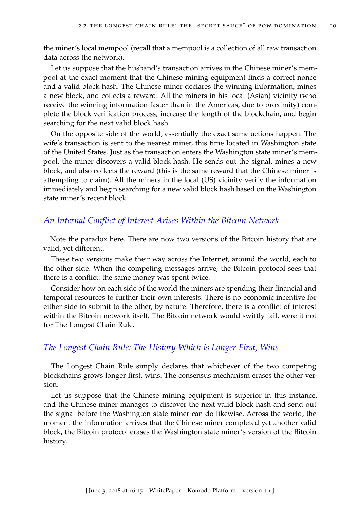the miner's local mempool (recall that a mempool is a collection of all raw transaction data across the network).

Let us suppose that the husband's transaction arrives in the Chinese miner's mempool at the exact moment that the Chinese mining equipment finds a correct nonce and a valid block hash. The Chinese miner declares the winning information, mines a new block, and collects a reward. All the miners in his local (Asian) vicinity (who receive the winning information faster than in the Americas, due to proximity) complete the block verification process, increase the length of the blockchain, and begin searching for the next valid block hash.

On the opposite side of the world, essentially the exact same actions happen. The wife's transaction is sent to the nearest miner, this time located in Washington state of the United States. Just as the transaction enters the Washington state miner's mempool, the miner discovers a valid block hash. He sends out the signal, mines a new block, and also collects the reward (this is the same reward that the Chinese miner is attempting to claim). All the miners in the local (US) vicinity verify the information immediately and begin searching for a new valid block hash based on the Washington state miner's recent block.

### <span id="page-16-0"></span>*An Internal Conflict of Interest Arises Within the Bitcoin Network*

Note the paradox here. There are now two versions of the Bitcoin history that are valid, yet different.

These two versions make their way across the Internet, around the world, each to the other side. When the competing messages arrive, the Bitcoin protocol sees that there is a conflict: the same money was spent twice.

Consider how on each side of the world the miners are spending their financial and temporal resources to further their own interests. There is no economic incentive for either side to submit to the other, by nature. Therefore, there is a conflict of interest within the Bitcoin network itself. The Bitcoin network would swiftly fail, were it not for The Longest Chain Rule.

### <span id="page-16-1"></span>*The Longest Chain Rule: The History Which is Longer First, Wins*

The Longest Chain Rule simply declares that whichever of the two competing blockchains grows longer first, wins. The consensus mechanism erases the other version.

Let us suppose that the Chinese mining equipment is superior in this instance, and the Chinese miner manages to discover the next valid block hash and send out the signal before the Washington state miner can do likewise. Across the world, the moment the information arrives that the Chinese miner completed yet another valid block, the Bitcoin protocol erases the Washington state miner's version of the Bitcoin history.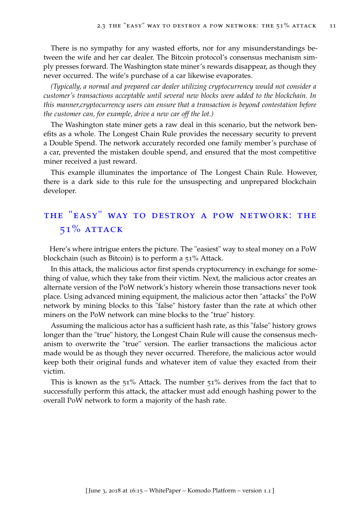There is no sympathy for any wasted efforts, nor for any misunderstandings between the wife and her car dealer. The Bitcoin protocol's consensus mechanism simply presses forward. The Washington state miner's rewards disappear, as though they never occurred. The wife's purchase of a car likewise evaporates.

*(Typically, a normal and prepared car dealer utilizing cryptocurrency would not consider a customer's transactions acceptable until several new blocks were added to the blockchain. In this manner,cryptocurrency users can ensure that a transaction is beyond contestation before the customer can, for example, drive a new car off the lot.)*

The Washington state miner gets a raw deal in this scenario, but the network benefits as a whole. The Longest Chain Rule provides the necessary security to prevent a Double Spend. The network accurately recorded one family member's purchase of a car, prevented the mistaken double spend, and ensured that the most competitive miner received a just reward.

This example illuminates the importance of The Longest Chain Rule. However, there is a dark side to this rule for the unsuspecting and unprepared blockchain developer.

# <span id="page-17-0"></span>the "easy" way to destroy a pow network: the  $51\%$  ATTACK

Here's where intrigue enters the picture. The "easiest" way to steal money on a PoW blockchain (such as Bitcoin) is to perform a 51% Attack.

In this attack, the malicious actor first spends cryptocurrency in exchange for something of value, which they take from their victim. Next, the malicious actor creates an alternate version of the PoW network's history wherein those transactions never took place. Using advanced mining equipment, the malicious actor then "attacks" the PoW network by mining blocks to this "false" history faster than the rate at which other miners on the PoW network can mine blocks to the "true" history.

Assuming the malicious actor has a sufficient hash rate, as this "false" history grows longer than the "true" history, the Longest Chain Rule will cause the consensus mechanism to overwrite the "true" version. The earlier transactions the malicious actor made would be as though they never occurred. Therefore, the malicious actor would keep both their original funds and whatever item of value they exacted from their victim.

<span id="page-17-1"></span>This is known as the 51% Attack. The number 51% derives from the fact that to successfully perform this attack, the attacker must add enough hashing power to the overall PoW network to form a majority of the hash rate.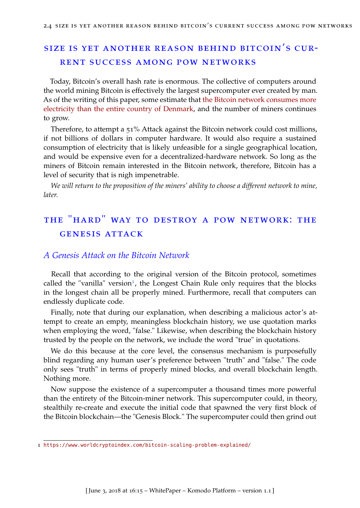# size is yet another reason behind bitcoin's current success among pow networks

Today, Bitcoin's overall hash rate is enormous. The collective of computers around the world mining Bitcoin is effectively the largest supercomputer ever created by man. As of the writing of this paper, some estimate that [the Bitcoin network consumes more](https://arstechnica.com/tech-policy/2017/12/bitcoins-insane-energy-consumption-explained/) [electricity than the entire country of Denmark,](https://arstechnica.com/tech-policy/2017/12/bitcoins-insane-energy-consumption-explained/) and the number of miners continues to grow.

Therefore, to attempt a 51% Attack against the Bitcoin network could cost millions, if not billions of dollars in computer hardware. It would also require a sustained consumption of electricity that is likely unfeasible for a single geographical location, and would be expensive even for a decentralized-hardware network. So long as the miners of Bitcoin remain interested in the Bitcoin network, therefore, Bitcoin has a level of security that is nigh impenetrable.

<span id="page-18-0"></span>*We will return to the proposition of the miners' ability to choose a different network to mine, later.*

# the "hard" way to destroy a pow network: the genesis attack

## <span id="page-18-1"></span>*A Genesis Attack on the Bitcoin Network*

Recall that according to the original version of the Bitcoin protocol, sometimes called the "vanilla" version<sup>[1](#page-18-2)</sup>, the Longest Chain Rule only requires that the blocks in the longest chain all be properly mined. Furthermore, recall that computers can endlessly duplicate code.

Finally, note that during our explanation, when describing a malicious actor's attempt to create an empty, meaningless blockchain history, we use quotation marks when employing the word, "false." Likewise, when describing the blockchain history trusted by the people on the network, we include the word "true" in quotations.

We do this because at the core level, the consensus mechanism is purposefully blind regarding any human user's preference between "truth" and "false." The code only sees "truth" in terms of properly mined blocks, and overall blockchain length. Nothing more.

Now suppose the existence of a supercomputer a thousand times more powerful than the entirety of the Bitcoin-miner network. This supercomputer could, in theory, stealthily re-create and execute the initial code that spawned the very first block of the Bitcoin blockchain—the "Genesis Block." The supercomputer could then grind out

<span id="page-18-2"></span><sup>1</sup> <https://www.worldcryptoindex.com/bitcoin-scaling-problem-explained/>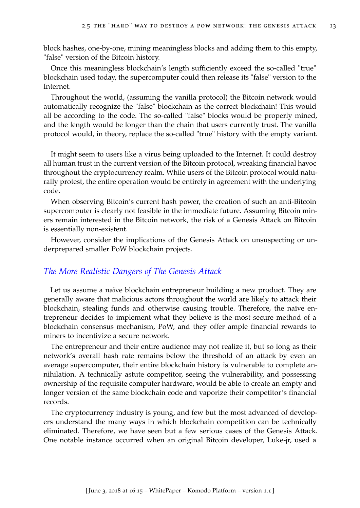block hashes, one-by-one, mining meaningless blocks and adding them to this empty, "false" version of the Bitcoin history.

Once this meaningless blockchain's length sufficiently exceed the so-called "true" blockchain used today, the supercomputer could then release its "false" version to the Internet.

Throughout the world, (assuming the vanilla protocol) the Bitcoin network would automatically recognize the "false" blockchain as the correct blockchain! This would all be according to the code. The so-called "false" blocks would be properly mined, and the length would be longer than the chain that users currently trust. The vanilla protocol would, in theory, replace the so-called "true" history with the empty variant.

It might seem to users like a virus being uploaded to the Internet. It could destroy all human trust in the current version of the Bitcoin protocol, wreaking financial havoc throughout the cryptocurrency realm. While users of the Bitcoin protocol would naturally protest, the entire operation would be entirely in agreement with the underlying code.

When observing Bitcoin's current hash power, the creation of such an anti-Bitcoin supercomputer is clearly not feasible in the immediate future. Assuming Bitcoin miners remain interested in the Bitcoin network, the risk of a Genesis Attack on Bitcoin is essentially non-existent.

However, consider the implications of the Genesis Attack on unsuspecting or underprepared smaller PoW blockchain projects.

### <span id="page-19-0"></span>*The More Realistic Dangers of The Genesis Attack*

Let us assume a naïve blockchain entrepreneur building a new product. They are generally aware that malicious actors throughout the world are likely to attack their blockchain, stealing funds and otherwise causing trouble. Therefore, the naïve entrepreneur decides to implement what they believe is the most secure method of a blockchain consensus mechanism, PoW, and they offer ample financial rewards to miners to incentivize a secure network.

The entrepreneur and their entire audience may not realize it, but so long as their network's overall hash rate remains below the threshold of an attack by even an average supercomputer, their entire blockchain history is vulnerable to complete annihilation. A technically astute competitor, seeing the vulnerability, and possessing ownership of the requisite computer hardware, would be able to create an empty and longer version of the same blockchain code and vaporize their competitor's financial records.

The cryptocurrency industry is young, and few but the most advanced of developers understand the many ways in which blockchain competition can be technically eliminated. Therefore, we have seen but a few serious cases of the Genesis Attack. One notable instance occurred when an original Bitcoin developer, Luke-jr, used a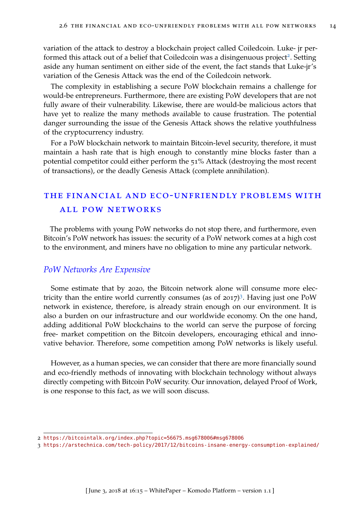variation of the attack to destroy a blockchain project called Coiledcoin. Luke- jr per-formed this attack out of a belief that Coiledcoin was a disingenuous project<sup>[2](#page-20-3)</sup>. Setting aside any human sentiment on either side of the event, the fact stands that Luke-jr's variation of the Genesis Attack was the end of the Coiledcoin network.

The complexity in establishing a secure PoW blockchain remains a challenge for would-be entrepreneurs. Furthermore, there are existing PoW developers that are not fully aware of their vulnerability. Likewise, there are would-be malicious actors that have yet to realize the many methods available to cause frustration. The potential danger surrounding the issue of the Genesis Attack shows the relative youthfulness of the cryptocurrency industry.

For a PoW blockchain network to maintain Bitcoin-level security, therefore, it must maintain a hash rate that is high enough to constantly mine blocks faster than a potential competitor could either perform the 51% Attack (destroying the most recent of transactions), or the deadly Genesis Attack (complete annihilation).

# <span id="page-20-0"></span>the financial and eco-unfriendly problems with all pow networks

The problems with young PoW networks do not stop there, and furthermore, even Bitcoin's PoW network has issues: the security of a PoW network comes at a high cost to the environment, and miners have no obligation to mine any particular network.

### <span id="page-20-1"></span>*PoW Networks Are Expensive*

Some estimate that by 2020, the Bitcoin network alone will consume more electricity than the entire world currently consumes (as of 2017) [3](#page-20-4) . Having just one PoW network in existence, therefore, is already strain enough on our environment. It is also a burden on our infrastructure and our worldwide economy. On the one hand, adding additional PoW blockchains to the world can serve the purpose of forcing free- market competition on the Bitcoin developers, encouraging ethical and innovative behavior. Therefore, some competition among PoW networks is likely useful.

<span id="page-20-2"></span>However, as a human species, we can consider that there are more financially sound and eco-friendly methods of innovating with blockchain technology without always directly competing with Bitcoin PoW security. Our innovation, delayed Proof of Work, is one response to this fact, as we will soon discuss.

<span id="page-20-3"></span><sup>2</sup> <https://bitcointalk.org/index.php?topic=56675.msg678006#msg678006>

<span id="page-20-4"></span><sup>3</sup> <https://arstechnica.com/tech-policy/2017/12/bitcoins-insane-energy-consumption-explained/>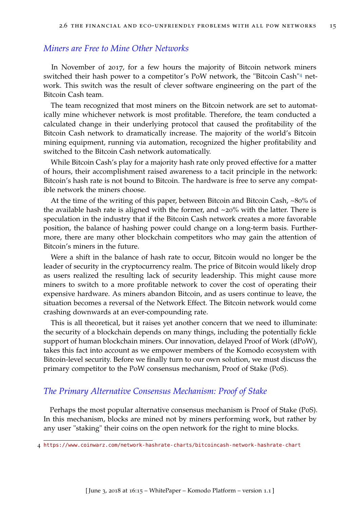## *Miners are Free to Mine Other Networks*

In November of 2017, for a few hours the majority of Bitcoin network miners switched their hash power to a competitor's PoW network, the "Bitcoin Cash"[4](#page-21-1) network. This switch was the result of clever software engineering on the part of the Bitcoin Cash team.

The team recognized that most miners on the Bitcoin network are set to automatically mine whichever network is most profitable. Therefore, the team conducted a calculated change in their underlying protocol that caused the profitability of the Bitcoin Cash network to dramatically increase. The majority of the world's Bitcoin mining equipment, running via automation, recognized the higher profitability and switched to the Bitcoin Cash network automatically.

While Bitcoin Cash's play for a majority hash rate only proved effective for a matter of hours, their accomplishment raised awareness to a tacit principle in the network: Bitcoin's hash rate is not bound to Bitcoin. The hardware is free to serve any compatible network the miners choose.

At the time of the writing of this paper, between Bitcoin and Bitcoin Cash, ~80% of the available hash rate is aligned with the former, and  $\sim$ 20% with the latter. There is speculation in the industry that if the Bitcoin Cash network creates a more favorable position, the balance of hashing power could change on a long-term basis. Furthermore, there are many other blockchain competitors who may gain the attention of Bitcoin's miners in the future.

Were a shift in the balance of hash rate to occur, Bitcoin would no longer be the leader of security in the cryptocurrency realm. The price of Bitcoin would likely drop as users realized the resulting lack of security leadership. This might cause more miners to switch to a more profitable network to cover the cost of operating their expensive hardware. As miners abandon Bitcoin, and as users continue to leave, the situation becomes a reversal of the Network Effect. The Bitcoin network would come crashing downwards at an ever-compounding rate.

This is all theoretical, but it raises yet another concern that we need to illuminate: the security of a blockchain depends on many things, including the potentially fickle support of human blockchain miners. Our innovation, delayed Proof of Work (dPoW), takes this fact into account as we empower members of the Komodo ecosystem with Bitcoin-level security. Before we finally turn to our own solution, we must discuss the primary competitor to the PoW consensus mechanism, Proof of Stake (PoS).

### <span id="page-21-0"></span>*The Primary Alternative Consensus Mechanism: Proof of Stake*

Perhaps the most popular alternative consensus mechanism is Proof of Stake (PoS). In this mechanism, blocks are mined not by miners performing work, but rather by any user "staking" their coins on the open network for the right to mine blocks.

<span id="page-21-1"></span><sup>4</sup> <https://www.coinwarz.com/network-hashrate-charts/bitcoincash-network-hashrate-chart>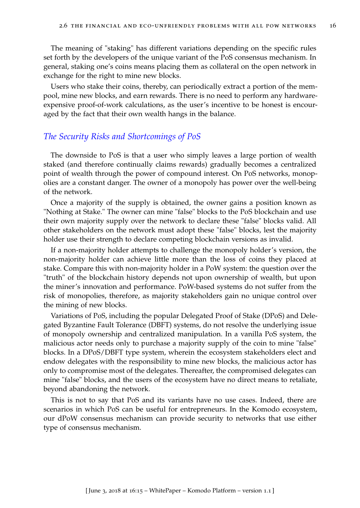The meaning of "staking" has different variations depending on the specific rules set forth by the developers of the unique variant of the PoS consensus mechanism. In general, staking one's coins means placing them as collateral on the open network in exchange for the right to mine new blocks.

Users who stake their coins, thereby, can periodically extract a portion of the mempool, mine new blocks, and earn rewards. There is no need to perform any hardwareexpensive proof-of-work calculations, as the user's incentive to be honest is encouraged by the fact that their own wealth hangs in the balance.

## <span id="page-22-0"></span>*The Security Risks and Shortcomings of PoS*

The downside to PoS is that a user who simply leaves a large portion of wealth staked (and therefore continually claims rewards) gradually becomes a centralized point of wealth through the power of compound interest. On PoS networks, monopolies are a constant danger. The owner of a monopoly has power over the well-being of the network.

Once a majority of the supply is obtained, the owner gains a position known as "Nothing at Stake." The owner can mine "false" blocks to the PoS blockchain and use their own majority supply over the network to declare these "false" blocks valid. All other stakeholders on the network must adopt these "false" blocks, lest the majority holder use their strength to declare competing blockchain versions as invalid.

If a non-majority holder attempts to challenge the monopoly holder's version, the non-majority holder can achieve little more than the loss of coins they placed at stake. Compare this with non-majority holder in a PoW system: the question over the "truth" of the blockchain history depends not upon ownership of wealth, but upon the miner's innovation and performance. PoW-based systems do not suffer from the risk of monopolies, therefore, as majority stakeholders gain no unique control over the mining of new blocks.

Variations of PoS, including the popular Delegated Proof of Stake (DPoS) and Delegated Byzantine Fault Tolerance (DBFT) systems, do not resolve the underlying issue of monopoly ownership and centralized manipulation. In a vanilla PoS system, the malicious actor needs only to purchase a majority supply of the coin to mine "false" blocks. In a DPoS/DBFT type system, wherein the ecosystem stakeholders elect and endow delegates with the responsibility to mine new blocks, the malicious actor has only to compromise most of the delegates. Thereafter, the compromised delegates can mine "false" blocks, and the users of the ecosystem have no direct means to retaliate, beyond abandoning the network.

This is not to say that PoS and its variants have no use cases. Indeed, there are scenarios in which PoS can be useful for entrepreneurs. In the Komodo ecosystem, our dPoW consensus mechanism can provide security to networks that use either type of consensus mechanism.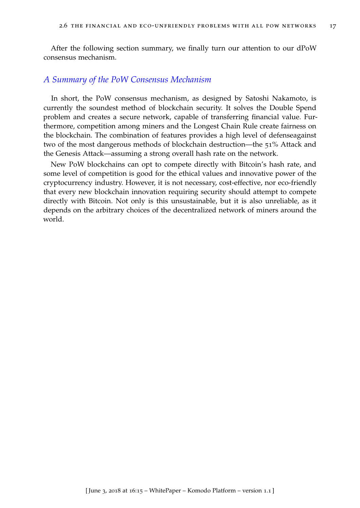<span id="page-23-0"></span>After the following section summary, we finally turn our attention to our dPoW consensus mechanism.

### *A Summary of the PoW Consensus Mechanism*

In short, the PoW consensus mechanism, as designed by Satoshi Nakamoto, is currently the soundest method of blockchain security. It solves the Double Spend problem and creates a secure network, capable of transferring financial value. Furthermore, competition among miners and the Longest Chain Rule create fairness on the blockchain. The combination of features provides a high level of defenseagainst two of the most dangerous methods of blockchain destruction—the 51% Attack and the Genesis Attack—assuming a strong overall hash rate on the network.

New PoW blockchains can opt to compete directly with Bitcoin's hash rate, and some level of competition is good for the ethical values and innovative power of the cryptocurrency industry. However, it is not necessary, cost-effective, nor eco-friendly that every new blockchain innovation requiring security should attempt to compete directly with Bitcoin. Not only is this unsustainable, but it is also unreliable, as it depends on the arbitrary choices of the decentralized network of miners around the world.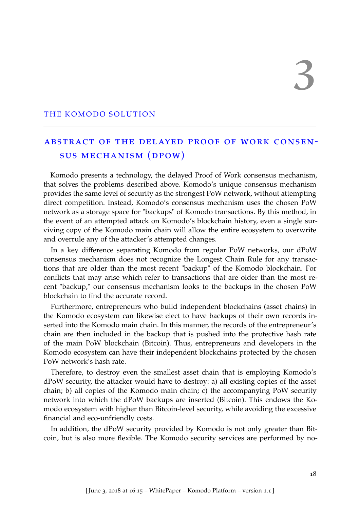### <span id="page-24-0"></span>THE KOMODO SOLUTION

# <span id="page-24-1"></span>abstract of the delayed proof of work consensus mechanism (dpow)

Komodo presents a technology, the delayed Proof of Work consensus mechanism, that solves the problems described above. Komodo's unique consensus mechanism provides the same level of security as the strongest PoW network, without attempting direct competition. Instead, Komodo's consensus mechanism uses the chosen PoW network as a storage space for "backups" of Komodo transactions. By this method, in the event of an attempted attack on Komodo's blockchain history, even a single surviving copy of the Komodo main chain will allow the entire ecosystem to overwrite and overrule any of the attacker's attempted changes.

In a key difference separating Komodo from regular PoW networks, our dPoW consensus mechanism does not recognize the Longest Chain Rule for any transactions that are older than the most recent "backup" of the Komodo blockchain. For conflicts that may arise which refer to transactions that are older than the most recent "backup," our consensus mechanism looks to the backups in the chosen PoW blockchain to find the accurate record.

Furthermore, entrepreneurs who build independent blockchains (asset chains) in the Komodo ecosystem can likewise elect to have backups of their own records inserted into the Komodo main chain. In this manner, the records of the entrepreneur's chain are then included in the backup that is pushed into the protective hash rate of the main PoW blockchain (Bitcoin). Thus, entrepreneurs and developers in the Komodo ecosystem can have their independent blockchains protected by the chosen PoW network's hash rate.

Therefore, to destroy even the smallest asset chain that is employing Komodo's dPoW security, the attacker would have to destroy: a) all existing copies of the asset chain; b) all copies of the Komodo main chain; c) the accompanying PoW security network into which the dPoW backups are inserted (Bitcoin). This endows the Komodo ecosystem with higher than Bitcoin-level security, while avoiding the excessive financial and eco-unfriendly costs.

In addition, the dPoW security provided by Komodo is not only greater than Bitcoin, but is also more flexible. The Komodo security services are performed by no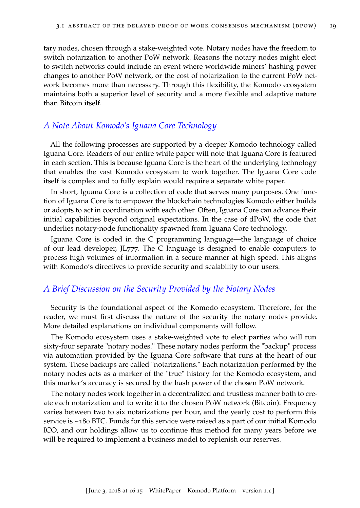tary nodes, chosen through a stake-weighted vote. Notary nodes have the freedom to switch notarization to another PoW network. Reasons the notary nodes might elect to switch networks could include an event where worldwide miners' hashing power changes to another PoW network, or the cost of notarization to the current PoW network becomes more than necessary. Through this flexibility, the Komodo ecosystem maintains both a superior level of security and a more flexible and adaptive nature than Bitcoin itself.

### <span id="page-25-0"></span>*A Note About Komodo's Iguana Core Technology*

All the following processes are supported by a deeper Komodo technology called Iguana Core. Readers of our entire white paper will note that Iguana Core is featured in each section. This is because Iguana Core is the heart of the underlying technology that enables the vast Komodo ecosystem to work together. The Iguana Core code itself is complex and to fully explain would require a separate white paper.

In short, Iguana Core is a collection of code that serves many purposes. One function of Iguana Core is to empower the blockchain technologies Komodo either builds or adopts to act in coordination with each other. Often, Iguana Core can advance their initial capabilities beyond original expectations. In the case of dPoW, the code that underlies notary-node functionality spawned from Iguana Core technology.

Iguana Core is coded in the C programming language—the language of choice of our lead developer, JL777. The C language is designed to enable computers to process high volumes of information in a secure manner at high speed. This aligns with Komodo's directives to provide security and scalability to our users.

### <span id="page-25-1"></span>*A Brief Discussion on the Security Provided by the Notary Nodes*

Security is the foundational aspect of the Komodo ecosystem. Therefore, for the reader, we must first discuss the nature of the security the notary nodes provide. More detailed explanations on individual components will follow.

The Komodo ecosystem uses a stake-weighted vote to elect parties who will run sixty-four separate "notary nodes." These notary nodes perform the "backup" process via automation provided by the Iguana Core software that runs at the heart of our system. These backups are called "notarizations." Each notarization performed by the notary nodes acts as a marker of the "true" history for the Komodo ecosystem, and this marker's accuracy is secured by the hash power of the chosen PoW network.

The notary nodes work together in a decentralized and trustless manner both to create each notarization and to write it to the chosen PoW network (Bitcoin). Frequency varies between two to six notarizations per hour, and the yearly cost to perform this service is ~180 BTC. Funds for this service were raised as a part of our initial Komodo ICO, and our holdings allow us to continue this method for many years before we will be required to implement a business model to replenish our reserves.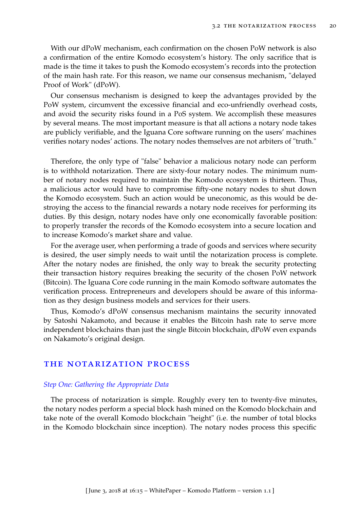With our dPoW mechanism, each confirmation on the chosen PoW network is also a confirmation of the entire Komodo ecosystem's history. The only sacrifice that is made is the time it takes to push the Komodo ecosystem's records into the protection of the main hash rate. For this reason, we name our consensus mechanism, "delayed Proof of Work" (dPoW).

Our consensus mechanism is designed to keep the advantages provided by the PoW system, circumvent the excessive financial and eco-unfriendly overhead costs, and avoid the security risks found in a PoS system. We accomplish these measures by several means. The most important measure is that all actions a notary node takes are publicly verifiable, and the Iguana Core software running on the users' machines verifies notary nodes' actions. The notary nodes themselves are not arbiters of "truth."

Therefore, the only type of "false" behavior a malicious notary node can perform is to withhold notarization. There are sixty-four notary nodes. The minimum number of notary nodes required to maintain the Komodo ecosystem is thirteen. Thus, a malicious actor would have to compromise fifty-one notary nodes to shut down the Komodo ecosystem. Such an action would be uneconomic, as this would be destroying the access to the financial rewards a notary node receives for performing its duties. By this design, notary nodes have only one economically favorable position: to properly transfer the records of the Komodo ecosystem into a secure location and to increase Komodo's market share and value.

For the average user, when performing a trade of goods and services where security is desired, the user simply needs to wait until the notarization process is complete. After the notary nodes are finished, the only way to break the security protecting their transaction history requires breaking the security of the chosen PoW network (Bitcoin). The Iguana Core code running in the main Komodo software automates the verification process. Entrepreneurs and developers should be aware of this information as they design business models and services for their users.

Thus, Komodo's dPoW consensus mechanism maintains the security innovated by Satoshi Nakamoto, and because it enables the Bitcoin hash rate to serve more independent blockchains than just the single Bitcoin blockchain, dPoW even expands on Nakamoto's original design.

#### <span id="page-26-0"></span>the notarization process

#### *Step One: Gathering the Appropriate Data*

The process of notarization is simple. Roughly every ten to twenty-five minutes, the notary nodes perform a special block hash mined on the Komodo blockchain and take note of the overall Komodo blockchain "height" (i.e. the number of total blocks in the Komodo blockchain since inception). The notary nodes process this specific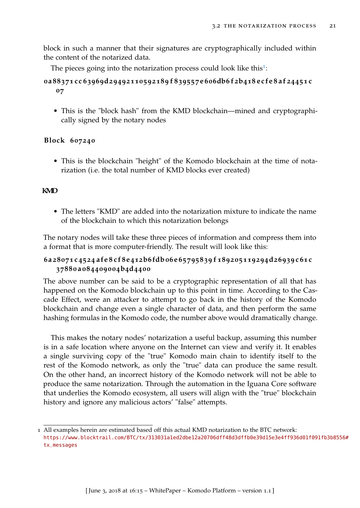block in such a manner that their signatures are cryptographically included within the content of the notarized data.

The pieces going into the notarization process could look like this<sup>[1](#page-27-0)</sup>:

# 0a88371cc63969d29492110592189f839557e606db6f2b418ecfe8af24451c **07**

• This is the "block hash" from the KMD blockchain—mined and cryptographically signed by the notary nodes

### **Block 607240**

• This is the blockchain "height" of the Komodo blockchain at the time of notarization (i.e. the total number of KMD blocks ever created)

## **KMD**

• The letters "KMD" are added into the notarization mixture to indicate the name of the blockchain to which this notarization belongs

The notary nodes will take these three pieces of information and compress them into a format that is more computer-friendly. The result will look like this:

# 6a28071c4524afe8cf8e412b6fdb06e65795839f189205119294d26939c61c **37880 a 084409004b4d4400**

The above number can be said to be a cryptographic representation of all that has happened on the Komodo blockchain up to this point in time. According to the Cascade Effect, were an attacker to attempt to go back in the history of the Komodo blockchain and change even a single character of data, and then perform the same hashing formulas in the Komodo code, the number above would dramatically change.

This makes the notary nodes' notarization a useful backup, assuming this number is in a safe location where anyone on the Internet can view and verify it. It enables a single surviving copy of the "true" Komodo main chain to identify itself to the rest of the Komodo network, as only the "true" data can produce the same result. On the other hand, an incorrect history of the Komodo network will not be able to produce the same notarization. Through the automation in the Iguana Core software that underlies the Komodo ecosystem, all users will align with the "true" blockchain history and ignore any malicious actors' "false" attempts.

<span id="page-27-0"></span><sup>1</sup> All examples herein are estimated based off this actual KMD notarization to the BTC network: [https://www.blocktrail.com/BTC/tx/313031a1ed2dbe12a20706dff48d3dffb0e39d15e3e4ff936d01f09](https://www.blocktrail.com/BTC/tx/313031a1ed2dbe12a20706dff48d3dffb0e39d15e3e4ff936d01f091fb3b8556#tx_messages)1fb3b8556# [tx\\_messages](https://www.blocktrail.com/BTC/tx/313031a1ed2dbe12a20706dff48d3dffb0e39d15e3e4ff936d01f091fb3b8556#tx_messages)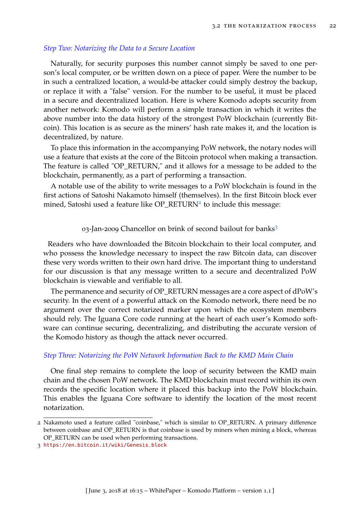### *Step Two: Notarizing the Data to a Secure Location*

Naturally, for security purposes this number cannot simply be saved to one person's local computer, or be written down on a piece of paper. Were the number to be in such a centralized location, a would-be attacker could simply destroy the backup, or replace it with a "false" version. For the number to be useful, it must be placed in a secure and decentralized location. Here is where Komodo adopts security from another network: Komodo will perform a simple transaction in which it writes the above number into the data history of the strongest PoW blockchain (currently Bitcoin). This location is as secure as the miners' hash rate makes it, and the location is decentralized, by nature.

To place this information in the accompanying PoW network, the notary nodes will use a feature that exists at the core of the Bitcoin protocol when making a transaction. The feature is called "OP\_RETURN," and it allows for a message to be added to the blockchain, permanently, as a part of performing a transaction.

A notable use of the ability to write messages to a PoW blockchain is found in the first actions of Satoshi Nakamoto himself (themselves). In the first Bitcoin block ever mined, Satoshi used a feature like OP\_RETURN<sup>[2](#page-28-0)</sup> to include this message:

0[3](#page-28-1)-Jan-2009 Chancellor on brink of second bailout for banks<sup>3</sup>

Readers who have downloaded the Bitcoin blockchain to their local computer, and who possess the knowledge necessary to inspect the raw Bitcoin data, can discover these very words written to their own hard drive. The important thing to understand for our discussion is that any message written to a secure and decentralized PoW blockchain is viewable and verifiable to all.

The permanence and security of OP\_RETURN messages are a core aspect of dPoW's security. In the event of a powerful attack on the Komodo network, there need be no argument over the correct notarized marker upon which the ecosystem members should rely. The Iguana Core code running at the heart of each user's Komodo software can continue securing, decentralizing, and distributing the accurate version of the Komodo history as though the attack never occurred.

#### *Step Three: Notarizing the PoW Network Information Back to the KMD Main Chain*

One final step remains to complete the loop of security between the KMD main chain and the chosen PoW network. The KMD blockchain must record within its own records the specific location where it placed this backup into the PoW blockchain. This enables the Iguana Core software to identify the location of the most recent notarization.

<span id="page-28-0"></span><sup>2</sup> Nakamoto used a feature called "coinbase," which is similar to OP\_RETURN. A primary difference between coinbase and OP\_RETURN is that coinbase is used by miners when mining a block, whereas OP\_RETURN can be used when performing transactions.

<span id="page-28-1"></span><sup>3</sup> [https://en.bitcoin.it/wiki/Genesis\\_block](https://en.bitcoin.it/wiki/Genesis_block)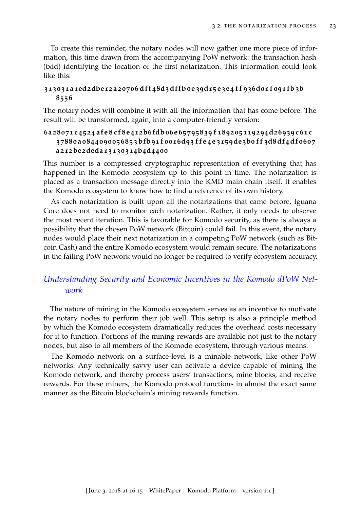To create this reminder, the notary nodes will now gather one more piece of information, this time drawn from the accompanying PoW network: the transaction hash (txid) identifying the location of the first notarization. This information could look like this:

### 313031a1ed2dbe12a20706dff48d3dffb0e39d15e3e4ff936d01f091fb3b **8556**

The notary nodes will combine it with all the information that has come before. The result will be transformed, again, into a computer-friendly version:

## 6a28071c4524afe8cf8e412b6fdb06e65795839f189205119294d26939c61c 37880a0844090056853bfb91f0016d93ffe4e3159de3b0ff3d8df4df0607 **a212be2deda13130314b4d4400**

This number is a compressed cryptographic representation of everything that has happened in the Komodo ecosystem up to this point in time. The notarization is placed as a transaction message directly into the KMD main chain itself. It enables the Komodo ecosystem to know how to find a reference of its own history.

As each notarization is built upon all the notarizations that came before, Iguana Core does not need to monitor each notarization. Rather, it only needs to observe the most recent iteration. This is favorable for Komodo security, as there is always a possibility that the chosen PoW network (Bitcoin) could fail. In this event, the notary nodes would place their next notarization in a competing PoW network (such as Bitcoin Cash) and the entire Komodo ecosystem would remain secure. The notarizations in the failing PoW network would no longer be required to verify ecosystem accuracy.

# <span id="page-29-0"></span>*Understanding Security and Economic Incentives in the Komodo dPoW Network*

The nature of mining in the Komodo ecosystem serves as an incentive to motivate the notary nodes to perform their job well. This setup is also a principle method by which the Komodo ecosystem dramatically reduces the overhead costs necessary for it to function. Portions of the mining rewards are available not just to the notary nodes, but also to all members of the Komodo ecosystem, through various means.

The Komodo network on a surface-level is a minable network, like other PoW networks. Any technically savvy user can activate a device capable of mining the Komodo network, and thereby process users' transactions, mine blocks, and receive rewards. For these miners, the Komodo protocol functions in almost the exact same manner as the Bitcoin blockchain's mining rewards function.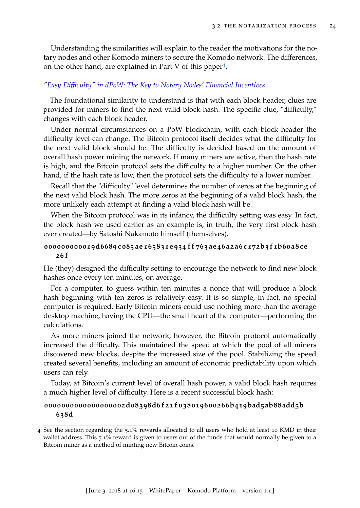Understanding the similarities will explain to the reader the motivations for the notary nodes and other Komodo miners to secure the Komodo network. The differences, on the other hand, are explained in Part V of this paper<sup>[4](#page-30-0)</sup>.

### *"Easy Difficulty" in dPoW: The Key to Notary Nodes' Financial Incentives*

The foundational similarity to understand is that with each block header, clues are provided for miners to find the next valid block hash. The specific clue, "difficulty," changes with each block header.

Under normal circumstances on a PoW blockchain, with each block header the difficulty level can change. The Bitcoin protocol itself decides what the difficulty for the next valid block should be. The difficulty is decided based on the amount of overall hash power mining the network. If many miners are active, then the hash rate is high, and the Bitcoin protocol sets the difficulty to a higher number. On the other hand, if the hash rate is low, then the protocol sets the difficulty to a lower number.

Recall that the "difficulty" level determines the number of zeros at the beginning of the next valid block hash. The more zeros at the beginning of a valid block hash, the more unlikely each attempt at finding a valid block hash will be.

When the Bitcoin protocol was in its infancy, the difficulty setting was easy. In fact, the block hash we used earlier as an example is, in truth, the very first block hash ever created—by Satoshi Nakamoto himself (themselves).

### 000000000019d6689c085ae165831e934ff763ae46a2a6c172b3f1b60a8ce **26 f**

He (they) designed the difficulty setting to encourage the network to find new block hashes once every ten minutes, on average.

For a computer, to guess within ten minutes a nonce that will produce a block hash beginning with ten zeros is relatively easy. It is so simple, in fact, no special computer is required. Early Bitcoin miners could use nothing more than the average desktop machine, having the CPU—the small heart of the computer—performing the calculations.

As more miners joined the network, however, the Bitcoin protocol automatically increased the difficulty. This maintained the speed at which the pool of all miners discovered new blocks, despite the increased size of the pool. Stabilizing the speed created several benefits, including an amount of economic predictability upon which users can rely.

Today, at Bitcoin's current level of overall hash power, a valid block hash requires a much higher level of difficulty. Here is a recent successful block hash:

### **0000000000000000002d08398d6 f 21 f 038019600266b419bad5ab88add5b 638d**

<span id="page-30-0"></span><sup>4</sup> See the section regarding the 5.1% rewards allocated to all users who hold at least 10 KMD in their wallet address. This 5.1% reward is given to users out of the funds that would normally be given to a Bitcoin miner as a method of minting new Bitcoin coins.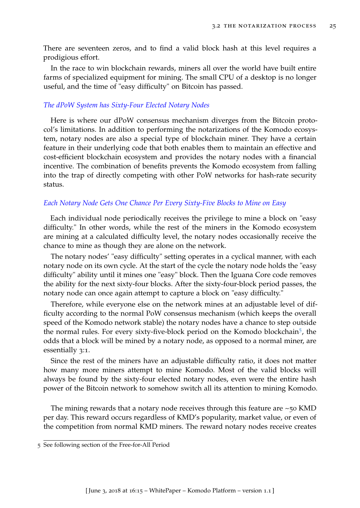There are seventeen zeros, and to find a valid block hash at this level requires a prodigious effort.

In the race to win blockchain rewards, miners all over the world have built entire farms of specialized equipment for mining. The small CPU of a desktop is no longer useful, and the time of "easy difficulty" on Bitcoin has passed.

### *The dPoW System has Sixty-Four Elected Notary Nodes*

Here is where our dPoW consensus mechanism diverges from the Bitcoin protocol's limitations. In addition to performing the notarizations of the Komodo ecosystem, notary nodes are also a special type of blockchain miner. They have a certain feature in their underlying code that both enables them to maintain an effective and cost-efficient blockchain ecosystem and provides the notary nodes with a financial incentive. The combination of benefits prevents the Komodo ecosystem from falling into the trap of directly competing with other PoW networks for hash-rate security status.

### *Each Notary Node Gets One Chance Per Every Sixty-Five Blocks to Mine on Easy*

Each individual node periodically receives the privilege to mine a block on "easy difficulty." In other words, while the rest of the miners in the Komodo ecosystem are mining at a calculated difficulty level, the notary nodes occasionally receive the chance to mine as though they are alone on the network.

The notary nodes' "easy difficulty" setting operates in a cyclical manner, with each notary node on its own cycle. At the start of the cycle the notary node holds the "easy difficulty" ability until it mines one "easy" block. Then the Iguana Core code removes the ability for the next sixty-four blocks. After the sixty-four-block period passes, the notary node can once again attempt to capture a block on "easy difficulty."

Therefore, while everyone else on the network mines at an adjustable level of difficulty according to the normal PoW consensus mechanism (which keeps the overall speed of the Komodo network stable) the notary nodes have a chance to step outside the normal rules. For every sixty-five-block period on the Komodo blockchain[5](#page-31-0) , the odds that a block will be mined by a notary node, as opposed to a normal miner, are essentially 3:1.

Since the rest of the miners have an adjustable difficulty ratio, it does not matter how many more miners attempt to mine Komodo. Most of the valid blocks will always be found by the sixty-four elected notary nodes, even were the entire hash power of the Bitcoin network to somehow switch all its attention to mining Komodo.

The mining rewards that a notary node receives through this feature are  $\sim$ 50 KMD per day. This reward occurs regardless of KMD's popularity, market value, or even of the competition from normal KMD miners. The reward notary nodes receive creates

<span id="page-31-0"></span><sup>5</sup> See following section of the Free-for-All Period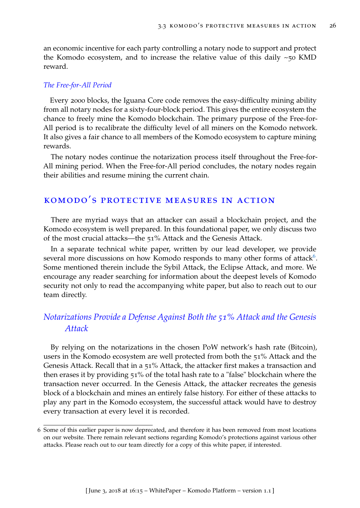an economic incentive for each party controlling a notary node to support and protect the Komodo ecosystem, and to increase the relative value of this daily  $\sim$ 50 KMD reward.

### *The Free-for-All Period*

Every 2000 blocks, the Iguana Core code removes the easy-difficulty mining ability from all notary nodes for a sixty-four-block period. This gives the entire ecosystem the chance to freely mine the Komodo blockchain. The primary purpose of the Free-for-All period is to recalibrate the difficulty level of all miners on the Komodo network. It also gives a fair chance to all members of the Komodo ecosystem to capture mining rewards.

The notary nodes continue the notarization process itself throughout the Free-for-All mining period. When the Free-for-All period concludes, the notary nodes regain their abilities and resume mining the current chain.

# <span id="page-32-0"></span>komodo's protective measures in action

There are myriad ways that an attacker can assail a blockchain project, and the Komodo ecosystem is well prepared. In this foundational paper, we only discuss two of the most crucial attacks—the 51% Attack and the Genesis Attack.

In a separate technical white paper, written by our lead developer, we provide several more discussions on how Komodo responds to many other forms of attack<sup>[6](#page-32-2)</sup>. Some mentioned therein include the Sybil Attack, the Eclipse Attack, and more. We encourage any reader searching for information about the deepest levels of Komodo security not only to read the accompanying white paper, but also to reach out to our team directly.

# <span id="page-32-1"></span>*Notarizations Provide a Defense Against Both the 51% Attack and the Genesis Attack*

By relying on the notarizations in the chosen PoW network's hash rate (Bitcoin), users in the Komodo ecosystem are well protected from both the 51% Attack and the Genesis Attack. Recall that in a 51% Attack, the attacker first makes a transaction and then erases it by providing 51% of the total hash rate to a "false" blockchain where the transaction never occurred. In the Genesis Attack, the attacker recreates the genesis block of a blockchain and mines an entirely false history. For either of these attacks to play any part in the Komodo ecosystem, the successful attack would have to destroy every transaction at every level it is recorded.

<span id="page-32-2"></span><sup>6</sup> Some of this earlier paper is now deprecated, and therefore it has been removed from most locations on our website. There remain relevant sections regarding Komodo's protections against various other attacks. Please reach out to our team directly for a copy of this white paper, if interested.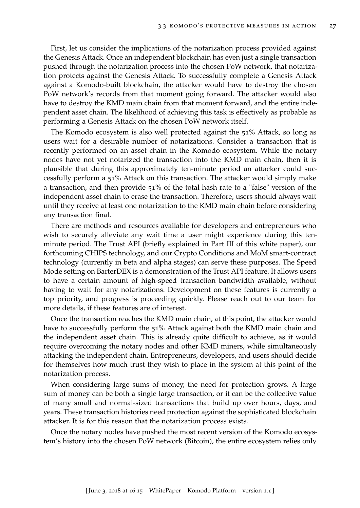First, let us consider the implications of the notarization process provided against the Genesis Attack. Once an independent blockchain has even just a single transaction pushed through the notarization process into the chosen PoW network, that notarization protects against the Genesis Attack. To successfully complete a Genesis Attack against a Komodo-built blockchain, the attacker would have to destroy the chosen PoW network's records from that moment going forward. The attacker would also have to destroy the KMD main chain from that moment forward, and the entire independent asset chain. The likelihood of achieving this task is effectively as probable as performing a Genesis Attack on the chosen PoW network itself.

The Komodo ecosystem is also well protected against the 51% Attack, so long as users wait for a desirable number of notarizations. Consider a transaction that is recently performed on an asset chain in the Komodo ecosystem. While the notary nodes have not yet notarized the transaction into the KMD main chain, then it is plausible that during this approximately ten-minute period an attacker could successfully perform a 51% Attack on this transaction. The attacker would simply make a transaction, and then provide 51% of the total hash rate to a "false" version of the independent asset chain to erase the transaction. Therefore, users should always wait until they receive at least one notarization to the KMD main chain before considering any transaction final.

There are methods and resources available for developers and entrepreneurs who wish to securely alleviate any wait time a user might experience during this tenminute period. The Trust API (briefly explained in Part III of this white paper), our forthcoming CHIPS technology, and our Crypto Conditions and MoM smart-contract technology (currently in beta and alpha stages) can serve these purposes. The Speed Mode setting on BarterDEX is a demonstration of the Trust API feature. It allows users to have a certain amount of high-speed transaction bandwidth available, without having to wait for any notarizations. Development on these features is currently a top priority, and progress is proceeding quickly. Please reach out to our team for more details, if these features are of interest.

Once the transaction reaches the KMD main chain, at this point, the attacker would have to successfully perform the 51% Attack against both the KMD main chain and the independent asset chain. This is already quite difficult to achieve, as it would require overcoming the notary nodes and other KMD miners, while simultaneously attacking the independent chain. Entrepreneurs, developers, and users should decide for themselves how much trust they wish to place in the system at this point of the notarization process.

When considering large sums of money, the need for protection grows. A large sum of money can be both a single large transaction, or it can be the collective value of many small and normal-sized transactions that build up over hours, days, and years. These transaction histories need protection against the sophisticated blockchain attacker. It is for this reason that the notarization process exists.

Once the notary nodes have pushed the most recent version of the Komodo ecosystem's history into the chosen PoW network (Bitcoin), the entire ecosystem relies only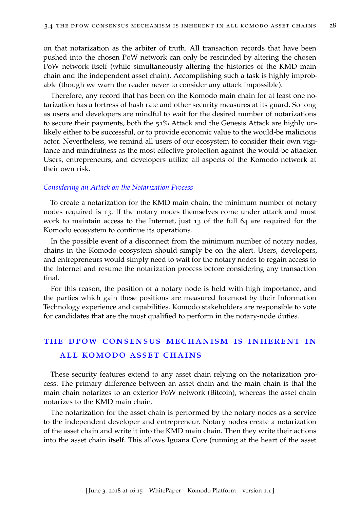on that notarization as the arbiter of truth. All transaction records that have been pushed into the chosen PoW network can only be rescinded by altering the chosen PoW network itself (while simultaneously altering the histories of the KMD main chain and the independent asset chain). Accomplishing such a task is highly improbable (though we warn the reader never to consider any attack impossible).

Therefore, any record that has been on the Komodo main chain for at least one notarization has a fortress of hash rate and other security measures at its guard. So long as users and developers are mindful to wait for the desired number of notarizations to secure their payments, both the 51% Attack and the Genesis Attack are highly unlikely either to be successful, or to provide economic value to the would-be malicious actor. Nevertheless, we remind all users of our ecosystem to consider their own vigilance and mindfulness as the most effective protection against the would-be attacker. Users, entrepreneurs, and developers utilize all aspects of the Komodo network at their own risk.

#### *Considering an Attack on the Notarization Process*

To create a notarization for the KMD main chain, the minimum number of notary nodes required is 13. If the notary nodes themselves come under attack and must work to maintain access to the Internet, just 13 of the full 64 are required for the Komodo ecosystem to continue its operations.

In the possible event of a disconnect from the minimum number of notary nodes, chains in the Komodo ecosystem should simply be on the alert. Users, developers, and entrepreneurs would simply need to wait for the notary nodes to regain access to the Internet and resume the notarization process before considering any transaction final.

For this reason, the position of a notary node is held with high importance, and the parties which gain these positions are measured foremost by their Information Technology experience and capabilities. Komodo stakeholders are responsible to vote for candidates that are the most qualified to perform in the notary-node duties.

# <span id="page-34-0"></span>the dpow consensus mechanism is inherent in all komodo asset chains

These security features extend to any asset chain relying on the notarization process. The primary difference between an asset chain and the main chain is that the main chain notarizes to an exterior PoW network (Bitcoin), whereas the asset chain notarizes to the KMD main chain.

The notarization for the asset chain is performed by the notary nodes as a service to the independent developer and entrepreneur. Notary nodes create a notarization of the asset chain and write it into the KMD main chain. Then they write their actions into the asset chain itself. This allows Iguana Core (running at the heart of the asset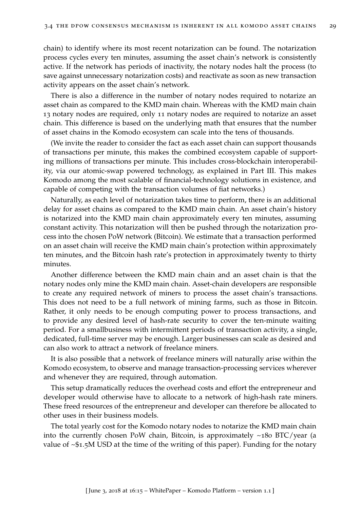chain) to identify where its most recent notarization can be found. The notarization process cycles every ten minutes, assuming the asset chain's network is consistently active. If the network has periods of inactivity, the notary nodes halt the process (to save against unnecessary notarization costs) and reactivate as soon as new transaction activity appears on the asset chain's network.

There is also a difference in the number of notary nodes required to notarize an asset chain as compared to the KMD main chain. Whereas with the KMD main chain 13 notary nodes are required, only 11 notary nodes are required to notarize an asset chain. This difference is based on the underlying math that ensures that the number of asset chains in the Komodo ecosystem can scale into the tens of thousands.

(We invite the reader to consider the fact as each asset chain can support thousands of transactions per minute, this makes the combined ecosystem capable of supporting millions of transactions per minute. This includes cross-blockchain interoperability, via our atomic-swap powered technology, as explained in Part III. This makes Komodo among the most scalable of financial-technology solutions in existence, and capable of competing with the transaction volumes of fiat networks.)

Naturally, as each level of notarization takes time to perform, there is an additional delay for asset chains as compared to the KMD main chain. An asset chain's history is notarized into the KMD main chain approximately every ten minutes, assuming constant activity. This notarization will then be pushed through the notarization process into the chosen PoW network (Bitcoin). We estimate that a transaction performed on an asset chain will receive the KMD main chain's protection within approximately ten minutes, and the Bitcoin hash rate's protection in approximately twenty to thirty minutes.

Another difference between the KMD main chain and an asset chain is that the notary nodes only mine the KMD main chain. Asset-chain developers are responsible to create any required network of miners to process the asset chain's transactions. This does not need to be a full network of mining farms, such as those in Bitcoin. Rather, it only needs to be enough computing power to process transactions, and to provide any desired level of hash-rate security to cover the ten-minute waiting period. For a smallbusiness with intermittent periods of transaction activity, a single, dedicated, full-time server may be enough. Larger businesses can scale as desired and can also work to attract a network of freelance miners.

It is also possible that a network of freelance miners will naturally arise within the Komodo ecosystem, to observe and manage transaction-processing services wherever and whenever they are required, through automation.

This setup dramatically reduces the overhead costs and effort the entrepreneur and developer would otherwise have to allocate to a network of high-hash rate miners. These freed resources of the entrepreneur and developer can therefore be allocated to other uses in their business models.

The total yearly cost for the Komodo notary nodes to notarize the KMD main chain into the currently chosen PoW chain, Bitcoin, is approximately  $\sim$ 180 BTC/year (a value of  $\sim$ \$1.5M USD at the time of the writing of this paper). Funding for the notary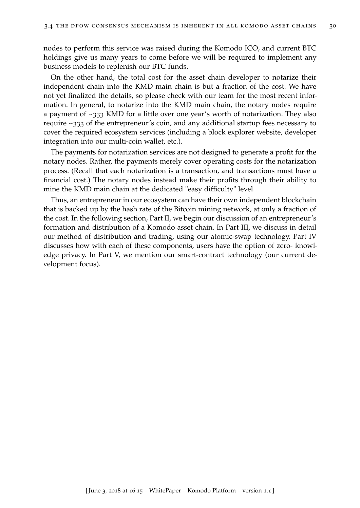nodes to perform this service was raised during the Komodo ICO, and current BTC holdings give us many years to come before we will be required to implement any business models to replenish our BTC funds.

On the other hand, the total cost for the asset chain developer to notarize their independent chain into the KMD main chain is but a fraction of the cost. We have not yet finalized the details, so please check with our team for the most recent information. In general, to notarize into the KMD main chain, the notary nodes require a payment of ~333 KMD for a little over one year's worth of notarization. They also require ~333 of the entrepreneur's coin, and any additional startup fees necessary to cover the required ecosystem services (including a block explorer website, developer integration into our multi-coin wallet, etc.).

The payments for notarization services are not designed to generate a profit for the notary nodes. Rather, the payments merely cover operating costs for the notarization process. (Recall that each notarization is a transaction, and transactions must have a financial cost.) The notary nodes instead make their profits through their ability to mine the KMD main chain at the dedicated "easy difficulty" level.

Thus, an entrepreneur in our ecosystem can have their own independent blockchain that is backed up by the hash rate of the Bitcoin mining network, at only a fraction of the cost. In the following section, Part II, we begin our discussion of an entrepreneur's formation and distribution of a Komodo asset chain. In Part III, we discuss in detail our method of distribution and trading, using our atomic-swap technology. Part IV discusses how with each of these components, users have the option of zero- knowledge privacy. In Part V, we mention our smart-contract technology (our current development focus).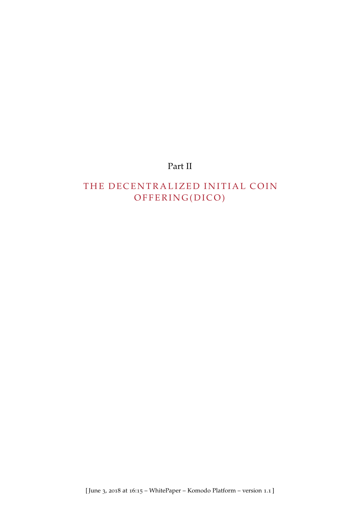# Part II

# THE DECENTRALIZED INITIAL COIN OFFERING(DICO)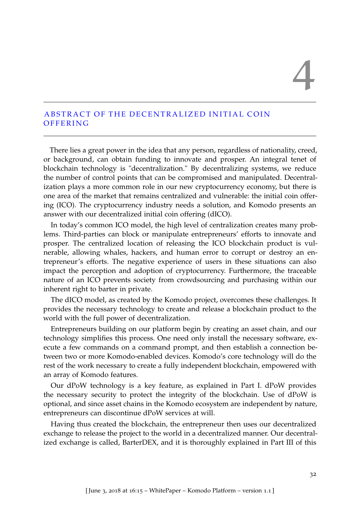# 4

# ABSTRACT OF THE DECENTRALIZED INITIAL COIN **OFFERING**

There lies a great power in the idea that any person, regardless of nationality, creed, or background, can obtain funding to innovate and prosper. An integral tenet of blockchain technology is "decentralization." By decentralizing systems, we reduce the number of control points that can be compromised and manipulated. Decentralization plays a more common role in our new cryptocurrency economy, but there is one area of the market that remains centralized and vulnerable: the initial coin offering (ICO). The cryptocurrency industry needs a solution, and Komodo presents an answer with our decentralized initial coin offering (dICO).

In today's common ICO model, the high level of centralization creates many problems. Third-parties can block or manipulate entrepreneurs' efforts to innovate and prosper. The centralized location of releasing the ICO blockchain product is vulnerable, allowing whales, hackers, and human error to corrupt or destroy an entrepreneur's efforts. The negative experience of users in these situations can also impact the perception and adoption of cryptocurrency. Furthermore, the traceable nature of an ICO prevents society from crowdsourcing and purchasing within our inherent right to barter in private.

The dICO model, as created by the Komodo project, overcomes these challenges. It provides the necessary technology to create and release a blockchain product to the world with the full power of decentralization.

Entrepreneurs building on our platform begin by creating an asset chain, and our technology simplifies this process. One need only install the necessary software, execute a few commands on a command prompt, and then establish a connection between two or more Komodo-enabled devices. Komodo's core technology will do the rest of the work necessary to create a fully independent blockchain, empowered with an array of Komodo features.

Our dPoW technology is a key feature, as explained in Part I. dPoW provides the necessary security to protect the integrity of the blockchain. Use of dPoW is optional, and since asset chains in the Komodo ecosystem are independent by nature, entrepreneurs can discontinue dPoW services at will.

Having thus created the blockchain, the entrepreneur then uses our decentralized exchange to release the project to the world in a decentralized manner. Our decentralized exchange is called, BarterDEX, and it is thoroughly explained in Part III of this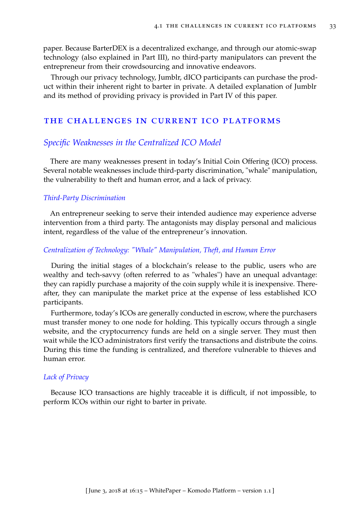paper. Because BarterDEX is a decentralized exchange, and through our atomic-swap technology (also explained in Part III), no third-party manipulators can prevent the entrepreneur from their crowdsourcing and innovative endeavors.

Through our privacy technology, Jumblr, dICO participants can purchase the product within their inherent right to barter in private. A detailed explanation of Jumblr and its method of providing privacy is provided in Part IV of this paper.

# the challenges in current ico platforms

# *Specific Weaknesses in the Centralized ICO Model*

There are many weaknesses present in today's Initial Coin Offering (ICO) process. Several notable weaknesses include third-party discrimination, "whale" manipulation, the vulnerability to theft and human error, and a lack of privacy.

### *Third-Party Discrimination*

An entrepreneur seeking to serve their intended audience may experience adverse intervention from a third party. The antagonists may display personal and malicious intent, regardless of the value of the entrepreneur's innovation.

### *Centralization of Technology: "Whale" Manipulation, Theft, and Human Error*

During the initial stages of a blockchain's release to the public, users who are wealthy and tech-savvy (often referred to as "whales") have an unequal advantage: they can rapidly purchase a majority of the coin supply while it is inexpensive. Thereafter, they can manipulate the market price at the expense of less established ICO participants.

Furthermore, today's ICOs are generally conducted in escrow, where the purchasers must transfer money to one node for holding. This typically occurs through a single website, and the cryptocurrency funds are held on a single server. They must then wait while the ICO administrators first verify the transactions and distribute the coins. During this time the funding is centralized, and therefore vulnerable to thieves and human error.

### *Lack of Privacy*

Because ICO transactions are highly traceable it is difficult, if not impossible, to perform ICOs within our right to barter in private.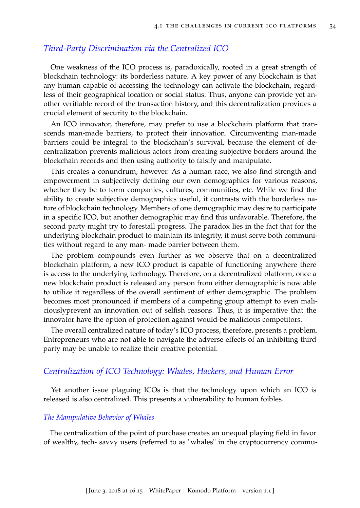# *Third-Party Discrimination via the Centralized ICO*

One weakness of the ICO process is, paradoxically, rooted in a great strength of blockchain technology: its borderless nature. A key power of any blockchain is that any human capable of accessing the technology can activate the blockchain, regardless of their geographical location or social status. Thus, anyone can provide yet another verifiable record of the transaction history, and this decentralization provides a crucial element of security to the blockchain.

An ICO innovator, therefore, may prefer to use a blockchain platform that transcends man-made barriers, to protect their innovation. Circumventing man-made barriers could be integral to the blockchain's survival, because the element of decentralization prevents malicious actors from creating subjective borders around the blockchain records and then using authority to falsify and manipulate.

This creates a conundrum, however. As a human race, we also find strength and empowerment in subjectively defining our own demographics for various reasons, whether they be to form companies, cultures, communities, etc. While we find the ability to create subjective demographics useful, it contrasts with the borderless nature of blockchain technology. Members of one demographic may desire to participate in a specific ICO, but another demographic may find this unfavorable. Therefore, the second party might try to forestall progress. The paradox lies in the fact that for the underlying blockchain product to maintain its integrity, it must serve both communities without regard to any man- made barrier between them.

The problem compounds even further as we observe that on a decentralized blockchain platform, a new ICO product is capable of functioning anywhere there is access to the underlying technology. Therefore, on a decentralized platform, once a new blockchain product is released any person from either demographic is now able to utilize it regardless of the overall sentiment of either demographic. The problem becomes most pronounced if members of a competing group attempt to even maliciouslyprevent an innovation out of selfish reasons. Thus, it is imperative that the innovator have the option of protection against would-be malicious competitors.

The overall centralized nature of today's ICO process, therefore, presents a problem. Entrepreneurs who are not able to navigate the adverse effects of an inhibiting third party may be unable to realize their creative potential.

## *Centralization of ICO Technology: Whales, Hackers, and Human Error*

Yet another issue plaguing ICOs is that the technology upon which an ICO is released is also centralized. This presents a vulnerability to human foibles.

### *The Manipulative Behavior of Whales*

The centralization of the point of purchase creates an unequal playing field in favor of wealthy, tech- savvy users (referred to as "whales" in the cryptocurrency commu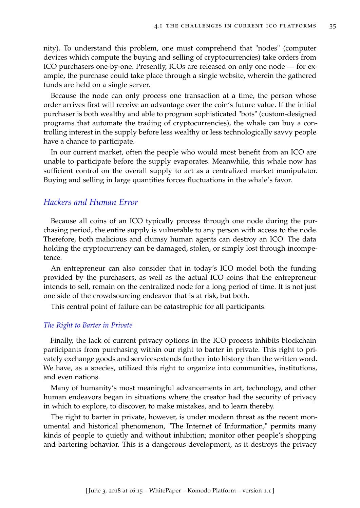nity). To understand this problem, one must comprehend that "nodes" (computer devices which compute the buying and selling of cryptocurrencies) take orders from ICO purchasers one-by-one. Presently, ICOs are released on only one node — for example, the purchase could take place through a single website, wherein the gathered funds are held on a single server.

Because the node can only process one transaction at a time, the person whose order arrives first will receive an advantage over the coin's future value. If the initial purchaser is both wealthy and able to program sophisticated "bots" (custom-designed programs that automate the trading of cryptocurrencies), the whale can buy a controlling interest in the supply before less wealthy or less technologically savvy people have a chance to participate.

In our current market, often the people who would most benefit from an ICO are unable to participate before the supply evaporates. Meanwhile, this whale now has sufficient control on the overall supply to act as a centralized market manipulator. Buying and selling in large quantities forces fluctuations in the whale's favor.

## *Hackers and Human Error*

Because all coins of an ICO typically process through one node during the purchasing period, the entire supply is vulnerable to any person with access to the node. Therefore, both malicious and clumsy human agents can destroy an ICO. The data holding the cryptocurrency can be damaged, stolen, or simply lost through incompetence.

An entrepreneur can also consider that in today's ICO model both the funding provided by the purchasers, as well as the actual ICO coins that the entrepreneur intends to sell, remain on the centralized node for a long period of time. It is not just one side of the crowdsourcing endeavor that is at risk, but both.

This central point of failure can be catastrophic for all participants.

### *The Right to Barter in Private*

Finally, the lack of current privacy options in the ICO process inhibits blockchain participants from purchasing within our right to barter in private. This right to privately exchange goods and servicesextends further into history than the written word. We have, as a species, utilized this right to organize into communities, institutions, and even nations.

Many of humanity's most meaningful advancements in art, technology, and other human endeavors began in situations where the creator had the security of privacy in which to explore, to discover, to make mistakes, and to learn thereby.

The right to barter in private, however, is under modern threat as the recent monumental and historical phenomenon, "The Internet of Information," permits many kinds of people to quietly and without inhibition; monitor other people's shopping and bartering behavior. This is a dangerous development, as it destroys the privacy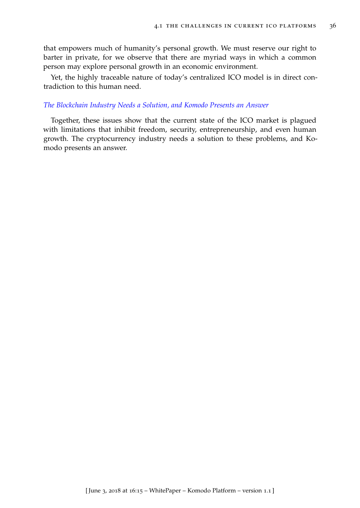that empowers much of humanity's personal growth. We must reserve our right to barter in private, for we observe that there are myriad ways in which a common person may explore personal growth in an economic environment.

Yet, the highly traceable nature of today's centralized ICO model is in direct contradiction to this human need.

### *The Blockchain Industry Needs a Solution, and Komodo Presents an Answer*

Together, these issues show that the current state of the ICO market is plagued with limitations that inhibit freedom, security, entrepreneurship, and even human growth. The cryptocurrency industry needs a solution to these problems, and Komodo presents an answer.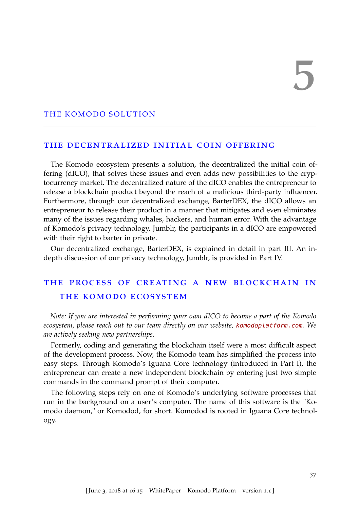### THE KOMODO SOLUTION

### the decentralized initial coin offering

The Komodo ecosystem presents a solution, the decentralized the initial coin offering (dICO), that solves these issues and even adds new possibilities to the cryptocurrency market. The decentralized nature of the dICO enables the entrepreneur to release a blockchain product beyond the reach of a malicious third-party influencer. Furthermore, through our decentralized exchange, BarterDEX, the dICO allows an entrepreneur to release their product in a manner that mitigates and even eliminates many of the issues regarding whales, hackers, and human error. With the advantage of Komodo's privacy technology, Jumblr, the participants in a dICO are empowered with their right to barter in private.

Our decentralized exchange, BarterDEX, is explained in detail in part III. An indepth discussion of our privacy technology, Jumblr, is provided in Part IV.

# the process of creating a new blockchain in the komodo ecosystem

*Note: If you are interested in performing your own dICO to become a part of the Komodo ecosystem, please reach out to our team directly on our website,* <komodoplatform.com>*. We are actively seeking new partnerships.*

Formerly, coding and generating the blockchain itself were a most difficult aspect of the development process. Now, the Komodo team has simplified the process into easy steps. Through Komodo's Iguana Core technology (introduced in Part I), the entrepreneur can create a new independent blockchain by entering just two simple commands in the command prompt of their computer.

The following steps rely on one of Komodo's underlying software processes that run in the background on a user's computer. The name of this software is the "Komodo daemon," or Komodod, for short. Komodod is rooted in Iguana Core technology.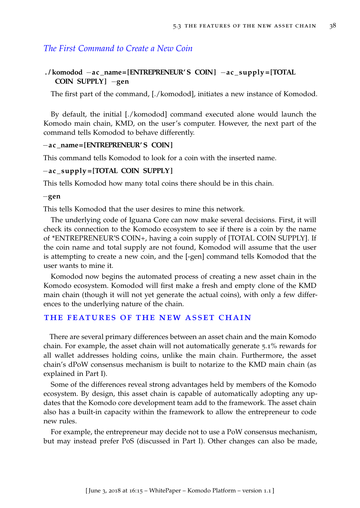# *The First Command to Create a New Coin*

# **. / komodod** −**ac \_name= [ENTREPRENEUR' S COIN]** −**ac \_ supply = [TOTAL COIN SUPPLY ]** −**gen**

The first part of the command, [./komodod], initiates a new instance of Komodod.

By default, the initial [./komodod] command executed alone would launch the Komodo main chain, KMD, on the user's computer. However, the next part of the command tells Komodod to behave differently.

### −**ac \_name= [ENTREPRENEUR' S COIN]**

This command tells Komodod to look for a coin with the inserted name.

### −**ac \_ supply = [TOTAL COIN SUPPLY ]**

This tells Komodod how many total coins there should be in this chain.

### −**gen**

This tells Komodod that the user desires to mine this network.

The underlying code of Iguana Core can now make several decisions. First, it will check its connection to the Komodo ecosystem to see if there is a coin by the name of \*ENTREPRENEUR'S COIN+, having a coin supply of [TOTAL COIN SUPPLY]. If the coin name and total supply are not found, Komodod will assume that the user is attempting to create a new coin, and the [-gen] command tells Komodod that the user wants to mine it.

Komodod now begins the automated process of creating a new asset chain in the Komodo ecosystem. Komodod will first make a fresh and empty clone of the KMD main chain (though it will not yet generate the actual coins), with only a few differences to the underlying nature of the chain.

### THE FEATURES OF THE NEW ASSET CHAIN

There are several primary differences between an asset chain and the main Komodo chain. For example, the asset chain will not automatically generate 5.1% rewards for all wallet addresses holding coins, unlike the main chain. Furthermore, the asset chain's dPoW consensus mechanism is built to notarize to the KMD main chain (as explained in Part I).

Some of the differences reveal strong advantages held by members of the Komodo ecosystem. By design, this asset chain is capable of automatically adopting any updates that the Komodo core development team add to the framework. The asset chain also has a built-in capacity within the framework to allow the entrepreneur to code new rules.

For example, the entrepreneur may decide not to use a PoW consensus mechanism, but may instead prefer PoS (discussed in Part I). Other changes can also be made,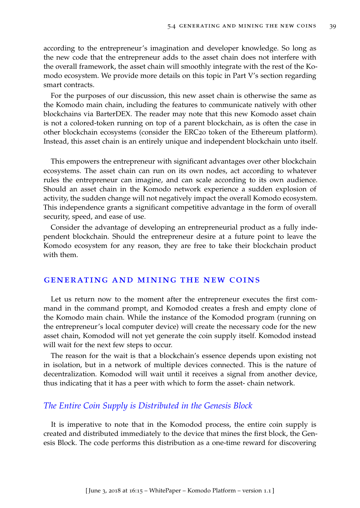according to the entrepreneur's imagination and developer knowledge. So long as the new code that the entrepreneur adds to the asset chain does not interfere with the overall framework, the asset chain will smoothly integrate with the rest of the Komodo ecosystem. We provide more details on this topic in Part V's section regarding smart contracts.

For the purposes of our discussion, this new asset chain is otherwise the same as the Komodo main chain, including the features to communicate natively with other blockchains via BarterDEX. The reader may note that this new Komodo asset chain is not a colored-token running on top of a parent blockchain, as is often the case in other blockchain ecosystems (consider the ERC20 token of the Ethereum platform). Instead, this asset chain is an entirely unique and independent blockchain unto itself.

This empowers the entrepreneur with significant advantages over other blockchain ecosystems. The asset chain can run on its own nodes, act according to whatever rules the entrepreneur can imagine, and can scale according to its own audience. Should an asset chain in the Komodo network experience a sudden explosion of activity, the sudden change will not negatively impact the overall Komodo ecosystem. This independence grants a significant competitive advantage in the form of overall security, speed, and ease of use.

Consider the advantage of developing an entrepreneurial product as a fully independent blockchain. Should the entrepreneur desire at a future point to leave the Komodo ecosystem for any reason, they are free to take their blockchain product with them.

### generating and mining the new coins

Let us return now to the moment after the entrepreneur executes the first command in the command prompt, and Komodod creates a fresh and empty clone of the Komodo main chain. While the instance of the Komodod program (running on the entrepreneur's local computer device) will create the necessary code for the new asset chain, Komodod will not yet generate the coin supply itself. Komodod instead will wait for the next few steps to occur.

The reason for the wait is that a blockchain's essence depends upon existing not in isolation, but in a network of multiple devices connected. This is the nature of decentralization. Komodod will wait until it receives a signal from another device, thus indicating that it has a peer with which to form the asset- chain network.

# *The Entire Coin Supply is Distributed in the Genesis Block*

It is imperative to note that in the Komodod process, the entire coin supply is created and distributed immediately to the device that mines the first block, the Genesis Block. The code performs this distribution as a one-time reward for discovering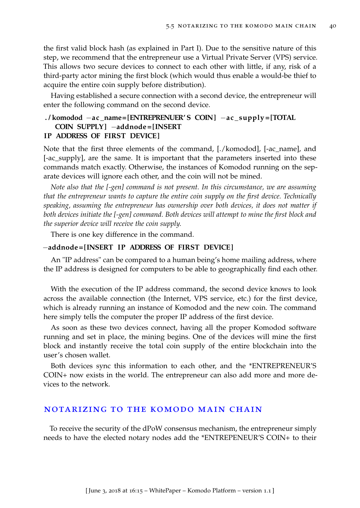the first valid block hash (as explained in Part I). Due to the sensitive nature of this step, we recommend that the entrepreneur use a Virtual Private Server (VPS) service. This allows two secure devices to connect to each other with little, if any, risk of a third-party actor mining the first block (which would thus enable a would-be thief to acquire the entire coin supply before distribution).

Having established a secure connection with a second device, the entrepreneur will enter the following command on the second device.

# **. / komodod** −**ac \_name= [ENTREPRENUER' S COIN]** −**ac \_ supply = [TOTAL COIN SUPPLY ]** −**addnode= [INSERT IP ADDRESS OF FIRST DEVICE ]**

# Note that the first three elements of the command, [./komodod], [-ac\_name], and [-ac\_supply], are the same. It is important that the parameters inserted into these commands match exactly. Otherwise, the instances of Komodod running on the separate devices will ignore each other, and the coin will not be mined.

*Note also that the [-gen] command is not present. In this circumstance, we are assuming that the entrepreneur wants to capture the entire coin supply on the first device. Technically speaking, assuming the entrepreneur has ownership over both devices, it does not matter if both devices initiate the [-gen] command. Both devices will attempt to mine the first block and the superior device will receive the coin supply.*

There is one key difference in the command.

## −**addnode= [INSERT IP ADDRESS OF FIRST DEVICE ]**

An "IP address" can be compared to a human being's home mailing address, where the IP address is designed for computers to be able to geographically find each other.

With the execution of the IP address command, the second device knows to look across the available connection (the Internet, VPS service, etc.) for the first device, which is already running an instance of Komodod and the new coin. The command here simply tells the computer the proper IP address of the first device.

As soon as these two devices connect, having all the proper Komodod software running and set in place, the mining begins. One of the devices will mine the first block and instantly receive the total coin supply of the entire blockchain into the user's chosen wallet.

Both devices sync this information to each other, and the \*ENTREPRENEUR'S COIN+ now exists in the world. The entrepreneur can also add more and more devices to the network.

## notarizing to the komodo main chain

To receive the security of the dPoW consensus mechanism, the entrepreneur simply needs to have the elected notary nodes add the \*ENTREPENEUR'S COIN+ to their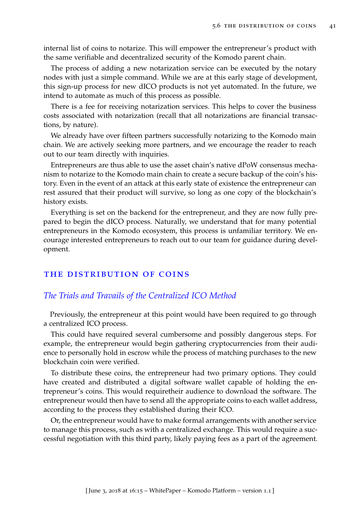internal list of coins to notarize. This will empower the entrepreneur's product with the same verifiable and decentralized security of the Komodo parent chain.

The process of adding a new notarization service can be executed by the notary nodes with just a simple command. While we are at this early stage of development, this sign-up process for new dICO products is not yet automated. In the future, we intend to automate as much of this process as possible.

There is a fee for receiving notarization services. This helps to cover the business costs associated with notarization (recall that all notarizations are financial transactions, by nature).

We already have over fifteen partners successfully notarizing to the Komodo main chain. We are actively seeking more partners, and we encourage the reader to reach out to our team directly with inquiries.

Entrepreneurs are thus able to use the asset chain's native dPoW consensus mechanism to notarize to the Komodo main chain to create a secure backup of the coin's history. Even in the event of an attack at this early state of existence the entrepreneur can rest assured that their product will survive, so long as one copy of the blockchain's history exists.

Everything is set on the backend for the entrepreneur, and they are now fully prepared to begin the dICO process. Naturally, we understand that for many potential entrepreneurs in the Komodo ecosystem, this process is unfamiliar territory. We encourage interested entrepreneurs to reach out to our team for guidance during development.

## the distribution of coins

## *The Trials and Travails of the Centralized ICO Method*

Previously, the entrepreneur at this point would have been required to go through a centralized ICO process.

This could have required several cumbersome and possibly dangerous steps. For example, the entrepreneur would begin gathering cryptocurrencies from their audience to personally hold in escrow while the process of matching purchases to the new blockchain coin were verified.

To distribute these coins, the entrepreneur had two primary options. They could have created and distributed a digital software wallet capable of holding the entrepreneur's coins. This would requiretheir audience to download the software. The entrepreneur would then have to send all the appropriate coins to each wallet address, according to the process they established during their ICO.

Or, the entrepreneur would have to make formal arrangements with another service to manage this process, such as with a centralized exchange. This would require a successful negotiation with this third party, likely paying fees as a part of the agreement.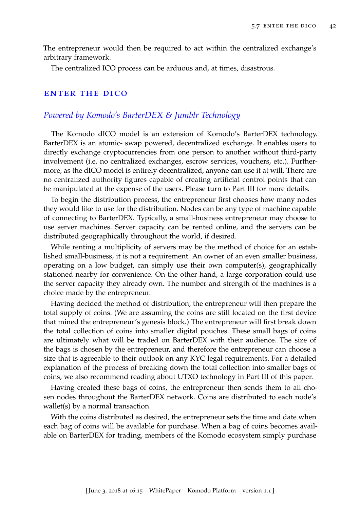The entrepreneur would then be required to act within the centralized exchange's arbitrary framework.

The centralized ICO process can be arduous and, at times, disastrous.

### **ENTER THE DICO**

# *Powered by Komodo's BarterDEX & Jumblr Technology*

The Komodo dICO model is an extension of Komodo's BarterDEX technology. BarterDEX is an atomic- swap powered, decentralized exchange. It enables users to directly exchange cryptocurrencies from one person to another without third-party involvement (i.e. no centralized exchanges, escrow services, vouchers, etc.). Furthermore, as the dICO model is entirely decentralized, anyone can use it at will. There are no centralized authority figures capable of creating artificial control points that can be manipulated at the expense of the users. Please turn to Part III for more details.

To begin the distribution process, the entrepreneur first chooses how many nodes they would like to use for the distribution. Nodes can be any type of machine capable of connecting to BarterDEX. Typically, a small-business entrepreneur may choose to use server machines. Server capacity can be rented online, and the servers can be distributed geographically throughout the world, if desired.

While renting a multiplicity of servers may be the method of choice for an established small-business, it is not a requirement. An owner of an even smaller business, operating on a low budget, can simply use their own computer(s), geographically stationed nearby for convenience. On the other hand, a large corporation could use the server capacity they already own. The number and strength of the machines is a choice made by the entrepreneur.

Having decided the method of distribution, the entrepreneur will then prepare the total supply of coins. (We are assuming the coins are still located on the first device that mined the entrepreneur's genesis block.) The entrepreneur will first break down the total collection of coins into smaller digital pouches. These small bags of coins are ultimately what will be traded on BarterDEX with their audience. The size of the bags is chosen by the entrepreneur, and therefore the entrepreneur can choose a size that is agreeable to their outlook on any KYC legal requirements. For a detailed explanation of the process of breaking down the total collection into smaller bags of coins, we also recommend reading about UTXO technology in Part III of this paper.

Having created these bags of coins, the entrepreneur then sends them to all chosen nodes throughout the BarterDEX network. Coins are distributed to each node's wallet(s) by a normal transaction.

With the coins distributed as desired, the entrepreneur sets the time and date when each bag of coins will be available for purchase. When a bag of coins becomes available on BarterDEX for trading, members of the Komodo ecosystem simply purchase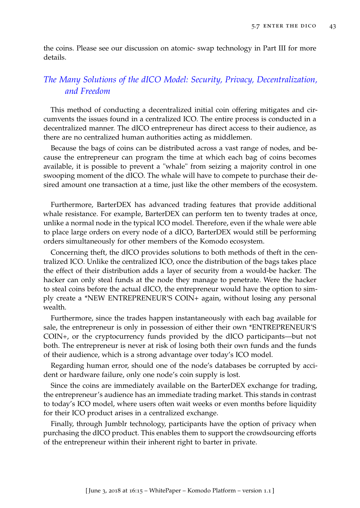the coins. Please see our discussion on atomic- swap technology in Part III for more details.

# *The Many Solutions of the dICO Model: Security, Privacy, Decentralization, and Freedom*

This method of conducting a decentralized initial coin offering mitigates and circumvents the issues found in a centralized ICO. The entire process is conducted in a decentralized manner. The dICO entrepreneur has direct access to their audience, as there are no centralized human authorities acting as middlemen.

Because the bags of coins can be distributed across a vast range of nodes, and because the entrepreneur can program the time at which each bag of coins becomes available, it is possible to prevent a "whale" from seizing a majority control in one swooping moment of the dICO. The whale will have to compete to purchase their desired amount one transaction at a time, just like the other members of the ecosystem.

Furthermore, BarterDEX has advanced trading features that provide additional whale resistance. For example, BarterDEX can perform ten to twenty trades at once, unlike a normal node in the typical ICO model. Therefore, even if the whale were able to place large orders on every node of a dICO, BarterDEX would still be performing orders simultaneously for other members of the Komodo ecosystem.

Concerning theft, the dICO provides solutions to both methods of theft in the centralized ICO. Unlike the centralized ICO, once the distribution of the bags takes place the effect of their distribution adds a layer of security from a would-be hacker. The hacker can only steal funds at the node they manage to penetrate. Were the hacker to steal coins before the actual dICO, the entrepreneur would have the option to simply create a \*NEW ENTREPRENEUR'S COIN+ again, without losing any personal wealth.

Furthermore, since the trades happen instantaneously with each bag available for sale, the entrepreneur is only in possession of either their own \*ENTREPRENEUR'S COIN+, or the cryptocurrency funds provided by the dICO participants—but not both. The entrepreneur is never at risk of losing both their own funds and the funds of their audience, which is a strong advantage over today's ICO model.

Regarding human error, should one of the node's databases be corrupted by accident or hardware failure, only one node's coin supply is lost.

Since the coins are immediately available on the BarterDEX exchange for trading, the entrepreneur's audience has an immediate trading market. This stands in contrast to today's ICO model, where users often wait weeks or even months before liquidity for their ICO product arises in a centralized exchange.

Finally, through Jumblr technology, participants have the option of privacy when purchasing the dICO product. This enables them to support the crowdsourcing efforts of the entrepreneur within their inherent right to barter in private.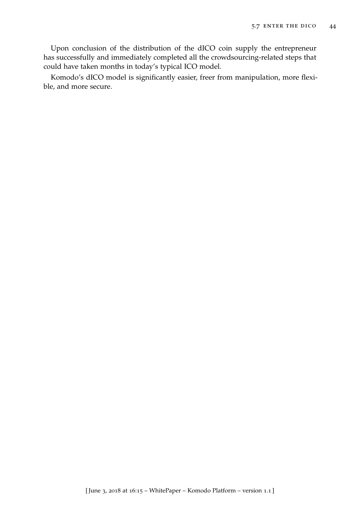Upon conclusion of the distribution of the dICO coin supply the entrepreneur has successfully and immediately completed all the crowdsourcing-related steps that could have taken months in today's typical ICO model.

Komodo's dICO model is significantly easier, freer from manipulation, more flexible, and more secure.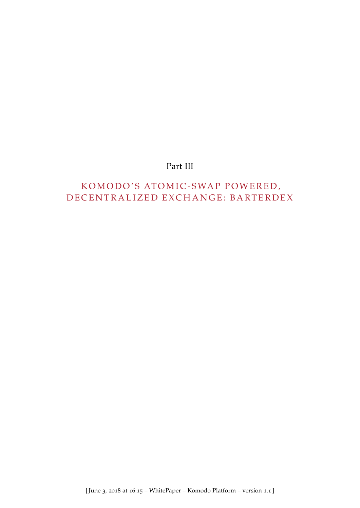# Part III

# KOMODO'S ATOMIC-SWAP POWERED, D E CENTRALIZED EXCHANGE: BARTERDEX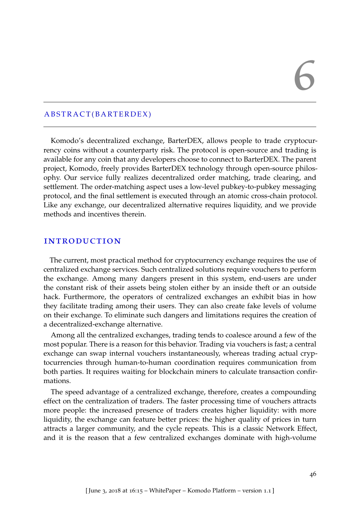# 6

# A B S T R A C T ( B A R T E R D E X )

Komodo's decentralized exchange, BarterDEX, allows people to trade cryptocurrency coins without a counterparty risk. The protocol is open-source and trading is available for any coin that any developers choose to connect to BarterDEX. The parent project, Komodo, freely provides BarterDEX technology through open-source philosophy. Our service fully realizes decentralized order matching, trade clearing, and settlement. The order-matching aspect uses a low-level pubkey-to-pubkey messaging protocol, and the final settlement is executed through an atomic cross-chain protocol. Like any exchange, our decentralized alternative requires liquidity, and we provide methods and incentives therein.

### **INTRODUCTION**

The current, most practical method for cryptocurrency exchange requires the use of centralized exchange services. Such centralized solutions require vouchers to perform the exchange. Among many dangers present in this system, end-users are under the constant risk of their assets being stolen either by an inside theft or an outside hack. Furthermore, the operators of centralized exchanges an exhibit bias in how they facilitate trading among their users. They can also create fake levels of volume on their exchange. To eliminate such dangers and limitations requires the creation of a decentralized-exchange alternative.

Among all the centralized exchanges, trading tends to coalesce around a few of the most popular. There is a reason for this behavior. Trading via vouchers is fast; a central exchange can swap internal vouchers instantaneously, whereas trading actual cryptocurrencies through human-to-human coordination requires communication from both parties. It requires waiting for blockchain miners to calculate transaction confirmations.

The speed advantage of a centralized exchange, therefore, creates a compounding effect on the centralization of traders. The faster processing time of vouchers attracts more people: the increased presence of traders creates higher liquidity: with more liquidity, the exchange can feature better prices: the higher quality of prices in turn attracts a larger community, and the cycle repeats. This is a classic Network Effect, and it is the reason that a few centralized exchanges dominate with high-volume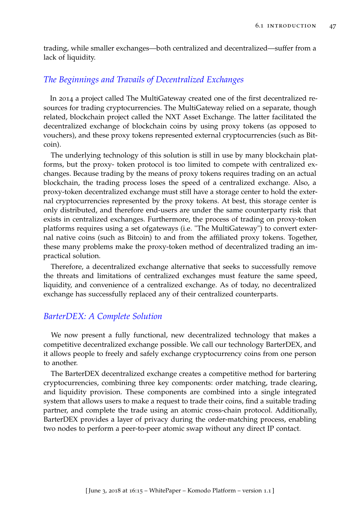trading, while smaller exchanges—both centralized and decentralized—suffer from a lack of liquidity.

# *The Beginnings and Travails of Decentralized Exchanges*

In 2014 a project called The MultiGateway created one of the first decentralized resources for trading cryptocurrencies. The MultiGateway relied on a separate, though related, blockchain project called the NXT Asset Exchange. The latter facilitated the decentralized exchange of blockchain coins by using proxy tokens (as opposed to vouchers), and these proxy tokens represented external cryptocurrencies (such as Bitcoin).

The underlying technology of this solution is still in use by many blockchain platforms, but the proxy- token protocol is too limited to compete with centralized exchanges. Because trading by the means of proxy tokens requires trading on an actual blockchain, the trading process loses the speed of a centralized exchange. Also, a proxy-token decentralized exchange must still have a storage center to hold the external cryptocurrencies represented by the proxy tokens. At best, this storage center is only distributed, and therefore end-users are under the same counterparty risk that exists in centralized exchanges. Furthermore, the process of trading on proxy-token platforms requires using a set ofgateways (i.e. "The MultiGateway") to convert external native coins (such as Bitcoin) to and from the affiliated proxy tokens. Together, these many problems make the proxy-token method of decentralized trading an impractical solution.

Therefore, a decentralized exchange alternative that seeks to successfully remove the threats and limitations of centralized exchanges must feature the same speed, liquidity, and convenience of a centralized exchange. As of today, no decentralized exchange has successfully replaced any of their centralized counterparts.

# *BarterDEX: A Complete Solution*

We now present a fully functional, new decentralized technology that makes a competitive decentralized exchange possible. We call our technology BarterDEX, and it allows people to freely and safely exchange cryptocurrency coins from one person to another.

The BarterDEX decentralized exchange creates a competitive method for bartering cryptocurrencies, combining three key components: order matching, trade clearing, and liquidity provision. These components are combined into a single integrated system that allows users to make a request to trade their coins, find a suitable trading partner, and complete the trade using an atomic cross-chain protocol. Additionally, BarterDEX provides a layer of privacy during the order-matching process, enabling two nodes to perform a peer-to-peer atomic swap without any direct IP contact.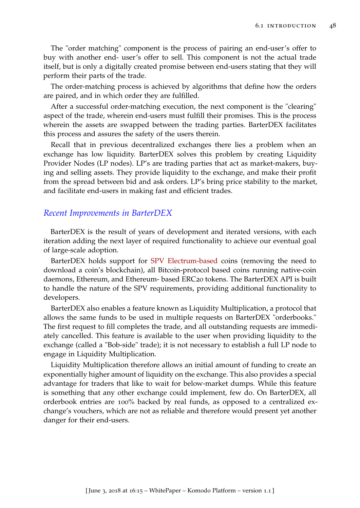The "order matching" component is the process of pairing an end-user's offer to buy with another end- user's offer to sell. This component is not the actual trade itself, but is only a digitally created promise between end-users stating that they will perform their parts of the trade.

The order-matching process is achieved by algorithms that define how the orders are paired, and in which order they are fulfilled.

After a successful order-matching execution, the next component is the "clearing" aspect of the trade, wherein end-users must fulfill their promises. This is the process wherein the assets are swapped between the trading parties. BarterDEX facilitates this process and assures the safety of the users therein.

Recall that in previous decentralized exchanges there lies a problem when an exchange has low liquidity. BarterDEX solves this problem by creating Liquidity Provider Nodes (LP nodes). LP's are trading parties that act as market-makers, buying and selling assets. They provide liquidity to the exchange, and make their profit from the spread between bid and ask orders. LP's bring price stability to the market, and facilitate end-users in making fast and efficient trades.

## *Recent Improvements in BarterDEX*

BarterDEX is the result of years of development and iterated versions, with each iteration adding the next layer of required functionality to achieve our eventual goal of large-scale adoption.

BarterDEX holds support for [SPV Electrum-based](https://en.bitcoin.it/wiki/Electrum) coins (removing the need to download a coin's blockchain), all Bitcoin-protocol based coins running native-coin daemons, Ethereum, and Ethereum- based ERC20 tokens. The BarterDEX API is built to handle the nature of the SPV requirements, providing additional functionality to developers.

BarterDEX also enables a feature known as Liquidity Multiplication, a protocol that allows the same funds to be used in multiple requests on BarterDEX "orderbooks." The first request to fill completes the trade, and all outstanding requests are immediately cancelled. This feature is available to the user when providing liquidity to the exchange (called a "Bob-side" trade); it is not necessary to establish a full LP node to engage in Liquidity Multiplication.

Liquidity Multiplication therefore allows an initial amount of funding to create an exponentially higher amount of liquidity on the exchange. This also provides a special advantage for traders that like to wait for below-market dumps. While this feature is something that any other exchange could implement, few do. On BarterDEX, all orderbook entries are 100% backed by real funds, as opposed to a centralized exchange's vouchers, which are not as reliable and therefore would present yet another danger for their end-users.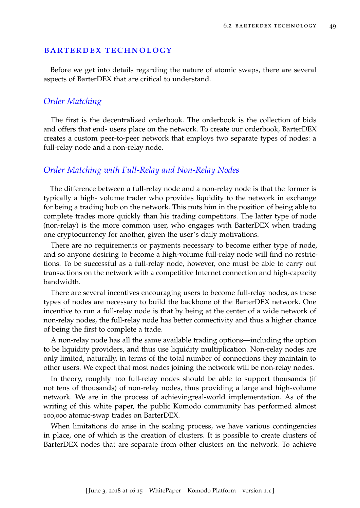### barterdex technology

Before we get into details regarding the nature of atomic swaps, there are several aspects of BarterDEX that are critical to understand.

### *Order Matching*

The first is the decentralized orderbook. The orderbook is the collection of bids and offers that end- users place on the network. To create our orderbook, BarterDEX creates a custom peer-to-peer network that employs two separate types of nodes: a full-relay node and a non-relay node.

## *Order Matching with Full-Relay and Non-Relay Nodes*

The difference between a full-relay node and a non-relay node is that the former is typically a high- volume trader who provides liquidity to the network in exchange for being a trading hub on the network. This puts him in the position of being able to complete trades more quickly than his trading competitors. The latter type of node (non-relay) is the more common user, who engages with BarterDEX when trading one cryptocurrency for another, given the user's daily motivations.

There are no requirements or payments necessary to become either type of node, and so anyone desiring to become a high-volume full-relay node will find no restrictions. To be successful as a full-relay node, however, one must be able to carry out transactions on the network with a competitive Internet connection and high-capacity bandwidth.

There are several incentives encouraging users to become full-relay nodes, as these types of nodes are necessary to build the backbone of the BarterDEX network. One incentive to run a full-relay node is that by being at the center of a wide network of non-relay nodes, the full-relay node has better connectivity and thus a higher chance of being the first to complete a trade.

A non-relay node has all the same available trading options—including the option to be liquidity providers, and thus use liquidity multiplication. Non-relay nodes are only limited, naturally, in terms of the total number of connections they maintain to other users. We expect that most nodes joining the network will be non-relay nodes.

In theory, roughly 100 full-relay nodes should be able to support thousands (if not tens of thousands) of non-relay nodes, thus providing a large and high-volume network. We are in the process of achievingreal-world implementation. As of the writing of this white paper, the public Komodo community has performed almost 100,000 atomic-swap trades on BarterDEX.

When limitations do arise in the scaling process, we have various contingencies in place, one of which is the creation of clusters. It is possible to create clusters of BarterDEX nodes that are separate from other clusters on the network. To achieve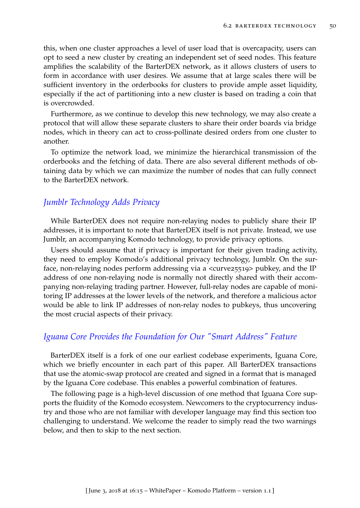this, when one cluster approaches a level of user load that is overcapacity, users can opt to seed a new cluster by creating an independent set of seed nodes. This feature amplifies the scalability of the BarterDEX network, as it allows clusters of users to form in accordance with user desires. We assume that at large scales there will be sufficient inventory in the orderbooks for clusters to provide ample asset liquidity, especially if the act of partitioning into a new cluster is based on trading a coin that is overcrowded.

Furthermore, as we continue to develop this new technology, we may also create a protocol that will allow these separate clusters to share their order boards via bridge nodes, which in theory can act to cross-pollinate desired orders from one cluster to another.

To optimize the network load, we minimize the hierarchical transmission of the orderbooks and the fetching of data. There are also several different methods of obtaining data by which we can maximize the number of nodes that can fully connect to the BarterDEX network.

# *Jumblr Technology Adds Privacy*

While BarterDEX does not require non-relaying nodes to publicly share their IP addresses, it is important to note that BarterDEX itself is not private. Instead, we use Jumblr, an accompanying Komodo technology, to provide privacy options.

Users should assume that if privacy is important for their given trading activity, they need to employ Komodo's additional privacy technology, Jumblr. On the surface, non-relaying nodes perform addressing via a <curve25519> pubkey, and the IP address of one non-relaying node is normally not directly shared with their accompanying non-relaying trading partner. However, full-relay nodes are capable of monitoring IP addresses at the lower levels of the network, and therefore a malicious actor would be able to link IP addresses of non-relay nodes to pubkeys, thus uncovering the most crucial aspects of their privacy.

## *Iguana Core Provides the Foundation for Our "Smart Address" Feature*

BarterDEX itself is a fork of one our earliest codebase experiments, Iguana Core, which we briefly encounter in each part of this paper. All BarterDEX transactions that use the atomic-swap protocol are created and signed in a format that is managed by the Iguana Core codebase. This enables a powerful combination of features.

The following page is a high-level discussion of one method that Iguana Core supports the fluidity of the Komodo ecosystem. Newcomers to the cryptocurrency industry and those who are not familiar with developer language may find this section too challenging to understand. We welcome the reader to simply read the two warnings below, and then to skip to the next section.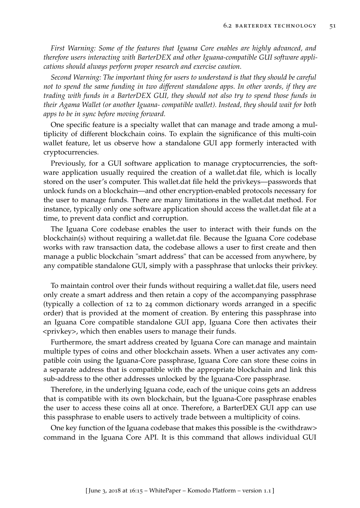*First Warning: Some of the features that Iguana Core enables are highly advanced, and therefore users interacting with BarterDEX and other Iguana-compatible GUI software applications should always perform proper research and exercise caution.*

*Second Warning: The important thing for users to understand is that they should be careful not to spend the same funding in two different standalone apps. In other words, if they are trading with funds in a BarterDEX GUI, they should not also try to spend those funds in their Agama Wallet (or another Iguana- compatible wallet). Instead, they should wait for both apps to be in sync before moving forward.*

One specific feature is a specialty wallet that can manage and trade among a multiplicity of different blockchain coins. To explain the significance of this multi-coin wallet feature, let us observe how a standalone GUI app formerly interacted with cryptocurrencies.

Previously, for a GUI software application to manage cryptocurrencies, the software application usually required the creation of a wallet.dat file, which is locally stored on the user's computer. This wallet.dat file held the privkeys—passwords that unlock funds on a blockchain—and other encryption-enabled protocols necessary for the user to manage funds. There are many limitations in the wallet.dat method. For instance, typically only one software application should access the wallet.dat file at a time, to prevent data conflict and corruption.

The Iguana Core codebase enables the user to interact with their funds on the blockchain(s) without requiring a wallet.dat file. Because the Iguana Core codebase works with raw transaction data, the codebase allows a user to first create and then manage a public blockchain "smart address" that can be accessed from anywhere, by any compatible standalone GUI, simply with a passphrase that unlocks their privkey.

To maintain control over their funds without requiring a wallet.dat file, users need only create a smart address and then retain a copy of the accompanying passphrase (typically a collection of 12 to 24 common dictionary words arranged in a specific order) that is provided at the moment of creation. By entering this passphrase into an Iguana Core compatible standalone GUI app, Iguana Core then activates their <privkey>, which then enables users to manage their funds.

Furthermore, the smart address created by Iguana Core can manage and maintain multiple types of coins and other blockchain assets. When a user activates any compatible coin using the Iguana-Core passphrase, Iguana Core can store these coins in a separate address that is compatible with the appropriate blockchain and link this sub-address to the other addresses unlocked by the Iguana-Core passphrase.

Therefore, in the underlying Iguana code, each of the unique coins gets an address that is compatible with its own blockchain, but the Iguana-Core passphrase enables the user to access these coins all at once. Therefore, a BarterDEX GUI app can use this passphrase to enable users to actively trade between a multiplicity of coins.

One key function of the Iguana codebase that makes this possible is the <withdraw> command in the Iguana Core API. It is this command that allows individual GUI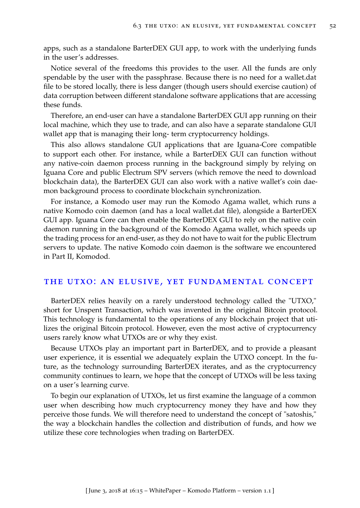apps, such as a standalone BarterDEX GUI app, to work with the underlying funds in the user's addresses.

Notice several of the freedoms this provides to the user. All the funds are only spendable by the user with the passphrase. Because there is no need for a wallet.dat file to be stored locally, there is less danger (though users should exercise caution) of data corruption between different standalone software applications that are accessing these funds.

Therefore, an end-user can have a standalone BarterDEX GUI app running on their local machine, which they use to trade, and can also have a separate standalone GUI wallet app that is managing their long- term cryptocurrency holdings.

This also allows standalone GUI applications that are Iguana-Core compatible to support each other. For instance, while a BarterDEX GUI can function without any native-coin daemon process running in the background simply by relying on Iguana Core and public Electrum SPV servers (which remove the need to download blockchain data), the BarterDEX GUI can also work with a native wallet's coin daemon background process to coordinate blockchain synchronization.

For instance, a Komodo user may run the Komodo Agama wallet, which runs a native Komodo coin daemon (and has a local wallet.dat file), alongside a BarterDEX GUI app. Iguana Core can then enable the BarterDEX GUI to rely on the native coin daemon running in the background of the Komodo Agama wallet, which speeds up the trading process for an end-user, as they do not have to wait for the public Electrum servers to update. The native Komodo coin daemon is the software we encountered in Part II, Komodod.

### the utxo: an elusive, yet fundamental concept

BarterDEX relies heavily on a rarely understood technology called the "UTXO," short for Unspent Transaction, which was invented in the original Bitcoin protocol. This technology is fundamental to the operations of any blockchain project that utilizes the original Bitcoin protocol. However, even the most active of cryptocurrency users rarely know what UTXOs are or why they exist.

Because UTXOs play an important part in BarterDEX, and to provide a pleasant user experience, it is essential we adequately explain the UTXO concept. In the future, as the technology surrounding BarterDEX iterates, and as the cryptocurrency community continues to learn, we hope that the concept of UTXOs will be less taxing on a user's learning curve.

To begin our explanation of UTXOs, let us first examine the language of a common user when describing how much cryptocurrency money they have and how they perceive those funds. We will therefore need to understand the concept of "satoshis," the way a blockchain handles the collection and distribution of funds, and how we utilize these core technologies when trading on BarterDEX.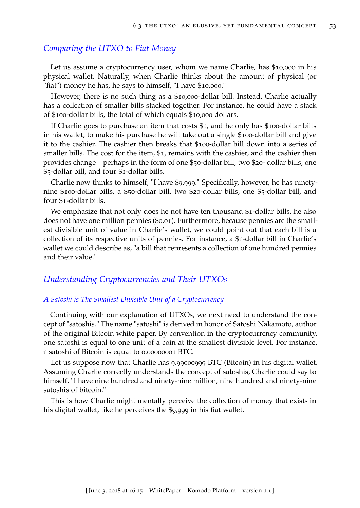## *Comparing the UTXO to Fiat Money*

Let us assume a cryptocurrency user, whom we name Charlie, has \$10,000 in his physical wallet. Naturally, when Charlie thinks about the amount of physical (or "fiat") money he has, he says to himself, "I have \$10,000."

However, there is no such thing as a \$10,000-dollar bill. Instead, Charlie actually has a collection of smaller bills stacked together. For instance, he could have a stack of \$100-dollar bills, the total of which equals \$10,000 dollars.

If Charlie goes to purchase an item that costs \$1, and he only has \$100-dollar bills in his wallet, to make his purchase he will take out a single \$100-dollar bill and give it to the cashier. The cashier then breaks that \$100-dollar bill down into a series of smaller bills. The cost for the item, \$1, remains with the cashier, and the cashier then provides change—perhaps in the form of one \$50-dollar bill, two \$20- dollar bills, one \$5-dollar bill, and four \$1-dollar bills.

Charlie now thinks to himself, "I have \$9,999." Specifically, however, he has ninetynine \$100-dollar bills, a \$50-dollar bill, two \$20-dollar bills, one \$5-dollar bill, and four \$1-dollar bills.

We emphasize that not only does he not have ten thousand \$1-dollar bills, he also does not have one million pennies (\$0.01). Furthermore, because pennies are the smallest divisible unit of value in Charlie's wallet, we could point out that each bill is a collection of its respective units of pennies. For instance, a \$1-dollar bill in Charlie's wallet we could describe as, "a bill that represents a collection of one hundred pennies and their value."

### *Understanding Cryptocurrencies and Their UTXOs*

### *A Satoshi is The Smallest Divisible Unit of a Cryptocurrency*

Continuing with our explanation of UTXOs, we next need to understand the concept of "satoshis." The name "satoshi" is derived in honor of Satoshi Nakamoto, author of the original Bitcoin white paper. By convention in the cryptocurrency community, one satoshi is equal to one unit of a coin at the smallest divisible level. For instance, 1 satoshi of Bitcoin is equal to 0.00000001 BTC.

Let us suppose now that Charlie has 9.99000999 BTC (Bitcoin) in his digital wallet. Assuming Charlie correctly understands the concept of satoshis, Charlie could say to himself, "I have nine hundred and ninety-nine million, nine hundred and ninety-nine satoshis of bitcoin."

This is how Charlie might mentally perceive the collection of money that exists in his digital wallet, like he perceives the \$9,999 in his fiat wallet.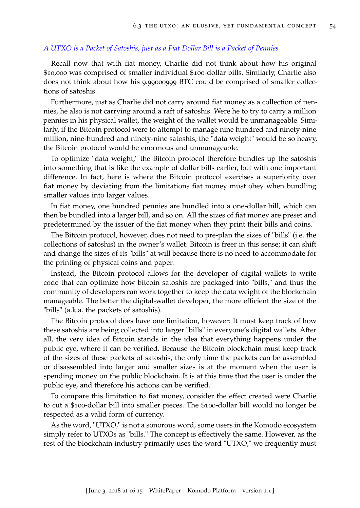### *A UTXO is a Packet of Satoshis, just as a Fiat Dollar Bill is a Packet of Pennies*

Recall now that with fiat money, Charlie did not think about how his original \$10,000 was comprised of smaller individual \$100-dollar bills. Similarly, Charlie also does not think about how his 9.99000999 BTC could be comprised of smaller collections of satoshis.

Furthermore, just as Charlie did not carry around fiat money as a collection of pennies, he also is not carrying around a raft of satoshis. Were he to try to carry a million pennies in his physical wallet, the weight of the wallet would be unmanageable. Similarly, if the Bitcoin protocol were to attempt to manage nine hundred and ninety-nine million, nine-hundred and ninety-nine satoshis, the "data weight" would be so heavy, the Bitcoin protocol would be enormous and unmanageable.

To optimize "data weight," the Bitcoin protocol therefore bundles up the satoshis into something that is like the example of dollar bills earlier, but with one important difference. In fact, here is where the Bitcoin protocol exercises a superiority over fiat money by deviating from the limitations fiat money must obey when bundling smaller values into larger values.

In fiat money, one hundred pennies are bundled into a one-dollar bill, which can then be bundled into a larger bill, and so on. All the sizes of fiat money are preset and predetermined by the issuer of the fiat money when they print their bills and coins.

The Bitcoin protocol, however, does not need to pre-plan the sizes of "bills" (i.e. the collections of satoshis) in the owner's wallet. Bitcoin is freer in this sense; it can shift and change the sizes of its "bills" at will because there is no need to accommodate for the printing of physical coins and paper.

Instead, the Bitcoin protocol allows for the developer of digital wallets to write code that can optimize how bitcoin satoshis are packaged into "bills," and thus the community of developers can work together to keep the data weight of the blockchain manageable. The better the digital-wallet developer, the more efficient the size of the "bills" (a.k.a. the packets of satoshis).

The Bitcoin protocol does have one limitation, however: It must keep track of how these satoshis are being collected into larger "bills" in everyone's digital wallets. After all, the very idea of Bitcoin stands in the idea that everything happens under the public eye, where it can be verified. Because the Bitcoin blockchain must keep track of the sizes of these packets of satoshis, the only time the packets can be assembled or disassembled into larger and smaller sizes is at the moment when the user is spending money on the public blockchain. It is at this time that the user is under the public eye, and therefore his actions can be verified.

To compare this limitation to fiat money, consider the effect created were Charlie to cut a \$100-dollar bill into smaller pieces. The \$100-dollar bill would no longer be respected as a valid form of currency.

As the word, "UTXO," is not a sonorous word, some users in the Komodo ecosystem simply refer to UTXOs as "bills." The concept is effectively the same. However, as the rest of the blockchain industry primarily uses the word "UTXO," we frequently must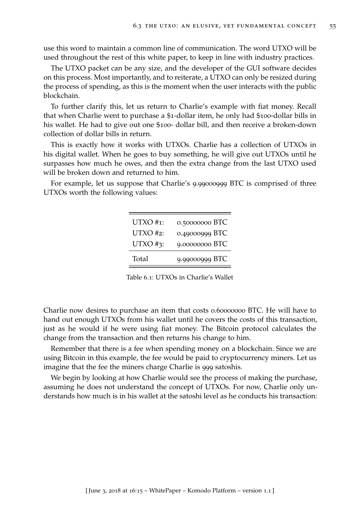use this word to maintain a common line of communication. The word UTXO will be used throughout the rest of this white paper, to keep in line with industry practices.

The UTXO packet can be any size, and the developer of the GUI software decides on this process. Most importantly, and to reiterate, a UTXO can only be resized during the process of spending, as this is the moment when the user interacts with the public blockchain.

To further clarify this, let us return to Charlie's example with fiat money. Recall that when Charlie went to purchase a \$1-dollar item, he only had \$100-dollar bills in his wallet. He had to give out one \$100- dollar bill, and then receive a broken-down collection of dollar bills in return.

This is exactly how it works with UTXOs. Charlie has a collection of UTXOs in his digital wallet. When he goes to buy something, he will give out UTXOs until he surpasses how much he owes, and then the extra change from the last UTXO used will be broken down and returned to him.

For example, let us suppose that Charlie's 9.99000999 BTC is comprised of three UTXOs worth the following values:

| $UTXO #1$ :  | 0.50000000 BTC |
|--------------|----------------|
| $UTXO \#2:$  | 0.49000999 BTC |
| $UTXO \#3$ : | 9.00000000 BTC |
| Total        | 9.99000999 BTC |

Table 6.1: UTXOs in Charlie's Wallet

Charlie now desires to purchase an item that costs 0.60000000 BTC. He will have to hand out enough UTXOs from his wallet until he covers the costs of this transaction, just as he would if he were using fiat money. The Bitcoin protocol calculates the change from the transaction and then returns his change to him.

Remember that there is a fee when spending money on a blockchain. Since we are using Bitcoin in this example, the fee would be paid to cryptocurrency miners. Let us imagine that the fee the miners charge Charlie is 999 satoshis.

We begin by looking at how Charlie would see the process of making the purchase, assuming he does not understand the concept of UTXOs. For now, Charlie only understands how much is in his wallet at the satoshi level as he conducts his transaction: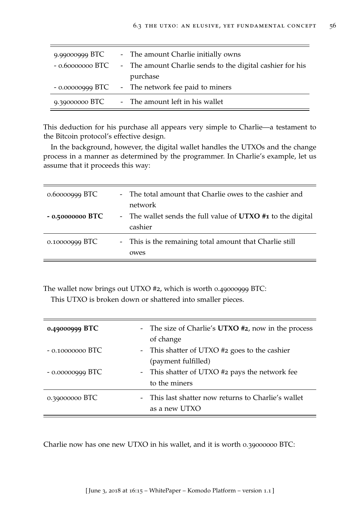| 9.99000999 BTC | - The amount Charlie initially owns                                        |
|----------------|----------------------------------------------------------------------------|
|                | - 0.60000000 BTC - The amount Charlie sends to the digital cashier for his |
|                | purchase                                                                   |
|                | - 0.00000999 BTC - The network fee paid to miners                          |
| 9.39000000 BTC | - The amount left in his wallet                                            |

This deduction for his purchase all appears very simple to Charlie—a testament to the Bitcoin protocol's effective design.

In the background, however, the digital wallet handles the UTXOs and the change process in a manner as determined by the programmer. In Charlie's example, let us assume that it proceeds this way:

| $0.60000999$ BTC  | - The total amount that Charlie owes to the cashier and<br>network     |
|-------------------|------------------------------------------------------------------------|
| $-0.50000000$ BTC | - The wallet sends the full value of UTXO #1 to the digital<br>cashier |
| 0.10000999 BTC    | - This is the remaining total amount that Charlie still<br>owes        |

The wallet now brings out UTXO #2, which is worth 0.49000999 BTC:

This UTXO is broken down or shattered into smaller pieces.

| 0.49000999 BTC    | - The size of Charlie's <b>UTXO</b> #2, now in the process<br>of change |
|-------------------|-------------------------------------------------------------------------|
| $-0.10000000BTC$  | - This shatter of UTXO #2 goes to the cashier<br>(payment fulfilled)    |
| $-0.00000999$ BTC | - This shatter of UTXO #2 pays the network fee<br>to the miners         |
| 0.39000000 BTC    | - This last shatter now returns to Charlie's wallet<br>as a new UTXO    |

Charlie now has one new UTXO in his wallet, and it is worth 0.39000000 BTC: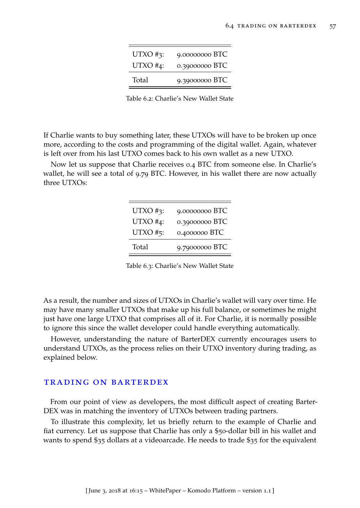| $UTXO \#3$ : | 9.00000000 BTC |
|--------------|----------------|
| UTXO $#4$ :  | 0.39000000 BTC |
| Total        | 9.39000000 BTC |

Table 6.2: Charlie's New Wallet State

If Charlie wants to buy something later, these UTXOs will have to be broken up once more, according to the costs and programming of the digital wallet. Again, whatever is left over from his last UTXO comes back to his own wallet as a new UTXO.

Now let us suppose that Charlie receives 0.4 BTC from someone else. In Charlie's wallet, he will see a total of 9.79 BTC. However, in his wallet there are now actually three UTXOs:

| $UTXO \#3$ : | 9.00000000 BTC |
|--------------|----------------|
| UTXO $#4$ :  | 0.39000000 BTC |
| $UTXO \#5$ : | 0.4000000 BTC  |
| Total        | 9.79000000 BTC |

Table 6.3: Charlie's New Wallet State

As a result, the number and sizes of UTXOs in Charlie's wallet will vary over time. He may have many smaller UTXOs that make up his full balance, or sometimes he might just have one large UTXO that comprises all of it. For Charlie, it is normally possible to ignore this since the wallet developer could handle everything automatically.

However, understanding the nature of BarterDEX currently encourages users to understand UTXOs, as the process relies on their UTXO inventory during trading, as explained below.

### trading on barterdex

From our point of view as developers, the most difficult aspect of creating Barter-DEX was in matching the inventory of UTXOs between trading partners.

To illustrate this complexity, let us briefly return to the example of Charlie and fiat currency. Let us suppose that Charlie has only a \$50-dollar bill in his wallet and wants to spend \$35 dollars at a videoarcade. He needs to trade \$35 for the equivalent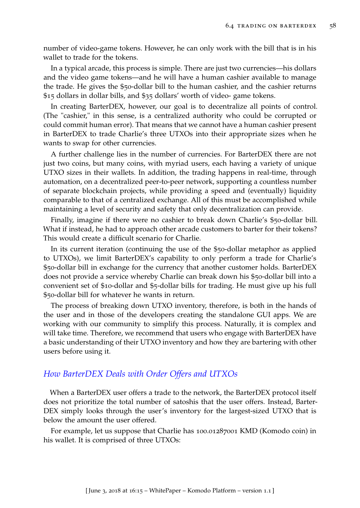number of video-game tokens. However, he can only work with the bill that is in his wallet to trade for the tokens.

In a typical arcade, this process is simple. There are just two currencies—his dollars and the video game tokens—and he will have a human cashier available to manage the trade. He gives the \$50-dollar bill to the human cashier, and the cashier returns \$15 dollars in dollar bills, and \$35 dollars' worth of video- game tokens.

In creating BarterDEX, however, our goal is to decentralize all points of control. (The "cashier," in this sense, is a centralized authority who could be corrupted or could commit human error). That means that we cannot have a human cashier present in BarterDEX to trade Charlie's three UTXOs into their appropriate sizes when he wants to swap for other currencies.

A further challenge lies in the number of currencies. For BarterDEX there are not just two coins, but many coins, with myriad users, each having a variety of unique UTXO sizes in their wallets. In addition, the trading happens in real-time, through automation, on a decentralized peer-to-peer network, supporting a countless number of separate blockchain projects, while providing a speed and (eventually) liquidity comparable to that of a centralized exchange. All of this must be accomplished while maintaining a level of security and safety that only decentralization can provide.

Finally, imagine if there were no cashier to break down Charlie's \$50-dollar bill. What if instead, he had to approach other arcade customers to barter for their tokens? This would create a difficult scenario for Charlie.

In its current iteration (continuing the use of the \$50-dollar metaphor as applied to UTXOs), we limit BarterDEX's capability to only perform a trade for Charlie's \$50-dollar bill in exchange for the currency that another customer holds. BarterDEX does not provide a service whereby Charlie can break down his \$50-dollar bill into a convenient set of \$10-dollar and \$5-dollar bills for trading. He must give up his full \$50-dollar bill for whatever he wants in return.

The process of breaking down UTXO inventory, therefore, is both in the hands of the user and in those of the developers creating the standalone GUI apps. We are working with our community to simplify this process. Naturally, it is complex and will take time. Therefore, we recommend that users who engage with BarterDEX have a basic understanding of their UTXO inventory and how they are bartering with other users before using it.

# *How BarterDEX Deals with Order Offers and UTXOs*

When a BarterDEX user offers a trade to the network, the BarterDEX protocol itself does not prioritize the total number of satoshis that the user offers. Instead, Barter-DEX simply looks through the user's inventory for the largest-sized UTXO that is below the amount the user offered.

For example, let us suppose that Charlie has 100.01287001 KMD (Komodo coin) in his wallet. It is comprised of three UTXOs: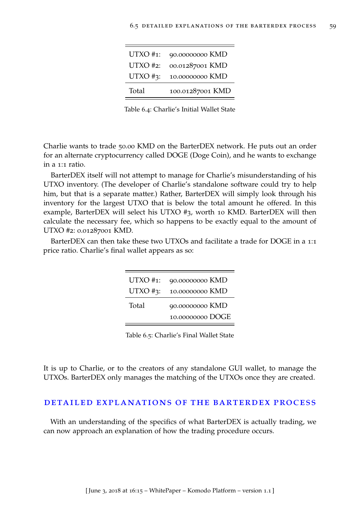| $UTXO \#1$ : | 90.00000000 KMD  |
|--------------|------------------|
| UTXO #2:     | 00.01287001 KMD  |
| $UTXO \#3$ : | 10.00000000 KMD  |
| Total        | 100.01287001 KMD |

Table 6.4: Charlie's Initial Wallet State

Charlie wants to trade 50.00 KMD on the BarterDEX network. He puts out an order for an alternate cryptocurrency called DOGE (Doge Coin), and he wants to exchange in a 1:1 ratio.

BarterDEX itself will not attempt to manage for Charlie's misunderstanding of his UTXO inventory. (The developer of Charlie's standalone software could try to help him, but that is a separate matter.) Rather, BarterDEX will simply look through his inventory for the largest UTXO that is below the total amount he offered. In this example, BarterDEX will select his UTXO #3, worth 10 KMD. BarterDEX will then calculate the necessary fee, which so happens to be exactly equal to the amount of UTXO #2: 0.01287001 KMD.

BarterDEX can then take these two UTXOs and facilitate a trade for DOGE in a 1:1 price ratio. Charlie's final wallet appears as so:

| $UTXO \#1$ : | 90.00000000 KMD                     |
|--------------|-------------------------------------|
| $UTXO \#3$ : | 10.00000000 KMD                     |
| Total        | 90.00000000 KMD<br>10.00000000 DOGE |

Table 6.5: Charlie's Final Wallet State

It is up to Charlie, or to the creators of any standalone GUI wallet, to manage the UTXOs. BarterDEX only manages the matching of the UTXOs once they are created.

### detailed explanations of the barterdex process

With an understanding of the specifics of what BarterDEX is actually trading, we can now approach an explanation of how the trading procedure occurs.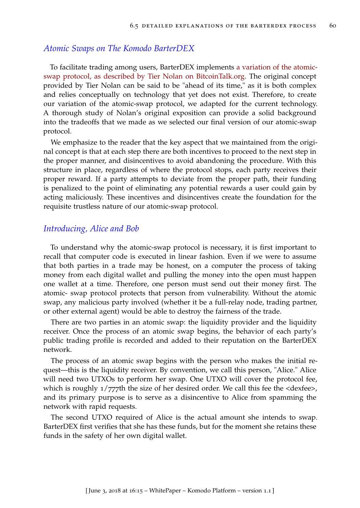## *Atomic Swaps on The Komodo BarterDEX*

To facilitate trading among users, BarterDEX implements [a variation of the atomic](https://bitcointalk.org/index.php?topic=1364951)[swap protocol, as described by Tier Nolan on BitcoinTalk.org.](https://bitcointalk.org/index.php?topic=1364951) The original concept provided by Tier Nolan can be said to be "ahead of its time," as it is both complex and relies conceptually on technology that yet does not exist. Therefore, to create our variation of the atomic-swap protocol, we adapted for the current technology. A thorough study of Nolan's original exposition can provide a solid background into the tradeoffs that we made as we selected our final version of our atomic-swap protocol.

We emphasize to the reader that the key aspect that we maintained from the original concept is that at each step there are both incentives to proceed to the next step in the proper manner, and disincentives to avoid abandoning the procedure. With this structure in place, regardless of where the protocol stops, each party receives their proper reward. If a party attempts to deviate from the proper path, their funding is penalized to the point of eliminating any potential rewards a user could gain by acting maliciously. These incentives and disincentives create the foundation for the requisite trustless nature of our atomic-swap protocol.

# *Introducing, Alice and Bob*

To understand why the atomic-swap protocol is necessary, it is first important to recall that computer code is executed in linear fashion. Even if we were to assume that both parties in a trade may be honest, on a computer the process of taking money from each digital wallet and pulling the money into the open must happen one wallet at a time. Therefore, one person must send out their money first. The atomic- swap protocol protects that person from vulnerability. Without the atomic swap, any malicious party involved (whether it be a full-relay node, trading partner, or other external agent) would be able to destroy the fairness of the trade.

There are two parties in an atomic swap: the liquidity provider and the liquidity receiver. Once the process of an atomic swap begins, the behavior of each party's public trading profile is recorded and added to their reputation on the BarterDEX network.

The process of an atomic swap begins with the person who makes the initial request—this is the liquidity receiver. By convention, we call this person, "Alice." Alice will need two UTXOs to perform her swap. One UTXO will cover the protocol fee, which is roughly  $1/777$ th the size of her desired order. We call this fee the <dexfee>, and its primary purpose is to serve as a disincentive to Alice from spamming the network with rapid requests.

The second UTXO required of Alice is the actual amount she intends to swap. BarterDEX first verifies that she has these funds, but for the moment she retains these funds in the safety of her own digital wallet.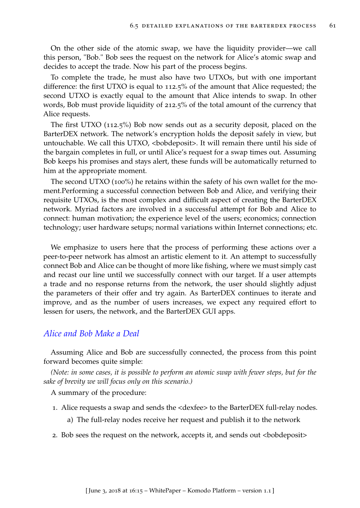On the other side of the atomic swap, we have the liquidity provider—we call this person, "Bob." Bob sees the request on the network for Alice's atomic swap and decides to accept the trade. Now his part of the process begins.

To complete the trade, he must also have two UTXOs, but with one important difference: the first UTXO is equal to 112.5% of the amount that Alice requested; the second UTXO is exactly equal to the amount that Alice intends to swap. In other words, Bob must provide liquidity of 212.5% of the total amount of the currency that Alice requests.

The first UTXO (112.5%) Bob now sends out as a security deposit, placed on the BarterDEX network. The network's encryption holds the deposit safely in view, but untouchable. We call this UTXO, <br/>bobdeposit>. It will remain there until his side of the bargain completes in full, or until Alice's request for a swap times out. Assuming Bob keeps his promises and stays alert, these funds will be automatically returned to him at the appropriate moment.

The second UTXO (100%) he retains within the safety of his own wallet for the moment.Performing a successful connection between Bob and Alice, and verifying their requisite UTXOs, is the most complex and difficult aspect of creating the BarterDEX network. Myriad factors are involved in a successful attempt for Bob and Alice to connect: human motivation; the experience level of the users; economics; connection technology; user hardware setups; normal variations within Internet connections; etc.

We emphasize to users here that the process of performing these actions over a peer-to-peer network has almost an artistic element to it. An attempt to successfully connect Bob and Alice can be thought of more like fishing, where we must simply cast and recast our line until we successfully connect with our target. If a user attempts a trade and no response returns from the network, the user should slightly adjust the parameters of their offer and try again. As BarterDEX continues to iterate and improve, and as the number of users increases, we expect any required effort to lessen for users, the network, and the BarterDEX GUI apps.

# *Alice and Bob Make a Deal*

Assuming Alice and Bob are successfully connected, the process from this point forward becomes quite simple:

*(Note: in some cases, it is possible to perform an atomic swap with fewer steps, but for the sake of brevity we will focus only on this scenario.)*

A summary of the procedure:

- 1. Alice requests a swap and sends the <dexfee> to the BarterDEX full-relay nodes.
	- a) The full-relay nodes receive her request and publish it to the network
- 2. Bob sees the request on the network, accepts it, and sends out <br/>bobdeposit>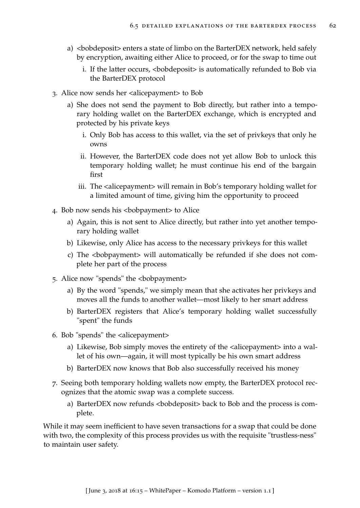- a) <br/>bobdeposit> enters a state of limbo on the BarterDEX network, held safely by encryption, awaiting either Alice to proceed, or for the swap to time out
	- i. If the latter occurs, <bobdeposit> is automatically refunded to Bob via the BarterDEX protocol
- 3. Alice now sends her <alicepayment> to Bob
	- a) She does not send the payment to Bob directly, but rather into a temporary holding wallet on the BarterDEX exchange, which is encrypted and protected by his private keys
		- i. Only Bob has access to this wallet, via the set of privkeys that only he owns
		- ii. However, the BarterDEX code does not yet allow Bob to unlock this temporary holding wallet; he must continue his end of the bargain first
		- iii. The <alicepayment> will remain in Bob's temporary holding wallet for a limited amount of time, giving him the opportunity to proceed
- 4. Bob now sends his <bobpayment> to Alice
	- a) Again, this is not sent to Alice directly, but rather into yet another temporary holding wallet
	- b) Likewise, only Alice has access to the necessary privkeys for this wallet
	- c) The <bobpayment> will automatically be refunded if she does not complete her part of the process
- 5. Alice now "spends" the <bobpayment>
	- a) By the word "spends," we simply mean that she activates her privkeys and moves all the funds to another wallet—most likely to her smart address
	- b) BarterDEX registers that Alice's temporary holding wallet successfully "spent" the funds
- 6. Bob "spends" the <alicepayment>
	- a) Likewise, Bob simply moves the entirety of the  $\alpha$  alicepayment into a wallet of his own—again, it will most typically be his own smart address
	- b) BarterDEX now knows that Bob also successfully received his money
- 7. Seeing both temporary holding wallets now empty, the BarterDEX protocol recognizes that the atomic swap was a complete success.
	- a) BarterDEX now refunds <bobdeposit> back to Bob and the process is complete.

While it may seem inefficient to have seven transactions for a swap that could be done with two, the complexity of this process provides us with the requisite "trustless-ness" to maintain user safety.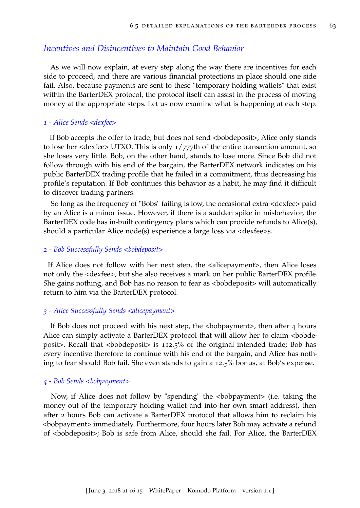# *Incentives and Disincentives to Maintain Good Behavior*

As we will now explain, at every step along the way there are incentives for each side to proceed, and there are various financial protections in place should one side fail. Also, because payments are sent to these "temporary holding wallets" that exist within the BarterDEX protocol, the protocol itself can assist in the process of moving money at the appropriate steps. Let us now examine what is happening at each step.

### *1 - Alice Sends <dexfee>*

If Bob accepts the offer to trade, but does not send <br/>bobdeposit>, Alice only stands to lose her <dexfee> UTXO. This is only 1/777th of the entire transaction amount, so she loses very little. Bob, on the other hand, stands to lose more. Since Bob did not follow through with his end of the bargain, the BarterDEX network indicates on his public BarterDEX trading profile that he failed in a commitment, thus decreasing his profile's reputation. If Bob continues this behavior as a habit, he may find it difficult to discover trading partners.

So long as the frequency of "Bobs" failing is low, the occasional extra <dexfee> paid by an Alice is a minor issue. However, if there is a sudden spike in misbehavior, the BarterDEX code has in-built contingency plans which can provide refunds to Alice(s), should a particular Alice node(s) experience a large loss via <dexfee>s.

### *2 - Bob Successfully Sends <bobdeposit>*

If Alice does not follow with her next step, the <alicepayment>, then Alice loses not only the <dexfee>, but she also receives a mark on her public BarterDEX profile. She gains nothing, and Bob has no reason to fear as <bobdeposit> will automatically return to him via the BarterDEX protocol.

### *3 - Alice Successfully Sends <alicepayment>*

If Bob does not proceed with his next step, the  $\langle \rangle$ bobpayment  $\rangle$ , then after 4 hours Alice can simply activate a BarterDEX protocol that will allow her to claim <br/>bobdeposit>. Recall that <br/>bobdeposit> is  $112.5%$  of the original intended trade; Bob has every incentive therefore to continue with his end of the bargain, and Alice has nothing to fear should Bob fail. She even stands to gain a 12.5% bonus, at Bob's expense.

### *4 - Bob Sends <bobpayment>*

Now, if Alice does not follow by "spending" the <bobpayment> (i.e. taking the money out of the temporary holding wallet and into her own smart address), then after 2 hours Bob can activate a BarterDEX protocol that allows him to reclaim his <bobpayment> immediately. Furthermore, four hours later Bob may activate a refund of <bobdeposit>; Bob is safe from Alice, should she fail. For Alice, the BarterDEX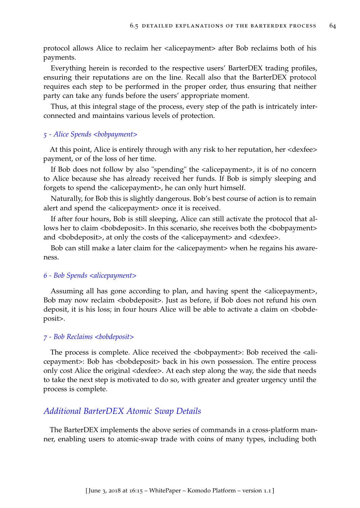protocol allows Alice to reclaim her <alicepayment> after Bob reclaims both of his payments.

Everything herein is recorded to the respective users' BarterDEX trading profiles, ensuring their reputations are on the line. Recall also that the BarterDEX protocol requires each step to be performed in the proper order, thus ensuring that neither party can take any funds before the users' appropriate moment.

Thus, at this integral stage of the process, every step of the path is intricately interconnected and maintains various levels of protection.

### *5 - Alice Spends <bobpayment>*

At this point, Alice is entirely through with any risk to her reputation, her <dexfee> payment, or of the loss of her time.

If Bob does not follow by also "spending" the <alicepayment>, it is of no concern to Alice because she has already received her funds. If Bob is simply sleeping and forgets to spend the <alicepayment>, he can only hurt himself.

Naturally, for Bob this is slightly dangerous. Bob's best course of action is to remain alert and spend the <alicepayment> once it is received.

If after four hours, Bob is still sleeping, Alice can still activate the protocol that allows her to claim <br/>bobdeposit>. In this scenario, she receives both the <br/>bobpayment> and <br/>bobdeposit>, at only the costs of the <alicepayment> and <dexfee>.

Bob can still make a later claim for the <alicepayment> when he regains his awareness.

#### *6 - Bob Spends <alicepayment>*

Assuming all has gone according to plan, and having spent the  $\alpha$  alicepayment >, Bob may now reclaim <bobdeposit>. Just as before, if Bob does not refund his own deposit, it is his loss; in four hours Alice will be able to activate a claim on <bobdeposit>.

#### *7 - Bob Reclaims <bobdeposit>*

The process is complete. Alice received the  $\langle$ bobpayment>: Bob received the  $\langle$ alicepayment>: Bob has <bobdeposit> back in his own possession. The entire process only cost Alice the original <dexfee>. At each step along the way, the side that needs to take the next step is motivated to do so, with greater and greater urgency until the process is complete.

### *Additional BarterDEX Atomic Swap Details*

The BarterDEX implements the above series of commands in a cross-platform manner, enabling users to atomic-swap trade with coins of many types, including both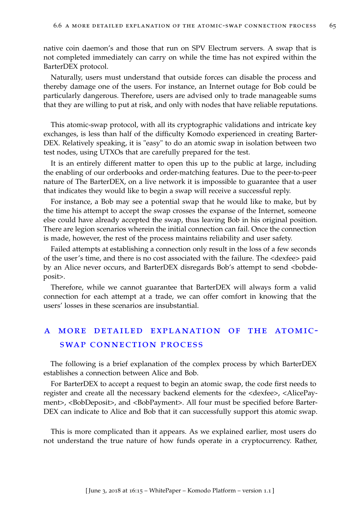native coin daemon's and those that run on SPV Electrum servers. A swap that is not completed immediately can carry on while the time has not expired within the BarterDEX protocol.

Naturally, users must understand that outside forces can disable the process and thereby damage one of the users. For instance, an Internet outage for Bob could be particularly dangerous. Therefore, users are advised only to trade manageable sums that they are willing to put at risk, and only with nodes that have reliable reputations.

This atomic-swap protocol, with all its cryptographic validations and intricate key exchanges, is less than half of the difficulty Komodo experienced in creating Barter-DEX. Relatively speaking, it is "easy" to do an atomic swap in isolation between two test nodes, using UTXOs that are carefully prepared for the test.

It is an entirely different matter to open this up to the public at large, including the enabling of our orderbooks and order-matching features. Due to the peer-to-peer nature of The BarterDEX, on a live network it is impossible to guarantee that a user that indicates they would like to begin a swap will receive a successful reply.

For instance, a Bob may see a potential swap that he would like to make, but by the time his attempt to accept the swap crosses the expanse of the Internet, someone else could have already accepted the swap, thus leaving Bob in his original position. There are legion scenarios wherein the initial connection can fail. Once the connection is made, however, the rest of the process maintains reliability and user safety.

Failed attempts at establishing a connection only result in the loss of a few seconds of the user's time, and there is no cost associated with the failure. The <dexfee> paid by an Alice never occurs, and BarterDEX disregards Bob's attempt to send <bobdeposit>.

Therefore, while we cannot guarantee that BarterDEX will always form a valid connection for each attempt at a trade, we can offer comfort in knowing that the users' losses in these scenarios are insubstantial.

# a more detailed explanation of the atomicswap connection process

The following is a brief explanation of the complex process by which BarterDEX establishes a connection between Alice and Bob.

For BarterDEX to accept a request to begin an atomic swap, the code first needs to register and create all the necessary backend elements for the <dexfee>, <AlicePayment>, <BobDeposit>, and <BobPayment>. All four must be specified before Barter-DEX can indicate to Alice and Bob that it can successfully support this atomic swap.

This is more complicated than it appears. As we explained earlier, most users do not understand the true nature of how funds operate in a cryptocurrency. Rather,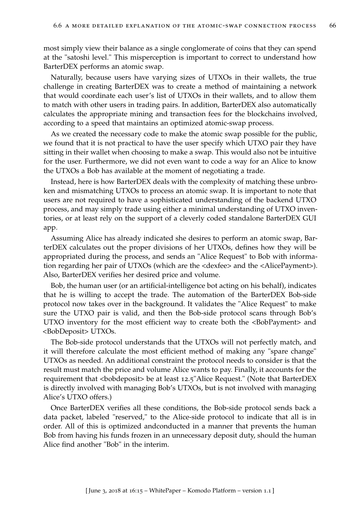most simply view their balance as a single conglomerate of coins that they can spend at the "satoshi level." This misperception is important to correct to understand how BarterDEX performs an atomic swap.

Naturally, because users have varying sizes of UTXOs in their wallets, the true challenge in creating BarterDEX was to create a method of maintaining a network that would coordinate each user's list of UTXOs in their wallets, and to allow them to match with other users in trading pairs. In addition, BarterDEX also automatically calculates the appropriate mining and transaction fees for the blockchains involved, according to a speed that maintains an optimized atomic-swap process.

As we created the necessary code to make the atomic swap possible for the public, we found that it is not practical to have the user specify which UTXO pair they have sitting in their wallet when choosing to make a swap. This would also not be intuitive for the user. Furthermore, we did not even want to code a way for an Alice to know the UTXOs a Bob has available at the moment of negotiating a trade.

Instead, here is how BarterDEX deals with the complexity of matching these unbroken and mismatching UTXOs to process an atomic swap. It is important to note that users are not required to have a sophisticated understanding of the backend UTXO process, and may simply trade using either a minimal understanding of UTXO inventories, or at least rely on the support of a cleverly coded standalone BarterDEX GUI app.

Assuming Alice has already indicated she desires to perform an atomic swap, BarterDEX calculates out the proper divisions of her UTXOs, defines how they will be appropriated during the process, and sends an "Alice Request" to Bob with information regarding her pair of UTXOs (which are the <dexfee> and the <AlicePayment>). Also, BarterDEX verifies her desired price and volume.

Bob, the human user (or an artificial-intelligence bot acting on his behalf), indicates that he is willing to accept the trade. The automation of the BarterDEX Bob-side protocol now takes over in the background. It validates the "Alice Request" to make sure the UTXO pair is valid, and then the Bob-side protocol scans through Bob's UTXO inventory for the most efficient way to create both the <BobPayment> and <BobDeposit> UTXOs.

The Bob-side protocol understands that the UTXOs will not perfectly match, and it will therefore calculate the most efficient method of making any "spare change" UTXOs as needed. An additional constraint the protocol needs to consider is that the result must match the price and volume Alice wants to pay. Finally, it accounts for the requirement that <bobdeposit> be at least 12.5"Alice Request." (Note that BarterDEX is directly involved with managing Bob's UTXOs, but is not involved with managing Alice's UTXO offers.)

Once BarterDEX verifies all these conditions, the Bob-side protocol sends back a data packet, labeled "reserved," to the Alice-side protocol to indicate that all is in order. All of this is optimized andconducted in a manner that prevents the human Bob from having his funds frozen in an unnecessary deposit duty, should the human Alice find another "Bob" in the interim.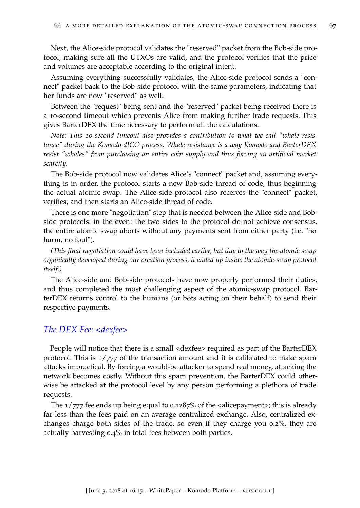Next, the Alice-side protocol validates the "reserved" packet from the Bob-side protocol, making sure all the UTXOs are valid, and the protocol verifies that the price and volumes are acceptable according to the original intent.

Assuming everything successfully validates, the Alice-side protocol sends a "connect" packet back to the Bob-side protocol with the same parameters, indicating that her funds are now "reserved" as well.

Between the "request" being sent and the "reserved" packet being received there is a 10-second timeout which prevents Alice from making further trade requests. This gives BarterDEX the time necessary to perform all the calculations.

*Note: This 10-second timeout also provides a contribution to what we call "whale resistance" during the Komodo dICO process. Whale resistance is a way Komodo and BarterDEX resist "whales" from purchasing an entire coin supply and thus forcing an artificial market scarcity.*

The Bob-side protocol now validates Alice's "connect" packet and, assuming everything is in order, the protocol starts a new Bob-side thread of code, thus beginning the actual atomic swap. The Alice-side protocol also receives the "connect" packet, verifies, and then starts an Alice-side thread of code.

There is one more "negotiation" step that is needed between the Alice-side and Bobside protocols: in the event the two sides to the protocol do not achieve consensus, the entire atomic swap aborts without any payments sent from either party (i.e. "no harm, no foul").

*(This final negotiation could have been included earlier, but due to the way the atomic swap organically developed during our creation process, it ended up inside the atomic-swap protocol itself.)*

The Alice-side and Bob-side protocols have now properly performed their duties, and thus completed the most challenging aspect of the atomic-swap protocol. BarterDEX returns control to the humans (or bots acting on their behalf) to send their respective payments.

## *The DEX Fee: <dexfee>*

People will notice that there is a small <dexfee> required as part of the BarterDEX protocol. This is  $1/777$  of the transaction amount and it is calibrated to make spam attacks impractical. By forcing a would-be attacker to spend real money, attacking the network becomes costly. Without this spam prevention, the BarterDEX could otherwise be attacked at the protocol level by any person performing a plethora of trade requests.

The  $1/777$  fee ends up being equal to 0.1287% of the <alicepayment>; this is already far less than the fees paid on an average centralized exchange. Also, centralized exchanges charge both sides of the trade, so even if they charge you 0.2%, they are actually harvesting 0.4% in total fees between both parties.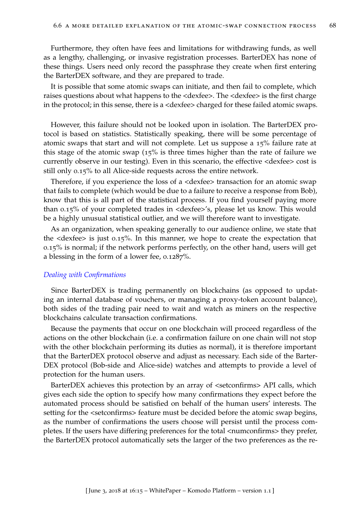Furthermore, they often have fees and limitations for withdrawing funds, as well as a lengthy, challenging, or invasive registration processes. BarterDEX has none of these things. Users need only record the passphrase they create when first entering the BarterDEX software, and they are prepared to trade.

It is possible that some atomic swaps can initiate, and then fail to complete, which raises questions about what happens to the <dexfee>. The <dexfee> is the first charge in the protocol; in this sense, there is a <dexfee> charged for these failed atomic swaps.

However, this failure should not be looked upon in isolation. The BarterDEX protocol is based on statistics. Statistically speaking, there will be some percentage of atomic swaps that start and will not complete. Let us suppose a 15% failure rate at this stage of the atomic swap (15% is three times higher than the rate of failure we currently observe in our testing). Even in this scenario, the effective <dexfee> cost is still only 0.15% to all Alice-side requests across the entire network.

Therefore, if you experience the loss of a <dexfee> transaction for an atomic swap that fails to complete (which would be due to a failure to receive a response from Bob), know that this is all part of the statistical process. If you find yourself paying more than 0.15% of your completed trades in <dexfee>'s, please let us know. This would be a highly unusual statistical outlier, and we will therefore want to investigate.

As an organization, when speaking generally to our audience online, we state that the <dexfee> is just 0.15%. In this manner, we hope to create the expectation that 0.15% is normal; if the network performs perfectly, on the other hand, users will get a blessing in the form of a lower fee, 0.1287%.

#### *Dealing with Confirmations*

Since BarterDEX is trading permanently on blockchains (as opposed to updating an internal database of vouchers, or managing a proxy-token account balance), both sides of the trading pair need to wait and watch as miners on the respective blockchains calculate transaction confirmations.

Because the payments that occur on one blockchain will proceed regardless of the actions on the other blockchain (i.e. a confirmation failure on one chain will not stop with the other blockchain performing its duties as normal), it is therefore important that the BarterDEX protocol observe and adjust as necessary. Each side of the Barter-DEX protocol (Bob-side and Alice-side) watches and attempts to provide a level of protection for the human users.

BarterDEX achieves this protection by an array of <setconfirms> API calls, which gives each side the option to specify how many confirmations they expect before the automated process should be satisfied on behalf of the human users' interests. The setting for the <setconfirms> feature must be decided before the atomic swap begins, as the number of confirmations the users choose will persist until the process completes. If the users have differing preferences for the total <numconfirms> they prefer, the BarterDEX protocol automatically sets the larger of the two preferences as the re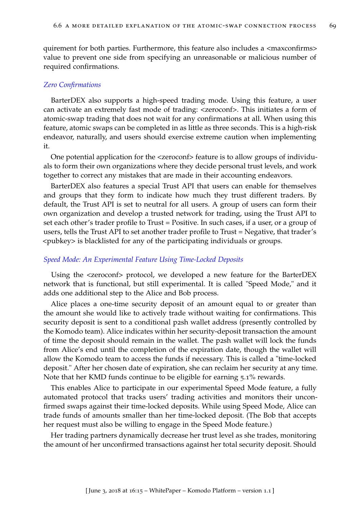quirement for both parties. Furthermore, this feature also includes a <maxconfirms> value to prevent one side from specifying an unreasonable or malicious number of required confirmations.

#### *Zero Confirmations*

BarterDEX also supports a high-speed trading mode. Using this feature, a user can activate an extremely fast mode of trading: <zeroconf>. This initiates a form of atomic-swap trading that does not wait for any confirmations at all. When using this feature, atomic swaps can be completed in as little as three seconds. This is a high-risk endeavor, naturally, and users should exercise extreme caution when implementing it.

One potential application for the <zeroconf> feature is to allow groups of individuals to form their own organizations where they decide personal trust levels, and work together to correct any mistakes that are made in their accounting endeavors.

BarterDEX also features a special Trust API that users can enable for themselves and groups that they form to indicate how much they trust different traders. By default, the Trust API is set to neutral for all users. A group of users can form their own organization and develop a trusted network for trading, using the Trust API to set each other's trader profile to Trust = Positive. In such cases, if a user, or a group of users, tells the Trust API to set another trader profile to Trust = Negative, that trader's <pubkey> is blacklisted for any of the participating individuals or groups.

#### *Speed Mode: An Experimental Feature Using Time-Locked Deposits*

Using the  $\leq$ zeroconf> protocol, we developed a new feature for the BarterDEX network that is functional, but still experimental. It is called "Speed Mode," and it adds one additional step to the Alice and Bob process.

Alice places a one-time security deposit of an amount equal to or greater than the amount she would like to actively trade without waiting for confirmations. This security deposit is sent to a conditional p2sh wallet address (presently controlled by the Komodo team). Alice indicates within her security-deposit transaction the amount of time the deposit should remain in the wallet. The p2sh wallet will lock the funds from Alice's end until the completion of the expiration date, though the wallet will allow the Komodo team to access the funds if necessary. This is called a "time-locked deposit." After her chosen date of expiration, she can reclaim her security at any time. Note that her KMD funds continue to be eligible for earning 5.1% rewards.

This enables Alice to participate in our experimental Speed Mode feature, a fully automated protocol that tracks users' trading activities and monitors their unconfirmed swaps against their time-locked deposits. While using Speed Mode, Alice can trade funds of amounts smaller than her time-locked deposit. (The Bob that accepts her request must also be willing to engage in the Speed Mode feature.)

Her trading partners dynamically decrease her trust level as she trades, monitoring the amount of her unconfirmed transactions against her total security deposit. Should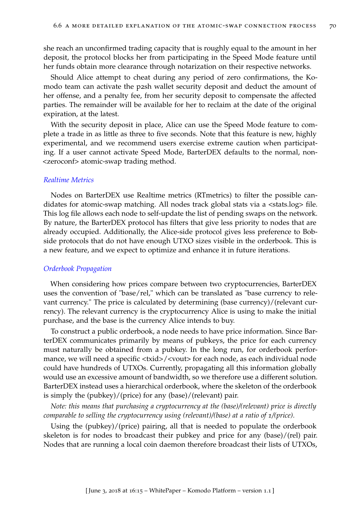she reach an unconfirmed trading capacity that is roughly equal to the amount in her deposit, the protocol blocks her from participating in the Speed Mode feature until her funds obtain more clearance through notarization on their respective networks.

Should Alice attempt to cheat during any period of zero confirmations, the Komodo team can activate the p2sh wallet security deposit and deduct the amount of her offense, and a penalty fee, from her security deposit to compensate the affected parties. The remainder will be available for her to reclaim at the date of the original expiration, at the latest.

With the security deposit in place, Alice can use the Speed Mode feature to complete a trade in as little as three to five seconds. Note that this feature is new, highly experimental, and we recommend users exercise extreme caution when participating. If a user cannot activate Speed Mode, BarterDEX defaults to the normal, non- <zeroconf> atomic-swap trading method.

#### *Realtime Metrics*

Nodes on BarterDEX use Realtime metrics (RTmetrics) to filter the possible candidates for atomic-swap matching. All nodes track global stats via a <stats.log> file. This log file allows each node to self-update the list of pending swaps on the network. By nature, the BarterDEX protocol has filters that give less priority to nodes that are already occupied. Additionally, the Alice-side protocol gives less preference to Bobside protocols that do not have enough UTXO sizes visible in the orderbook. This is a new feature, and we expect to optimize and enhance it in future iterations.

#### *Orderbook Propagation*

When considering how prices compare between two cryptocurrencies, BarterDEX uses the convention of "base/rel," which can be translated as "base currency to relevant currency." The price is calculated by determining (base currency)/(relevant currency). The relevant currency is the cryptocurrency Alice is using to make the initial purchase, and the base is the currency Alice intends to buy.

To construct a public orderbook, a node needs to have price information. Since BarterDEX communicates primarily by means of pubkeys, the price for each currency must naturally be obtained from a pubkey. In the long run, for orderbook performance, we will need a specific <txid>/<vout> for each node, as each individual node could have hundreds of UTXOs. Currently, propagating all this information globally would use an excessive amount of bandwidth, so we therefore use a different solution. BarterDEX instead uses a hierarchical orderbook, where the skeleton of the orderbook is simply the (pubkey)/(price) for any (base)/(relevant) pair.

*Note: this means that purchasing a cryptocurrency at the (base)/(relevant) price is directly comparable to selling the cryptocurrency using (relevant)/(base) at a ratio of 1/(price).*

Using the (pubkey)/(price) pairing, all that is needed to populate the orderbook skeleton is for nodes to broadcast their pubkey and price for any (base)/(rel) pair. Nodes that are running a local coin daemon therefore broadcast their lists of UTXOs,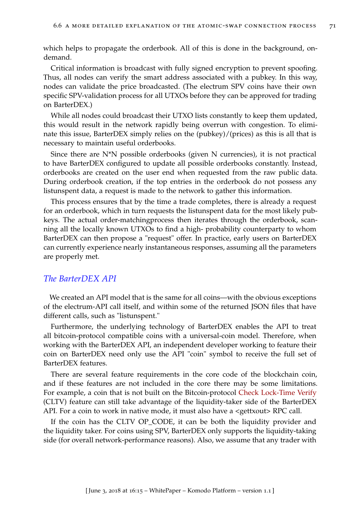which helps to propagate the orderbook. All of this is done in the background, ondemand.

Critical information is broadcast with fully signed encryption to prevent spoofing. Thus, all nodes can verify the smart address associated with a pubkey. In this way, nodes can validate the price broadcasted. (The electrum SPV coins have their own specific SPV-validation process for all UTXOs before they can be approved for trading on BarterDEX.)

While all nodes could broadcast their UTXO lists constantly to keep them updated, this would result in the network rapidly being overrun with congestion. To eliminate this issue, BarterDEX simply relies on the (pubkey)/(prices) as this is all that is necessary to maintain useful orderbooks.

Since there are N\*N possible orderbooks (given N currencies), it is not practical to have BarterDEX configured to update all possible orderbooks constantly. Instead, orderbooks are created on the user end when requested from the raw public data. During orderbook creation, if the top entries in the orderbook do not possess any listunspent data, a request is made to the network to gather this information.

This process ensures that by the time a trade completes, there is already a request for an orderbook, which in turn requests the listunspent data for the most likely pubkeys. The actual order-matchingprocess then iterates through the orderbook, scanning all the locally known UTXOs to find a high- probability counterparty to whom BarterDEX can then propose a "request" offer. In practice, early users on BarterDEX can currently experience nearly instantaneous responses, assuming all the parameters are properly met.

## *The BarterDEX API*

We created an API model that is the same for all coins—with the obvious exceptions of the electrum-API call itself, and within some of the returned JSON files that have different calls, such as "listunspent."

Furthermore, the underlying technology of BarterDEX enables the API to treat all bitcoin-protocol compatible coins with a universal-coin model. Therefore, when working with the BarterDEX API, an independent developer working to feature their coin on BarterDEX need only use the API "coin" symbol to receive the full set of BarterDEX features.

There are several feature requirements in the core code of the blockchain coin, and if these features are not included in the core there may be some limitations. For example, a coin that is not built on the Bitcoin-protocol [Check Lock-Time Verify](https://en.bitcoin.it/wiki/Timelock#CheckLockTimeVerify) (CLTV) feature can still take advantage of the liquidity-taker side of the BarterDEX API. For a coin to work in native mode, it must also have a <gettxout> RPC call.

If the coin has the CLTV OP\_CODE, it can be both the liquidity provider and the liquidity taker. For coins using SPV, BarterDEX only supports the liquidity-taking side (for overall network-performance reasons). Also, we assume that any trader with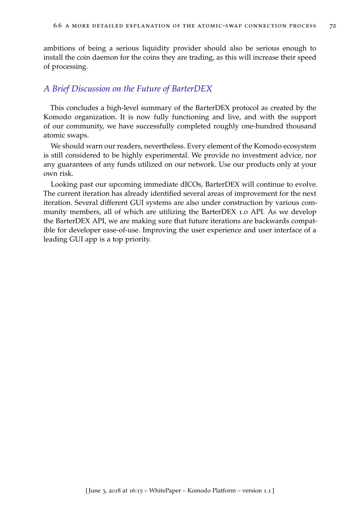ambitions of being a serious liquidity provider should also be serious enough to install the coin daemon for the coins they are trading, as this will increase their speed of processing.

## *A Brief Discussion on the Future of BarterDEX*

This concludes a high-level summary of the BarterDEX protocol as created by the Komodo organization. It is now fully functioning and live, and with the support of our community, we have successfully completed roughly one-hundred thousand atomic swaps.

We should warn our readers, nevertheless. Every element of the Komodo ecosystem is still considered to be highly experimental. We provide no investment advice, nor any guarantees of any funds utilized on our network. Use our products only at your own risk.

Looking past our upcoming immediate dICOs, BarterDEX will continue to evolve. The current iteration has already identified several areas of improvement for the next iteration. Several different GUI systems are also under construction by various community members, all of which are utilizing the BarterDEX 1.0 API. As we develop the BarterDEX API, we are making sure that future iterations are backwards compatible for developer ease-of-use. Improving the user experience and user interface of a leading GUI app is a top priority.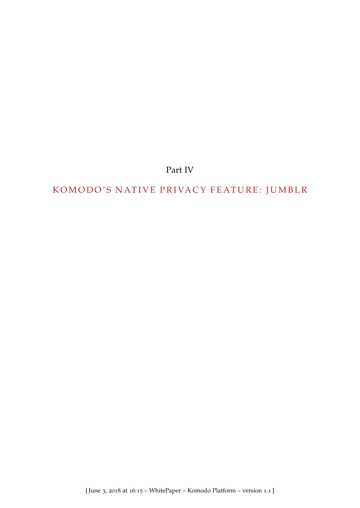Part IV

# KOMODO'S NATIVE PRIVACY FEATURE: JUMBLR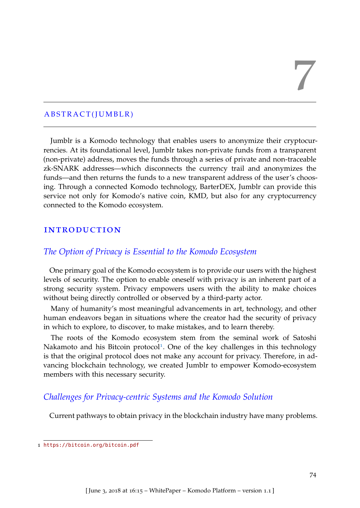# 7

## A BSTRACT(JUMBLR)

Jumblr is a Komodo technology that enables users to anonymize their cryptocurrencies. At its foundational level, Jumblr takes non-private funds from a transparent (non-private) address, moves the funds through a series of private and non-traceable zk-SNARK addresses—which disconnects the currency trail and anonymizes the funds—and then returns the funds to a new transparent address of the user's choosing. Through a connected Komodo technology, BarterDEX, Jumblr can provide this service not only for Komodo's native coin, KMD, but also for any cryptocurrency connected to the Komodo ecosystem.

## **INTRODUCTION**

## *The Option of Privacy is Essential to the Komodo Ecosystem*

One primary goal of the Komodo ecosystem is to provide our users with the highest levels of security. The option to enable oneself with privacy is an inherent part of a strong security system. Privacy empowers users with the ability to make choices without being directly controlled or observed by a third-party actor.

Many of humanity's most meaningful advancements in art, technology, and other human endeavors began in situations where the creator had the security of privacy in which to explore, to discover, to make mistakes, and to learn thereby.

The roots of the Komodo ecosystem stem from the seminal work of Satoshi Nakamoto and his Bitcoin protocol<sup>[1](#page-80-0)</sup>. One of the key challenges in this technology is that the original protocol does not make any account for privacy. Therefore, in advancing blockchain technology, we created Jumblr to empower Komodo-ecosystem members with this necessary security.

## *Challenges for Privacy-centric Systems and the Komodo Solution*

Current pathways to obtain privacy in the blockchain industry have many problems.

<span id="page-80-0"></span><sup>1</sup> <https://bitcoin.org/bitcoin.pdf>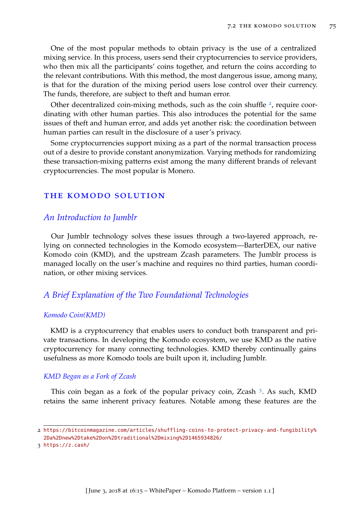One of the most popular methods to obtain privacy is the use of a centralized mixing service. In this process, users send their cryptocurrencies to service providers, who then mix all the participants' coins together, and return the coins according to the relevant contributions. With this method, the most dangerous issue, among many, is that for the duration of the mixing period users lose control over their currency. The funds, therefore, are subject to theft and human error.

Other decentralized coin-mixing methods, such as the coin shuffle  $2$ , require coordinating with other human parties. This also introduces the potential for the same issues of theft and human error, and adds yet another risk: the coordination between human parties can result in the disclosure of a user's privacy.

Some cryptocurrencies support mixing as a part of the normal transaction process out of a desire to provide constant anonymization. Varying methods for randomizing these transaction-mixing patterns exist among the many different brands of relevant cryptocurrencies. The most popular is Monero.

## the komodo solution

## *An Introduction to Jumblr*

Our Jumblr technology solves these issues through a two-layered approach, relying on connected technologies in the Komodo ecosystem—BarterDEX, our native Komodo coin (KMD), and the upstream Zcash parameters. The Jumblr process is managed locally on the user's machine and requires no third parties, human coordination, or other mixing services.

## *A Brief Explanation of the Two Foundational Technologies*

#### *Komodo Coin(KMD)*

KMD is a cryptocurrency that enables users to conduct both transparent and private transactions. In developing the Komodo ecosystem, we use KMD as the native cryptocurrency for many connecting technologies. KMD thereby continually gains usefulness as more Komodo tools are built upon it, including Jumblr.

#### *KMD Began as a Fork of Zcash*

This coin began as a fork of the popular privacy coin, Zcash<sup>[3](#page-81-1)</sup>. As such, KMD retains the same inherent privacy features. Notable among these features are the

<span id="page-81-0"></span><sup>2</sup> [https://bitcoinmagazine.com/articles/shuffling-coins-to-protect-privacy-and-fungibility%](https://bitcoinmagazine.com/articles/shuffling-coins-to-protect-privacy-and-fungibility%2Da%2Dnew%2Dtake%2Don%2Dtraditional%2Dmixing%2D1465934826/) [2Da%2Dnew%2Dtake%2Don%2Dtraditional%2Dmixing%2D1465934826/](https://bitcoinmagazine.com/articles/shuffling-coins-to-protect-privacy-and-fungibility%2Da%2Dnew%2Dtake%2Don%2Dtraditional%2Dmixing%2D1465934826/)

<span id="page-81-1"></span><sup>3</sup> <https://z.cash/>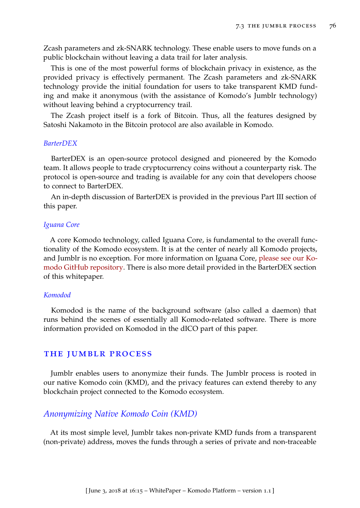Zcash parameters and zk-SNARK technology. These enable users to move funds on a public blockchain without leaving a data trail for later analysis.

This is one of the most powerful forms of blockchain privacy in existence, as the provided privacy is effectively permanent. The Zcash parameters and zk-SNARK technology provide the initial foundation for users to take transparent KMD funding and make it anonymous (with the assistance of Komodo's Jumblr technology) without leaving behind a cryptocurrency trail.

The Zcash project itself is a fork of Bitcoin. Thus, all the features designed by Satoshi Nakamoto in the Bitcoin protocol are also available in Komodo.

#### *BarterDEX*

BarterDEX is an open-source protocol designed and pioneered by the Komodo team. It allows people to trade cryptocurrency coins without a counterparty risk. The protocol is open-source and trading is available for any coin that developers choose to connect to BarterDEX.

An in-depth discussion of BarterDEX is provided in the previous Part III section of this paper.

#### *Iguana Core*

A core Komodo technology, called Iguana Core, is fundamental to the overall functionality of the Komodo ecosystem. It is at the center of nearly all Komodo projects, and Jumblr is no exception. For more information on Iguana Core, [please see our Ko](https://github.com/jl777/komodo)[modo GitHub repository.](https://github.com/jl777/komodo) There is also more detail provided in the BarterDEX section of this whitepaper.

#### *Komodod*

Komodod is the name of the background software (also called a daemon) that runs behind the scenes of essentially all Komodo-related software. There is more information provided on Komodod in the dICO part of this paper.

#### the jumblr process

Jumblr enables users to anonymize their funds. The Jumblr process is rooted in our native Komodo coin (KMD), and the privacy features can extend thereby to any blockchain project connected to the Komodo ecosystem.

#### *Anonymizing Native Komodo Coin (KMD)*

At its most simple level, Jumblr takes non-private KMD funds from a transparent (non-private) address, moves the funds through a series of private and non-traceable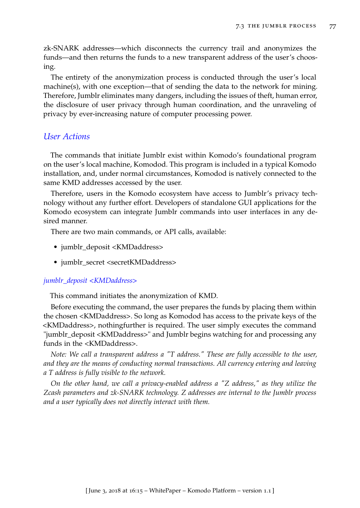zk-SNARK addresses—which disconnects the currency trail and anonymizes the funds—and then returns the funds to a new transparent address of the user's choosing.

The entirety of the anonymization process is conducted through the user's local machine(s), with one exception—that of sending the data to the network for mining. Therefore, Jumblr eliminates many dangers, including the issues of theft, human error, the disclosure of user privacy through human coordination, and the unraveling of privacy by ever-increasing nature of computer processing power.

## *User Actions*

The commands that initiate Jumblr exist within Komodo's foundational program on the user's local machine, Komodod. This program is included in a typical Komodo installation, and, under normal circumstances, Komodod is natively connected to the same KMD addresses accessed by the user.

Therefore, users in the Komodo ecosystem have access to Jumblr's privacy technology without any further effort. Developers of standalone GUI applications for the Komodo ecosystem can integrate Jumblr commands into user interfaces in any desired manner.

There are two main commands, or API calls, available:

- jumblr\_deposit <KMDaddress>
- jumblr\_secret <secretKMDaddress>

## *jumblr\_deposit <KMDaddress>*

This command initiates the anonymization of KMD.

Before executing the command, the user prepares the funds by placing them within the chosen <KMDaddress>. So long as Komodod has access to the private keys of the <KMDaddress>, nothingfurther is required. The user simply executes the command "jumblr\_deposit <KMDaddress>" and Jumblr begins watching for and processing any funds in the <KMDaddress>.

*Note: We call a transparent address a "T address." These are fully accessible to the user, and they are the means of conducting normal transactions. All currency entering and leaving a T address is fully visible to the network.*

*On the other hand, we call a privacy-enabled address a "Z address," as they utilize the Zcash parameters and zk-SNARK technology. Z addresses are internal to the Jumblr process and a user typically does not directly interact with them.*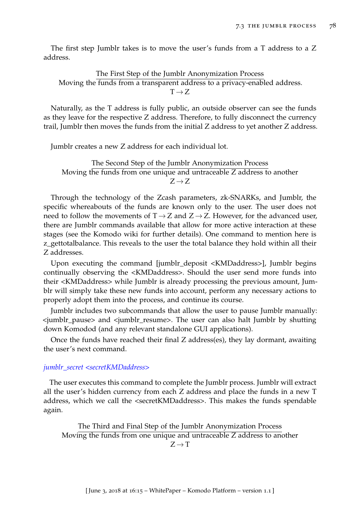The first step Jumblr takes is to move the user's funds from a T address to a Z address.

The First Step of the Jumblr Anonymization Process Moving the funds from a transparent address to a privacy-enabled address.  $T \rightarrow Z$ 

Naturally, as the T address is fully public, an outside observer can see the funds as they leave for the respective Z address. Therefore, to fully disconnect the currency trail, Jumblr then moves the funds from the initial Z address to yet another Z address.

Jumblr creates a new Z address for each individual lot.

The Second Step of the Jumblr Anonymization Process Moving the funds from one unique and untraceable Z address to another  $Z \rightarrow Z$ 

Through the technology of the Zcash parameters, zk-SNARKs, and Jumblr, the specific whereabouts of the funds are known only to the user. The user does not need to follow the movements of  $T \rightarrow Z$  and  $Z \rightarrow Z$ . However, for the advanced user, there are Jumblr commands available that allow for more active interaction at these stages (see the Komodo wiki for further details). One command to mention here is z\_gettotalbalance. This reveals to the user the total balance they hold within all their Z addresses.

Upon executing the command [jumblr deposit <KMDaddress>], Jumblr begins continually observing the <KMDaddress>. Should the user send more funds into their <KMDaddress> while Jumblr is already processing the previous amount, Jumblr will simply take these new funds into account, perform any necessary actions to properly adopt them into the process, and continue its course.

Jumblr includes two subcommands that allow the user to pause Jumblr manually:  $\le$ jumblr pause> and  $\le$ jumblr resume>. The user can also halt Jumblr by shutting down Komodod (and any relevant standalone GUI applications).

Once the funds have reached their final Z address(es), they lay dormant, awaiting the user's next command.

## *jumblr\_secret <secretKMDaddress>*

The user executes this command to complete the Jumblr process. Jumblr will extract all the user's hidden currency from each Z address and place the funds in a new T address, which we call the <secretKMDaddress>. This makes the funds spendable again.

The Third and Final Step of the Jumblr Anonymization Process Moving the funds from one unique and untraceable Z address to another  $Z \rightarrow T$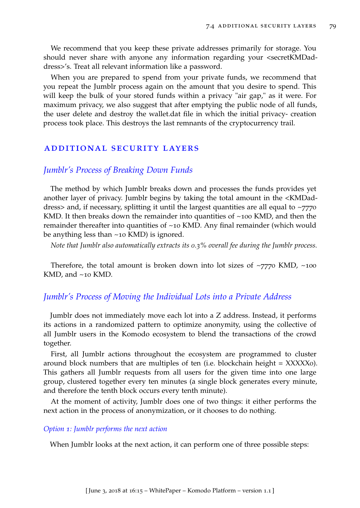We recommend that you keep these private addresses primarily for storage. You should never share with anyone any information regarding your <secretKMDaddress>'s. Treat all relevant information like a password.

When you are prepared to spend from your private funds, we recommend that you repeat the Jumblr process again on the amount that you desire to spend. This will keep the bulk of your stored funds within a privacy "air gap," as it were. For maximum privacy, we also suggest that after emptying the public node of all funds, the user delete and destroy the wallet.dat file in which the initial privacy- creation process took place. This destroys the last remnants of the cryptocurrency trail.

## additional security layers

## *Jumblr's Process of Breaking Down Funds*

The method by which Jumblr breaks down and processes the funds provides yet another layer of privacy. Jumblr begins by taking the total amount in the <KMDaddress> and, if necessary, splitting it until the largest quantities are all equal to  $\sim$ 7770 KMD. It then breaks down the remainder into quantities of  $\sim$ 100 KMD, and then the remainder thereafter into quantities of ~10 KMD. Any final remainder (which would be anything less than ~10 KMD) is ignored.

*Note that Jumblr also automatically extracts its 0.3% overall fee during the Jumblr process.*

Therefore, the total amount is broken down into lot sizes of  $\sim$ 7770 KMD,  $\sim$ 100 KMD, and ~10 KMD.

## *Jumblr's Process of Moving the Individual Lots into a Private Address*

Jumblr does not immediately move each lot into a Z address. Instead, it performs its actions in a randomized pattern to optimize anonymity, using the collective of all Jumblr users in the Komodo ecosystem to blend the transactions of the crowd together.

First, all Jumblr actions throughout the ecosystem are programmed to cluster around block numbers that are multiples of ten (i.e. blockchain height  $=$  XXXXX0). This gathers all Jumblr requests from all users for the given time into one large group, clustered together every ten minutes (a single block generates every minute, and therefore the tenth block occurs every tenth minute).

At the moment of activity, Jumblr does one of two things: it either performs the next action in the process of anonymization, or it chooses to do nothing.

#### *Option 1: Jumblr performs the next action*

When Jumblr looks at the next action, it can perform one of three possible steps: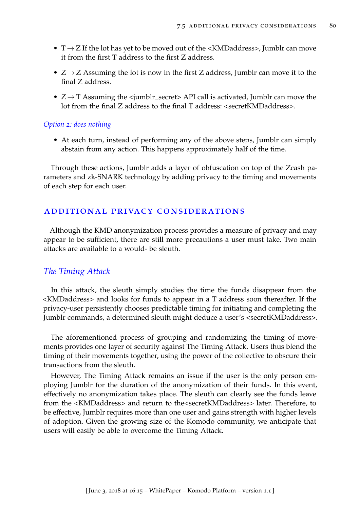- $T \rightarrow Z$  If the lot has yet to be moved out of the <KMDaddress>, Jumblr can move it from the first T address to the first Z address.
- $Z \rightarrow Z$  Assuming the lot is now in the first Z address, Jumblr can move it to the final Z address.
- $Z \rightarrow T$  Assuming the  $\langle$ jumblr\_secret> API call is activated, Jumblr can move the lot from the final Z address to the final T address: <secretKMDaddress>.

## *Option 2: does nothing*

• At each turn, instead of performing any of the above steps, Jumblr can simply abstain from any action. This happens approximately half of the time.

Through these actions, Jumblr adds a layer of obfuscation on top of the Zcash parameters and zk-SNARK technology by adding privacy to the timing and movements of each step for each user.

## additional privacy considerations

Although the KMD anonymization process provides a measure of privacy and may appear to be sufficient, there are still more precautions a user must take. Two main attacks are available to a would- be sleuth.

## *The Timing Attack*

In this attack, the sleuth simply studies the time the funds disappear from the <KMDaddress> and looks for funds to appear in a T address soon thereafter. If the privacy-user persistently chooses predictable timing for initiating and completing the Jumblr commands, a determined sleuth might deduce a user's <secretKMDaddress>.

The aforementioned process of grouping and randomizing the timing of movements provides one layer of security against The Timing Attack. Users thus blend the timing of their movements together, using the power of the collective to obscure their transactions from the sleuth.

However, The Timing Attack remains an issue if the user is the only person employing Jumblr for the duration of the anonymization of their funds. In this event, effectively no anonymization takes place. The sleuth can clearly see the funds leave from the <KMDaddress> and return to the<secretKMDaddress> later. Therefore, to be effective, Jumblr requires more than one user and gains strength with higher levels of adoption. Given the growing size of the Komodo community, we anticipate that users will easily be able to overcome the Timing Attack.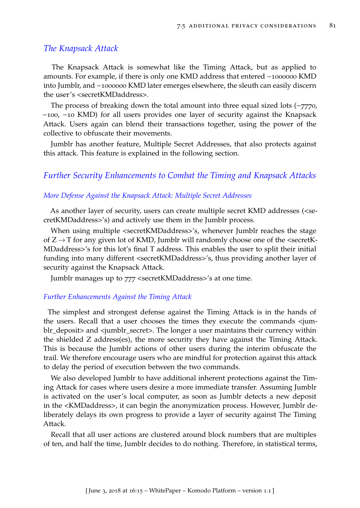#### *The Knapsack Attack*

The Knapsack Attack is somewhat like the Timing Attack, but as applied to amounts. For example, if there is only one KMD address that entered ~1000000 KMD into Jumblr, and ~1000000 KMD later emerges elsewhere, the sleuth can easily discern the user's <secretKMDaddress>.

The process of breaking down the total amount into three equal sized lots  $(\sim 7770)$ ,  $\sim$ 100,  $\sim$ 10 KMD) for all users provides one layer of security against the Knapsack Attack. Users again can blend their transactions together, using the power of the collective to obfuscate their movements.

Jumblr has another feature, Multiple Secret Addresses, that also protects against this attack. This feature is explained in the following section.

## *Further Security Enhancements to Combat the Timing and Knapsack Attacks*

#### *More Defense Against the Knapsack Attack: Multiple Secret Addresses*

As another layer of security, users can create multiple secret KMD addresses (<secretKMDaddress>'s) and actively use them in the Jumblr process.

When using multiple <secretKMDaddress>'s, whenever Jumblr reaches the stage of  $Z \rightarrow T$  for any given lot of KMD, Jumblr will randomly choose one of the  $\leq$ secretK-MDaddress>'s for this lot's final T address. This enables the user to split their initial funding into many different <secretKMDaddress>'s, thus providing another layer of security against the Knapsack Attack.

Jumblr manages up to 777 <secretKMDaddress>'s at one time.

#### *Further Enhancements Against the Timing Attack*

The simplest and strongest defense against the Timing Attack is in the hands of the users. Recall that a user chooses the times they execute the commands <jumblr\_deposit> and <jumblr\_secret>. The longer a user maintains their currency within the shielded Z address(es), the more security they have against the Timing Attack. This is because the Jumblr actions of other users during the interim obfuscate the trail. We therefore encourage users who are mindful for protection against this attack to delay the period of execution between the two commands.

We also developed Jumblr to have additional inherent protections against the Timing Attack for cases where users desire a more immediate transfer. Assuming Jumblr is activated on the user's local computer, as soon as Jumblr detects a new deposit in the <KMDaddress>, it can begin the anonymization process. However, Jumblr deliberately delays its own progress to provide a layer of security against The Timing Attack.

Recall that all user actions are clustered around block numbers that are multiples of ten, and half the time, Jumblr decides to do nothing. Therefore, in statistical terms,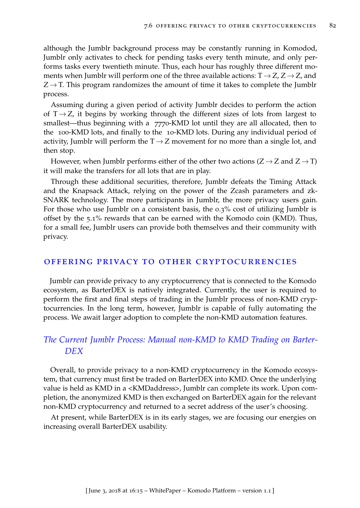although the Jumblr background process may be constantly running in Komodod, Jumblr only activates to check for pending tasks every tenth minute, and only performs tasks every twentieth minute. Thus, each hour has roughly three different moments when Jumblr will perform one of the three available actions:  $T \rightarrow Z$ ,  $Z \rightarrow Z$ , and  $Z \rightarrow T$ . This program randomizes the amount of time it takes to complete the Jumblr process.

Assuming during a given period of activity Jumblr decides to perform the action of  $T \rightarrow Z$ , it begins by working through the different sizes of lots from largest to smallest—thus beginning with a 7770-KMD lot until they are all allocated, then to the 100-KMD lots, and finally to the 10-KMD lots. During any individual period of activity, Jumblr will perform the  $T \rightarrow Z$  movement for no more than a single lot, and then stop.

However, when Jumblr performs either of the other two actions  $(Z \rightarrow Z \text{ and } Z \rightarrow T)$ it will make the transfers for all lots that are in play.

Through these additional securities, therefore, Jumblr defeats the Timing Attack and the Knapsack Attack, relying on the power of the Zcash parameters and zk-SNARK technology. The more participants in Jumblr, the more privacy users gain. For those who use Jumblr on a consistent basis, the 0.3% cost of utilizing Jumblr is offset by the 5.1% rewards that can be earned with the Komodo coin (KMD). Thus, for a small fee, Jumblr users can provide both themselves and their community with privacy.

#### offering privacy to other cryptocurrencies

Jumblr can provide privacy to any cryptocurrency that is connected to the Komodo ecosystem, as BarterDEX is natively integrated. Currently, the user is required to perform the first and final steps of trading in the Jumblr process of non-KMD cryptocurrencies. In the long term, however, Jumblr is capable of fully automating the process. We await larger adoption to complete the non-KMD automation features.

## *The Current Jumblr Process: Manual non-KMD to KMD Trading on Barter-DEX*

Overall, to provide privacy to a non-KMD cryptocurrency in the Komodo ecosystem, that currency must first be traded on BarterDEX into KMD. Once the underlying value is held as KMD in a <KMDaddress>, Jumblr can complete its work. Upon completion, the anonymized KMD is then exchanged on BarterDEX again for the relevant non-KMD cryptocurrency and returned to a secret address of the user's choosing.

At present, while BarterDEX is in its early stages, we are focusing our energies on increasing overall BarterDEX usability.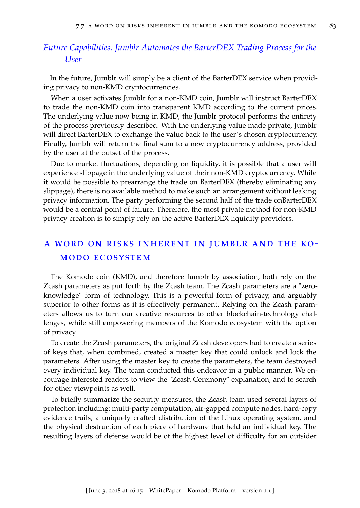## *Future Capabilities: Jumblr Automates the BarterDEX Trading Process for the User*

In the future, Jumblr will simply be a client of the BarterDEX service when providing privacy to non-KMD cryptocurrencies.

When a user activates Jumblr for a non-KMD coin, Jumblr will instruct BarterDEX to trade the non-KMD coin into transparent KMD according to the current prices. The underlying value now being in KMD, the Jumblr protocol performs the entirety of the process previously described. With the underlying value made private, Jumblr will direct BarterDEX to exchange the value back to the user's chosen cryptocurrency. Finally, Jumblr will return the final sum to a new cryptocurrency address, provided by the user at the outset of the process.

Due to market fluctuations, depending on liquidity, it is possible that a user will experience slippage in the underlying value of their non-KMD cryptocurrency. While it would be possible to prearrange the trade on BarterDEX (thereby eliminating any slippage), there is no available method to make such an arrangement without leaking privacy information. The party performing the second half of the trade onBarterDEX would be a central point of failure. Therefore, the most private method for non-KMD privacy creation is to simply rely on the active BarterDEX liquidity providers.

## a word on risks inherent in jumblr and the komodo ecosystem

The Komodo coin (KMD), and therefore Jumblr by association, both rely on the Zcash parameters as put forth by the Zcash team. The Zcash parameters are a "zeroknowledge" form of technology. This is a powerful form of privacy, and arguably superior to other forms as it is effectively permanent. Relying on the Zcash parameters allows us to turn our creative resources to other blockchain-technology challenges, while still empowering members of the Komodo ecosystem with the option of privacy.

To create the Zcash parameters, the original Zcash developers had to create a series of keys that, when combined, created a master key that could unlock and lock the parameters. After using the master key to create the parameters, the team destroyed every individual key. The team conducted this endeavor in a public manner. We encourage interested readers to view the "Zcash Ceremony" explanation, and to search for other viewpoints as well.

To briefly summarize the security measures, the Zcash team used several layers of protection including: multi-party computation, air-gapped compute nodes, hard-copy evidence trails, a uniquely crafted distribution of the Linux operating system, and the physical destruction of each piece of hardware that held an individual key. The resulting layers of defense would be of the highest level of difficulty for an outsider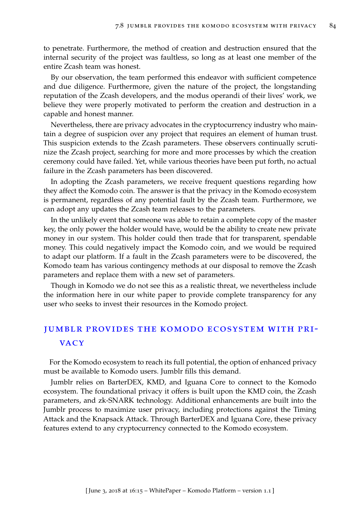to penetrate. Furthermore, the method of creation and destruction ensured that the internal security of the project was faultless, so long as at least one member of the entire Zcash team was honest.

By our observation, the team performed this endeavor with sufficient competence and due diligence. Furthermore, given the nature of the project, the longstanding reputation of the Zcash developers, and the modus operandi of their lives' work, we believe they were properly motivated to perform the creation and destruction in a capable and honest manner.

Nevertheless, there are privacy advocates in the cryptocurrency industry who maintain a degree of suspicion over any project that requires an element of human trust. This suspicion extends to the Zcash parameters. These observers continually scrutinize the Zcash project, searching for more and more processes by which the creation ceremony could have failed. Yet, while various theories have been put forth, no actual failure in the Zcash parameters has been discovered.

In adopting the Zcash parameters, we receive frequent questions regarding how they affect the Komodo coin. The answer is that the privacy in the Komodo ecosystem is permanent, regardless of any potential fault by the Zcash team. Furthermore, we can adopt any updates the Zcash team releases to the parameters.

In the unlikely event that someone was able to retain a complete copy of the master key, the only power the holder would have, would be the ability to create new private money in our system. This holder could then trade that for transparent, spendable money. This could negatively impact the Komodo coin, and we would be required to adapt our platform. If a fault in the Zcash parameters were to be discovered, the Komodo team has various contingency methods at our disposal to remove the Zcash parameters and replace them with a new set of parameters.

Though in Komodo we do not see this as a realistic threat, we nevertheless include the information here in our white paper to provide complete transparency for any user who seeks to invest their resources in the Komodo project.

# jumblr provides the komodo ecosystem with pri-**VACY**

For the Komodo ecosystem to reach its full potential, the option of enhanced privacy must be available to Komodo users. Jumblr fills this demand.

Jumblr relies on BarterDEX, KMD, and Iguana Core to connect to the Komodo ecosystem. The foundational privacy it offers is built upon the KMD coin, the Zcash parameters, and zk-SNARK technology. Additional enhancements are built into the Jumblr process to maximize user privacy, including protections against the Timing Attack and the Knapsack Attack. Through BarterDEX and Iguana Core, these privacy features extend to any cryptocurrency connected to the Komodo ecosystem.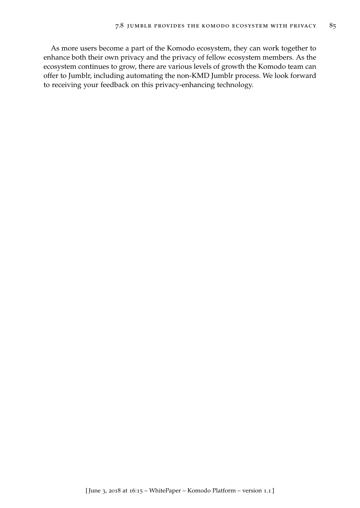As more users become a part of the Komodo ecosystem, they can work together to enhance both their own privacy and the privacy of fellow ecosystem members. As the ecosystem continues to grow, there are various levels of growth the Komodo team can offer to Jumblr, including automating the non-KMD Jumblr process. We look forward to receiving your feedback on this privacy-enhancing technology.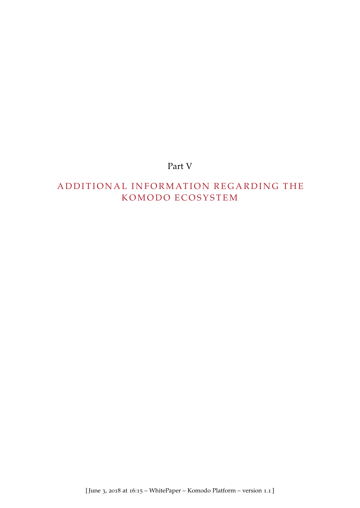# Part V

# A D D I T I O N A L INFORMATION REGARDING THE K O MODO E COSYSTEM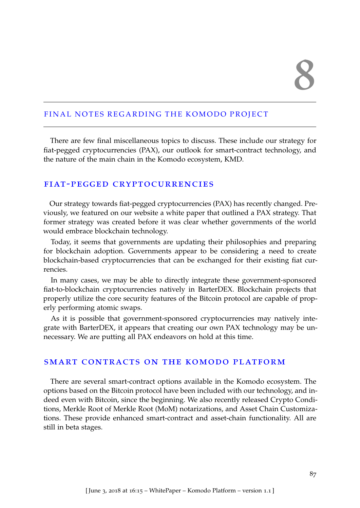## FINAL NOTES REGARDING THE KOMODO PROJECT

There are few final miscellaneous topics to discuss. These include our strategy for fiat-pegged cryptocurrencies (PAX), our outlook for smart-contract technology, and the nature of the main chain in the Komodo ecosystem, KMD.

## fiat-pegged cryptocurrencies

Our strategy towards fiat-pegged cryptocurrencies (PAX) has recently changed. Previously, we featured on our website a white paper that outlined a PAX strategy. That former strategy was created before it was clear whether governments of the world would embrace blockchain technology.

Today, it seems that governments are updating their philosophies and preparing for blockchain adoption. Governments appear to be considering a need to create blockchain-based cryptocurrencies that can be exchanged for their existing fiat currencies.

In many cases, we may be able to directly integrate these government-sponsored fiat-to-blockchain cryptocurrencies natively in BarterDEX. Blockchain projects that properly utilize the core security features of the Bitcoin protocol are capable of properly performing atomic swaps.

As it is possible that government-sponsored cryptocurrencies may natively integrate with BarterDEX, it appears that creating our own PAX technology may be unnecessary. We are putting all PAX endeavors on hold at this time.

## smart contracts on the komodo platform

There are several smart-contract options available in the Komodo ecosystem. The options based on the Bitcoin protocol have been included with our technology, and indeed even with Bitcoin, since the beginning. We also recently released Crypto Conditions, Merkle Root of Merkle Root (MoM) notarizations, and Asset Chain Customizations. These provide enhanced smart-contract and asset-chain functionality. All are still in beta stages.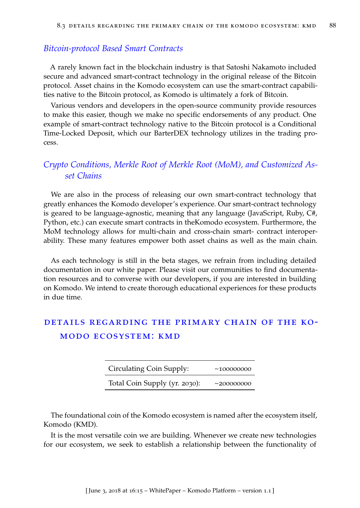## *Bitcoin-protocol Based Smart Contracts*

A rarely known fact in the blockchain industry is that Satoshi Nakamoto included secure and advanced smart-contract technology in the original release of the Bitcoin protocol. Asset chains in the Komodo ecosystem can use the smart-contract capabilities native to the Bitcoin protocol, as Komodo is ultimately a fork of Bitcoin.

Various vendors and developers in the open-source community provide resources to make this easier, though we make no specific endorsements of any product. One example of smart-contract technology native to the Bitcoin protocol is a Conditional Time-Locked Deposit, which our BarterDEX technology utilizes in the trading process.

## *Crypto Conditions, Merkle Root of Merkle Root (MoM), and Customized Asset Chains*

We are also in the process of releasing our own smart-contract technology that greatly enhances the Komodo developer's experience. Our smart-contract technology is geared to be language-agnostic, meaning that any language (JavaScript, Ruby, C#, Python, etc.) can execute smart contracts in theKomodo ecosystem. Furthermore, the MoM technology allows for multi-chain and cross-chain smart- contract interoperability. These many features empower both asset chains as well as the main chain.

As each technology is still in the beta stages, we refrain from including detailed documentation in our white paper. Please visit our communities to find documentation resources and to converse with our developers, if you are interested in building on Komodo. We intend to create thorough educational experiences for these products in due time.

# details regarding the primary chain of the komodo ecosystem: kmd

| Circulating Coin Supply:      | ~10000000        |
|-------------------------------|------------------|
| Total Coin Supply (yr. 2030): | $\sim$ 200000000 |

The foundational coin of the Komodo ecosystem is named after the ecosystem itself, Komodo (KMD).

It is the most versatile coin we are building. Whenever we create new technologies for our ecosystem, we seek to establish a relationship between the functionality of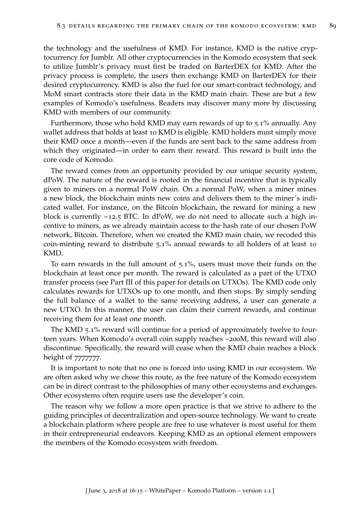the technology and the usefulness of KMD. For instance, KMD is the native cryptocurrency for Jumblr. All other cryptocurrencies in the Komodo ecosystem that seek to utilize Jumblr's privacy must first be traded on BarterDEX for KMD. After the privacy process is complete, the users then exchange KMD on BarterDEX for their desired cryptocurrency. KMD is also the fuel for our smart-contract technology, and MoM smart contracts store their data in the KMD main chain. These are but a few examples of Komodo's usefulness. Readers may discover many more by discussing KMD with members of our community.

Furthermore, those who hold KMD may earn rewards of up to 5.1% annually. Any wallet address that holds at least 10 KMD is eligible. KMD holders must simply move their KMD once a month—even if the funds are sent back to the same address from which they originated—in order to earn their reward. This reward is built into the core code of Komodo.

The reward comes from an opportunity provided by our unique security system, dPoW. The nature of the reward is rooted in the financial incentive that is typically given to miners on a normal PoW chain. On a normal PoW, when a miner mines a new block, the blockchain mints new coins and delivers them to the miner's indicated wallet. For instance, on the Bitcoin blockchain, the reward for mining a new block is currently  $\sim$ 12.5 BTC. In dPoW, we do not need to allocate such a high incentive to miners, as we already maintain access to the hash rate of our chosen PoW network, Bitcoin. Therefore, when we created the KMD main chain, we recoded this coin-minting reward to distribute 5.1% annual rewards to all holders of at least 10 KMD.

To earn rewards in the full amount of 5.1%, users must move their funds on the blockchain at least once per month. The reward is calculated as a part of the UTXO transfer process (see Part III of this paper for details on UTXOs). The KMD code only calculates rewards for UTXOs up to one month, and then stops. By simply sending the full balance of a wallet to the same receiving address, a user can generate a new UTXO. In this manner, the user can claim their current rewards, and continue receiving them for at least one month.

The KMD 5.1% reward will continue for a period of approximately twelve to fourteen years. When Komodo's overall coin supply reaches ~200M, this reward will also discontinue. Specifically, the reward will cease when the KMD chain reaches a block height of 77777777.

It is important to note that no one is forced into using KMD in our ecosystem. We are often asked why we chose this route, as the free nature of the Komodo ecosystem can be in direct contrast to the philosophies of many other ecosystems and exchanges. Other ecosystems often require users use the developer's coin.

The reason why we follow a more open practice is that we strive to adhere to the guiding principles of decentralization and open-source technology. We want to create a blockchain platform where people are free to use whatever is most useful for them in their entrepreneurial endeavors. Keeping KMD as an optional element empowers the members of the Komodo ecosystem with freedom.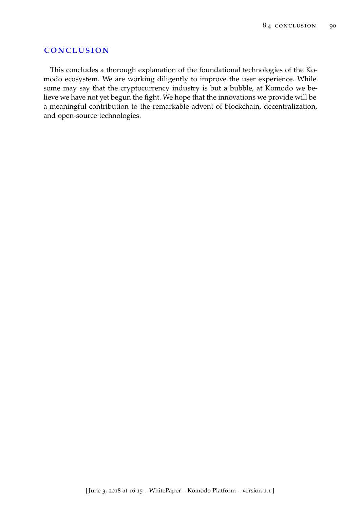#### conclusion

This concludes a thorough explanation of the foundational technologies of the Komodo ecosystem. We are working diligently to improve the user experience. While some may say that the cryptocurrency industry is but a bubble, at Komodo we believe we have not yet begun the fight. We hope that the innovations we provide will be a meaningful contribution to the remarkable advent of blockchain, decentralization, and open-source technologies.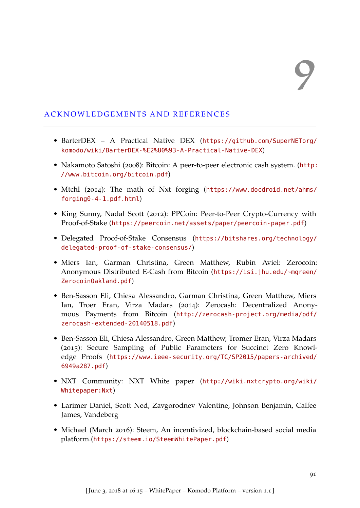## A C K N OW L E D G E M E N T S A N D R E F E R E N C E S

- BarterDEX A Practical Native DEX ([https://github.com/SuperNETorg/](https://github.com/SuperNETorg/komodo/wiki/BarterDEX-%E2%80%93-A-Practical-Native-DEX) [komodo/wiki/BarterDEX-%E2%80%93-A-Practical-Native-DEX](https://github.com/SuperNETorg/komodo/wiki/BarterDEX-%E2%80%93-A-Practical-Native-DEX))
- Nakamoto Satoshi (2008): Bitcoin: A peer-to-peer electronic cash system. ([http:](http://www.bitcoin.org/bitcoin.pdf) [//www.bitcoin.org/bitcoin.pdf](http://www.bitcoin.org/bitcoin.pdf))
- Mtchl (2014): The math of Nxt forging ([https://www.docdroid.net/ahms/](https://www.docdroid.net/ahms/forging0-4-1.pdf.html) [forging0-4-1.pdf.html](https://www.docdroid.net/ahms/forging0-4-1.pdf.html))
- King Sunny, Nadal Scott (2012): PPCoin: Peer-to-Peer Crypto-Currency with Proof-of-Stake (<https://peercoin.net/assets/paper/peercoin-paper.pdf>)
- Delegated Proof-of-Stake Consensus ([https://bitshares.org/technology/](https://bitshares.org/technology/delegated-proof-of-stake-consensus/) [delegated-proof-of-stake-consensus/](https://bitshares.org/technology/delegated-proof-of-stake-consensus/))
- Miers Ian, Garman Christina, Green Matthew, Rubin Aviel: Zerocoin: Anonymous Distributed E-Cash from Bitcoin ([https://isi.jhu.edu/~mgreen/](https://isi.jhu.edu/~mgreen/ZerocoinOakland.pdf) [ZerocoinOakland.pdf](https://isi.jhu.edu/~mgreen/ZerocoinOakland.pdf))
- Ben-Sasson Eli, Chiesa Alessandro, Garman Christina, Green Matthew, Miers Ian, Troer Eran, Virza Madars (2014): Zerocash: Decentralized Anonymous Payments from Bitcoin ([http://zerocash-project.org/media/pdf/](http://zerocash-project.org/media/pdf/zerocash-extended-20140518.pdf) [zerocash-extended-20140518.pdf](http://zerocash-project.org/media/pdf/zerocash-extended-20140518.pdf))
- Ben-Sasson Eli, Chiesa Alessandro, Green Matthew, Tromer Eran, Virza Madars (2015): Secure Sampling of Public Parameters for Succinct Zero Knowledge Proofs ([https://www.ieee-security.org/TC/SP2015/papers-archived/](https://www.ieee-security.org/TC/SP2015/papers-archived/6949a287.pdf) [6949a287.pdf](https://www.ieee-security.org/TC/SP2015/papers-archived/6949a287.pdf))
- NXT Community: NXT White paper ([http://wiki.nxtcrypto.org/wiki/](http://wiki.nxtcrypto.org/wiki/Whitepaper:Nxt) [Whitepaper:Nxt](http://wiki.nxtcrypto.org/wiki/Whitepaper:Nxt))
- Larimer Daniel, Scott Ned, Zavgorodnev Valentine, Johnson Benjamin, Calfee James, Vandeberg
- Michael (March 2016): Steem, An incentivized, blockchain-based social media platform.(<https://steem.io/SteemWhitePaper.pdf>)